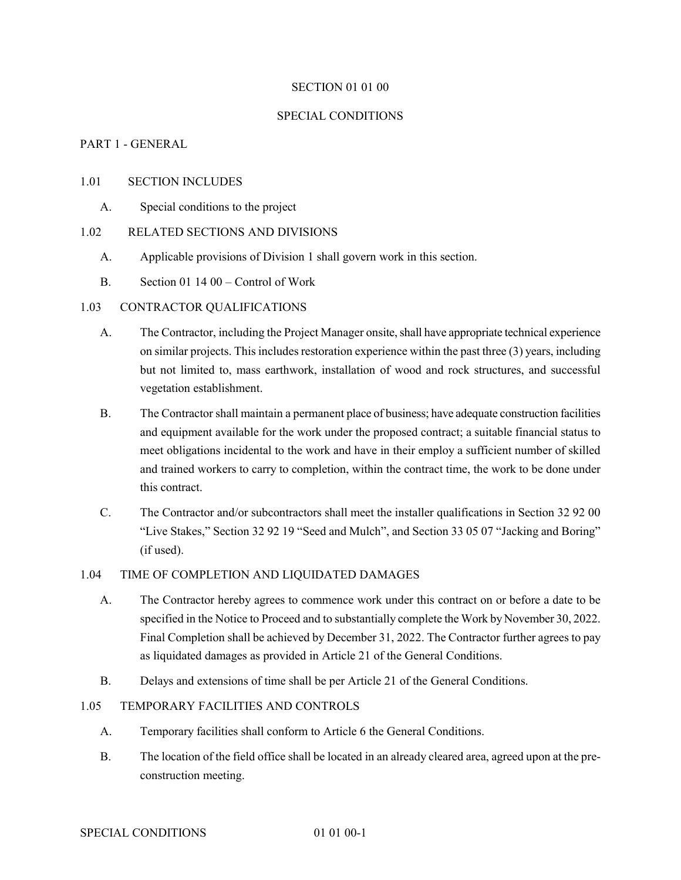#### SECTION 01 01 00

# SPECIAL CONDITIONS

## PART 1 - GENERAL

#### 1.01 SECTION INCLUDES

A. Special conditions to the project

# 1.02 RELATED SECTIONS AND DIVISIONS

- A. Applicable provisions of Division 1 shall govern work in this section.
- B. Section 01 14 00 Control of Work

## 1.03 CONTRACTOR QUALIFICATIONS

- A. The Contractor, including the Project Manager onsite, shall have appropriate technical experience on similar projects. This includes restoration experience within the past three (3) years, including but not limited to, mass earthwork, installation of wood and rock structures, and successful vegetation establishment.
- B. The Contractor shall maintain a permanent place of business; have adequate construction facilities and equipment available for the work under the proposed contract; a suitable financial status to meet obligations incidental to the work and have in their employ a sufficient number of skilled and trained workers to carry to completion, within the contract time, the work to be done under this contract.
- C. The Contractor and/or subcontractors shall meet the installer qualifications in Section 32 92 00 "Live Stakes," Section 32 92 19 "Seed and Mulch", and Section 33 05 07 "Jacking and Boring" (if used).

# 1.04 TIME OF COMPLETION AND LIQUIDATED DAMAGES

- A. The Contractor hereby agrees to commence work under this contract on or before a date to be specified in the Notice to Proceed and to substantially complete the Work by November 30, 2022. Final Completion shall be achieved by December 31, 2022. The Contractor further agrees to pay as liquidated damages as provided in Article 21 of the General Conditions.
- B. Delays and extensions of time shall be per Article 21 of the General Conditions.

# 1.05 TEMPORARY FACILITIES AND CONTROLS

- A. Temporary facilities shall conform to Article 6 the General Conditions.
- B. The location of the field office shall be located in an already cleared area, agreed upon at the preconstruction meeting.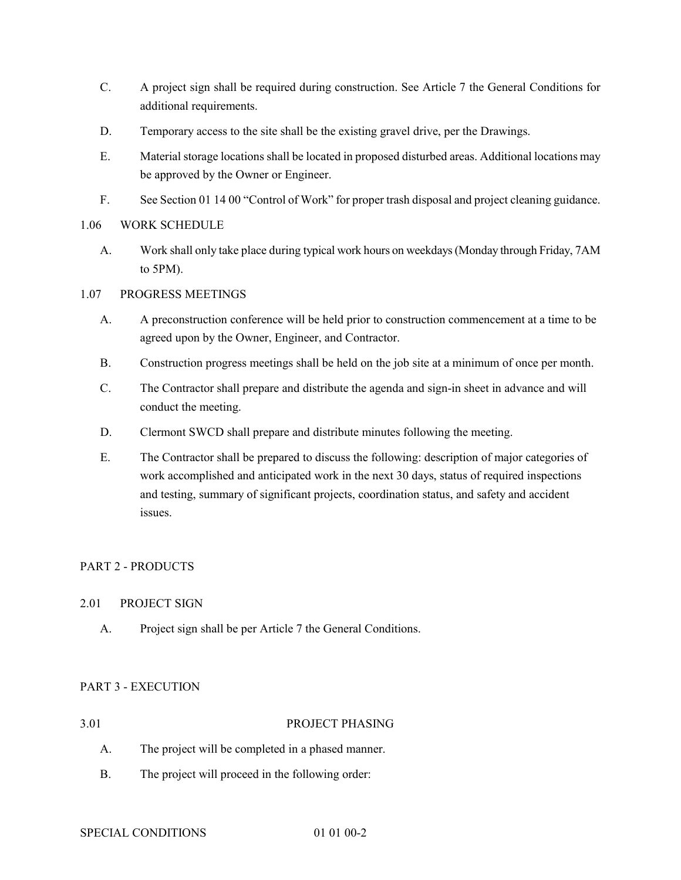- C. A project sign shall be required during construction. See Article 7 the General Conditions for additional requirements.
- D. Temporary access to the site shall be the existing gravel drive, per the Drawings.
- E. Material storage locations shall be located in proposed disturbed areas. Additional locations may be approved by the Owner or Engineer.
- F. See Section 01 14 00 "Control of Work" for proper trash disposal and project cleaning guidance.
- 1.06 WORK SCHEDULE
	- A. Work shall only take place during typical work hours on weekdays (Monday through Friday, 7AM to 5PM).
- 1.07 PROGRESS MEETINGS
	- A. A preconstruction conference will be held prior to construction commencement at a time to be agreed upon by the Owner, Engineer, and Contractor.
	- B. Construction progress meetings shall be held on the job site at a minimum of once per month.
	- C. The Contractor shall prepare and distribute the agenda and sign-in sheet in advance and will conduct the meeting.
	- D. Clermont SWCD shall prepare and distribute minutes following the meeting.
	- E. The Contractor shall be prepared to discuss the following: description of major categories of work accomplished and anticipated work in the next 30 days, status of required inspections and testing, summary of significant projects, coordination status, and safety and accident issues.

# PART 2 - PRODUCTS

# 2.01 PROJECT SIGN

A. Project sign shall be per Article 7 the General Conditions.

# PART 3 - EXECUTION

# 3.01 PROJECT PHASING

- A. The project will be completed in a phased manner.
- B. The project will proceed in the following order: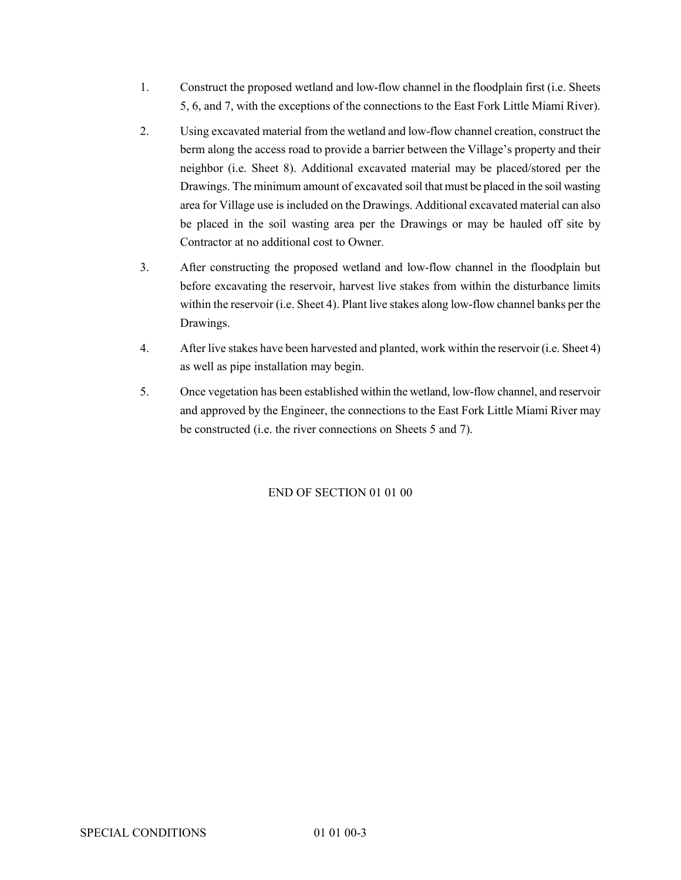- 1. Construct the proposed wetland and low-flow channel in the floodplain first (i.e. Sheets 5, 6, and 7, with the exceptions of the connections to the East Fork Little Miami River).
- 2. Using excavated material from the wetland and low-flow channel creation, construct the berm along the access road to provide a barrier between the Village's property and their neighbor (i.e. Sheet 8). Additional excavated material may be placed/stored per the Drawings. The minimum amount of excavated soil that must be placed in the soil wasting area for Village use is included on the Drawings. Additional excavated material can also be placed in the soil wasting area per the Drawings or may be hauled off site by Contractor at no additional cost to Owner.
- 3. After constructing the proposed wetland and low-flow channel in the floodplain but before excavating the reservoir, harvest live stakes from within the disturbance limits within the reservoir (i.e. Sheet 4). Plant live stakes along low-flow channel banks per the Drawings.
- 4. After live stakes have been harvested and planted, work within the reservoir(i.e. Sheet 4) as well as pipe installation may begin.
- 5. Once vegetation has been established within the wetland, low-flow channel, and reservoir and approved by the Engineer, the connections to the East Fork Little Miami River may be constructed (i.e. the river connections on Sheets 5 and 7).

# END OF SECTION 01 01 00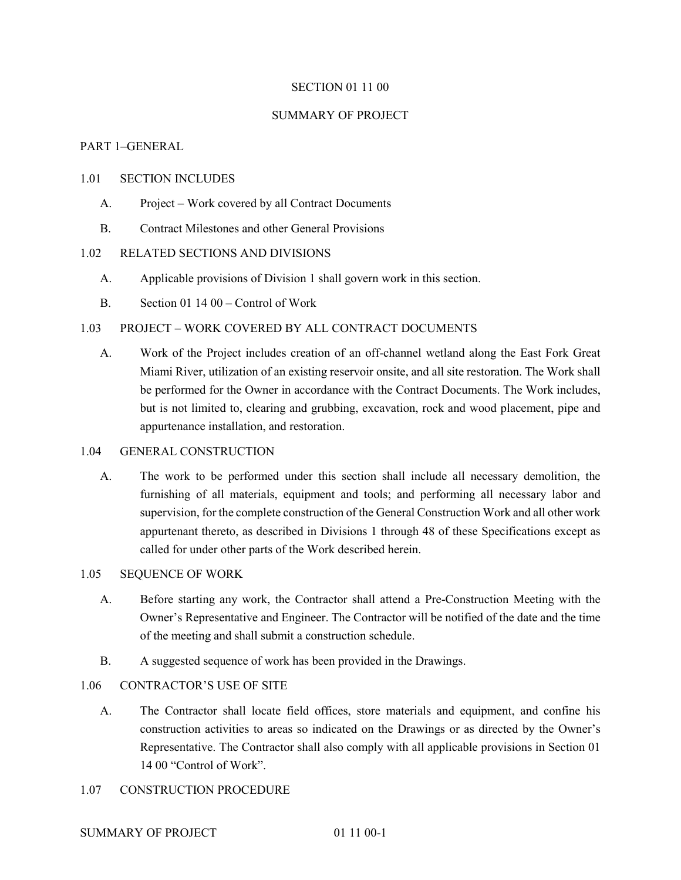#### SECTION 01 11 00

#### SUMMARY OF PROJECT

## PART 1–GENERAL

#### 1.01 SECTION INCLUDES

- A. Project Work covered by all Contract Documents
- B. Contract Milestones and other General Provisions

# 1.02 RELATED SECTIONS AND DIVISIONS

- A. Applicable provisions of Division 1 shall govern work in this section.
- B. Section 01 14 00 Control of Work

#### 1.03 PROJECT – WORK COVERED BY ALL CONTRACT DOCUMENTS

A. Work of the Project includes creation of an off-channel wetland along the East Fork Great Miami River, utilization of an existing reservoir onsite, and all site restoration. The Work shall be performed for the Owner in accordance with the Contract Documents. The Work includes, but is not limited to, clearing and grubbing, excavation, rock and wood placement, pipe and appurtenance installation, and restoration.

#### 1.04 GENERAL CONSTRUCTION

A. The work to be performed under this section shall include all necessary demolition, the furnishing of all materials, equipment and tools; and performing all necessary labor and supervision, for the complete construction of the General Construction Work and all other work appurtenant thereto, as described in Divisions 1 through 48 of these Specifications except as called for under other parts of the Work described herein.

# 1.05 SEQUENCE OF WORK

- A. Before starting any work, the Contractor shall attend a Pre-Construction Meeting with the Owner's Representative and Engineer. The Contractor will be notified of the date and the time of the meeting and shall submit a construction schedule.
- B. A suggested sequence of work has been provided in the Drawings.

# 1.06 CONTRACTOR'S USE OF SITE

A. The Contractor shall locate field offices, store materials and equipment, and confine his construction activities to areas so indicated on the Drawings or as directed by the Owner's Representative. The Contractor shall also comply with all applicable provisions in Section 01 14 00 "Control of Work".

#### 1.07 CONSTRUCTION PROCEDURE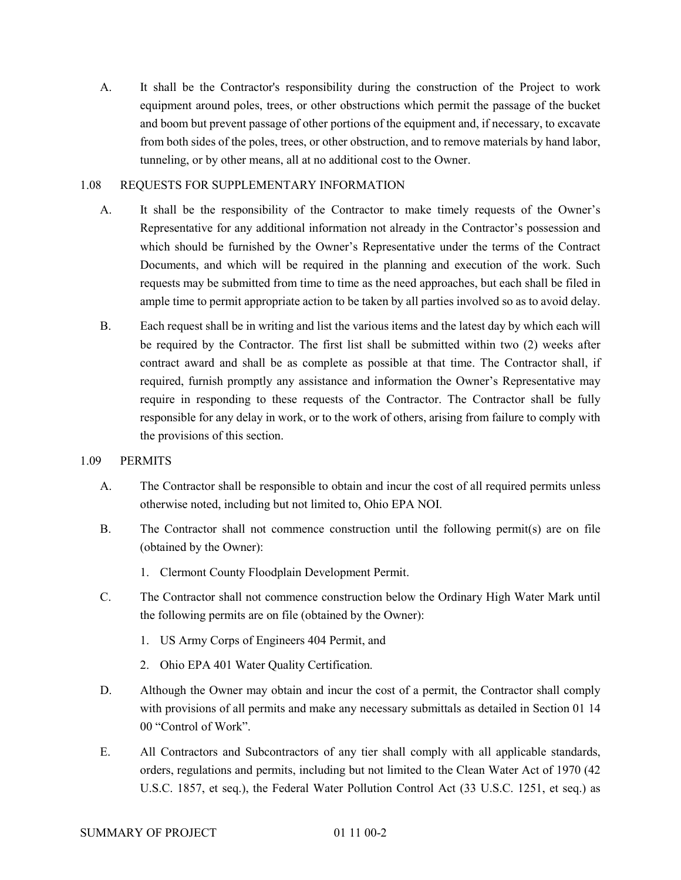A. It shall be the Contractor's responsibility during the construction of the Project to work equipment around poles, trees, or other obstructions which permit the passage of the bucket and boom but prevent passage of other portions of the equipment and, if necessary, to excavate from both sides of the poles, trees, or other obstruction, and to remove materials by hand labor, tunneling, or by other means, all at no additional cost to the Owner.

# 1.08 REQUESTS FOR SUPPLEMENTARY INFORMATION

- A. It shall be the responsibility of the Contractor to make timely requests of the Owner's Representative for any additional information not already in the Contractor's possession and which should be furnished by the Owner's Representative under the terms of the Contract Documents, and which will be required in the planning and execution of the work. Such requests may be submitted from time to time as the need approaches, but each shall be filed in ample time to permit appropriate action to be taken by all parties involved so as to avoid delay.
- B. Each request shall be in writing and list the various items and the latest day by which each will be required by the Contractor. The first list shall be submitted within two (2) weeks after contract award and shall be as complete as possible at that time. The Contractor shall, if required, furnish promptly any assistance and information the Owner's Representative may require in responding to these requests of the Contractor. The Contractor shall be fully responsible for any delay in work, or to the work of others, arising from failure to comply with the provisions of this section.

# 1.09 PERMITS

- A. The Contractor shall be responsible to obtain and incur the cost of all required permits unless otherwise noted, including but not limited to, Ohio EPA NOI.
- B. The Contractor shall not commence construction until the following permit(s) are on file (obtained by the Owner):
	- 1. Clermont County Floodplain Development Permit.
- C. The Contractor shall not commence construction below the Ordinary High Water Mark until the following permits are on file (obtained by the Owner):
	- 1. US Army Corps of Engineers 404 Permit, and
	- 2. Ohio EPA 401 Water Quality Certification.
- D. Although the Owner may obtain and incur the cost of a permit, the Contractor shall comply with provisions of all permits and make any necessary submittals as detailed in Section 01 14 00 "Control of Work".
- E. All Contractors and Subcontractors of any tier shall comply with all applicable standards, orders, regulations and permits, including but not limited to the Clean Water Act of 1970 (42 U.S.C. 1857, et seq.), the Federal Water Pollution Control Act (33 U.S.C. 1251, et seq.) as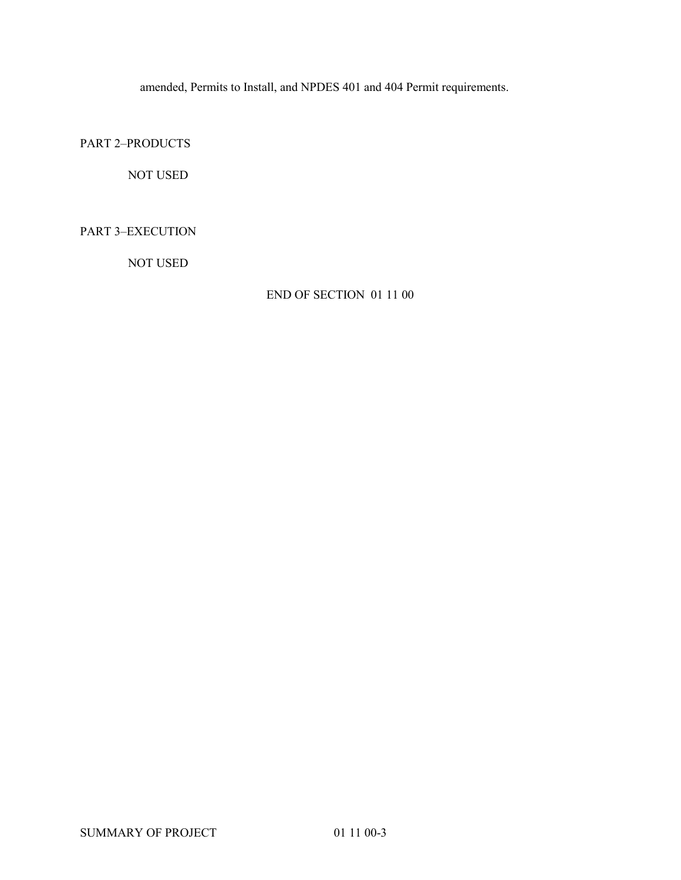amended, Permits to Install, and NPDES 401 and 404 Permit requirements.

PART 2–PRODUCTS

NOT USED

PART 3–EXECUTION

NOT USED

END OF SECTION 01 11 00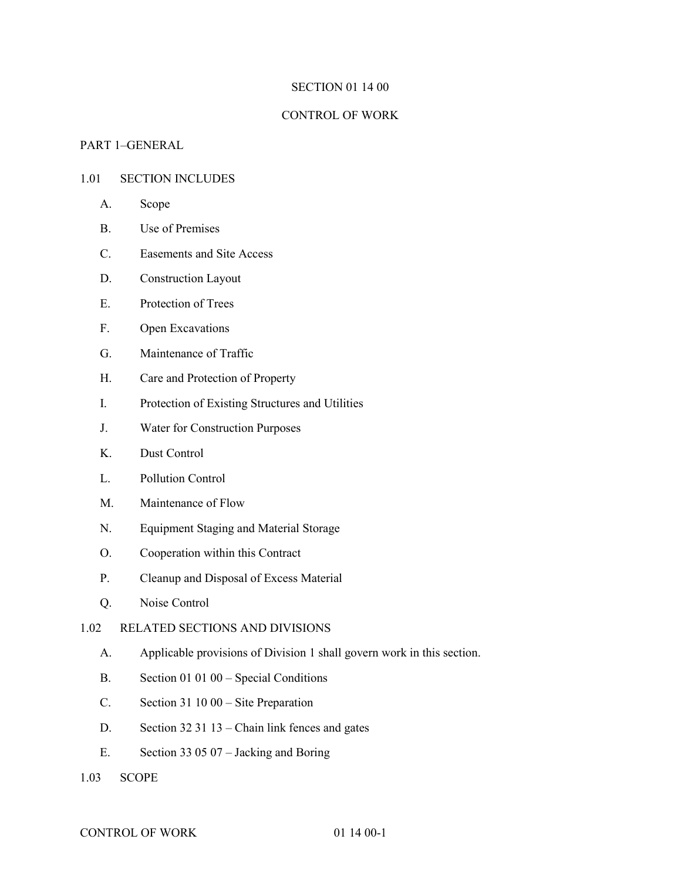### SECTION 01 14 00

#### CONTROL OF WORK

# PART 1–GENERAL

# 1.01 SECTION INCLUDES

- A. Scope
- B. Use of Premises
- C. Easements and Site Access
- D. Construction Layout
- E. Protection of Trees
- F. Open Excavations
- G. Maintenance of Traffic
- H. Care and Protection of Property
- I. Protection of Existing Structures and Utilities
- J. Water for Construction Purposes
- K. Dust Control
- L. Pollution Control
- M. Maintenance of Flow
- N. Equipment Staging and Material Storage
- O. Cooperation within this Contract
- P. Cleanup and Disposal of Excess Material
- Q. Noise Control

# 1.02 RELATED SECTIONS AND DIVISIONS

- A. Applicable provisions of Division 1 shall govern work in this section.
- B. Section 01 01 00 Special Conditions
- C. Section 31 10 00 Site Preparation
- D. Section 32 31 13 Chain link fences and gates
- E. Section 33 05 07 Jacking and Boring
- 1.03 SCOPE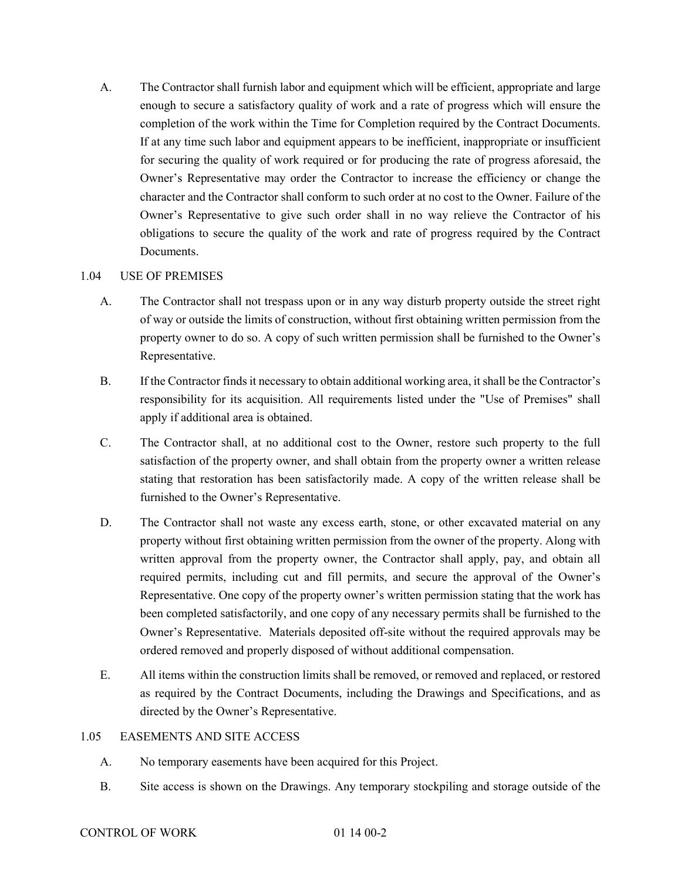A. The Contractor shall furnish labor and equipment which will be efficient, appropriate and large enough to secure a satisfactory quality of work and a rate of progress which will ensure the completion of the work within the Time for Completion required by the Contract Documents. If at any time such labor and equipment appears to be inefficient, inappropriate or insufficient for securing the quality of work required or for producing the rate of progress aforesaid, the Owner's Representative may order the Contractor to increase the efficiency or change the character and the Contractor shall conform to such order at no cost to the Owner. Failure of the Owner's Representative to give such order shall in no way relieve the Contractor of his obligations to secure the quality of the work and rate of progress required by the Contract Documents.

# 1.04 USE OF PREMISES

- A. The Contractor shall not trespass upon or in any way disturb property outside the street right of way or outside the limits of construction, without first obtaining written permission from the property owner to do so. A copy of such written permission shall be furnished to the Owner's Representative.
- B. If the Contractor finds it necessary to obtain additional working area, it shall be the Contractor's responsibility for its acquisition. All requirements listed under the "Use of Premises" shall apply if additional area is obtained.
- C. The Contractor shall, at no additional cost to the Owner, restore such property to the full satisfaction of the property owner, and shall obtain from the property owner a written release stating that restoration has been satisfactorily made. A copy of the written release shall be furnished to the Owner's Representative.
- D. The Contractor shall not waste any excess earth, stone, or other excavated material on any property without first obtaining written permission from the owner of the property. Along with written approval from the property owner, the Contractor shall apply, pay, and obtain all required permits, including cut and fill permits, and secure the approval of the Owner's Representative. One copy of the property owner's written permission stating that the work has been completed satisfactorily, and one copy of any necessary permits shall be furnished to the Owner's Representative. Materials deposited off-site without the required approvals may be ordered removed and properly disposed of without additional compensation.
- E. All items within the construction limits shall be removed, or removed and replaced, or restored as required by the Contract Documents, including the Drawings and Specifications, and as directed by the Owner's Representative.

#### 1.05 EASEMENTS AND SITE ACCESS

- A. No temporary easements have been acquired for this Project.
- B. Site access is shown on the Drawings. Any temporary stockpiling and storage outside of the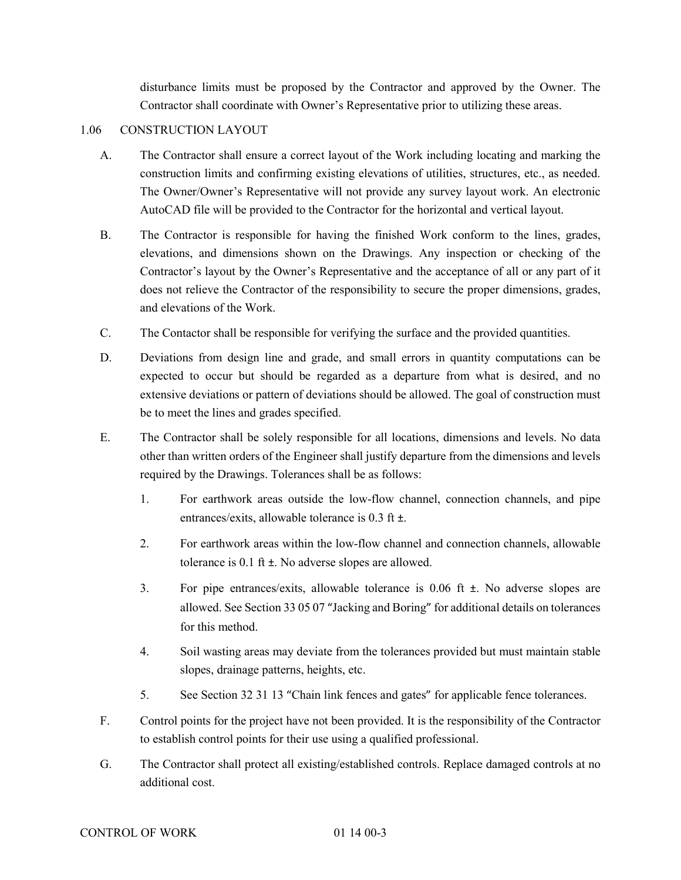disturbance limits must be proposed by the Contractor and approved by the Owner. The Contractor shall coordinate with Owner's Representative prior to utilizing these areas.

# 1.06 CONSTRUCTION LAYOUT

- A. The Contractor shall ensure a correct layout of the Work including locating and marking the construction limits and confirming existing elevations of utilities, structures, etc., as needed. The Owner/Owner's Representative will not provide any survey layout work. An electronic AutoCAD file will be provided to the Contractor for the horizontal and vertical layout.
- B. The Contractor is responsible for having the finished Work conform to the lines, grades, elevations, and dimensions shown on the Drawings. Any inspection or checking of the Contractor's layout by the Owner's Representative and the acceptance of all or any part of it does not relieve the Contractor of the responsibility to secure the proper dimensions, grades, and elevations of the Work.
- C. The Contactor shall be responsible for verifying the surface and the provided quantities.
- D. Deviations from design line and grade, and small errors in quantity computations can be expected to occur but should be regarded as a departure from what is desired, and no extensive deviations or pattern of deviations should be allowed. The goal of construction must be to meet the lines and grades specified.
- E. The Contractor shall be solely responsible for all locations, dimensions and levels. No data other than written orders of the Engineer shall justify departure from the dimensions and levels required by the Drawings. Tolerances shall be as follows:
	- 1. For earthwork areas outside the low-flow channel, connection channels, and pipe entrances/exits, allowable tolerance is 0.3 ft ±.
	- 2. For earthwork areas within the low-flow channel and connection channels, allowable tolerance is 0.1 ft ±. No adverse slopes are allowed.
	- 3. For pipe entrances/exits, allowable tolerance is 0.06 ft ±. No adverse slopes are allowed. See Section 33 05 07 "Jacking and Boring" for additional details on tolerances for this method.
	- 4. Soil wasting areas may deviate from the tolerances provided but must maintain stable slopes, drainage patterns, heights, etc.
	- 5. See Section 32 31 13 "Chain link fences and gates" for applicable fence tolerances.
- F. Control points for the project have not been provided. It is the responsibility of the Contractor to establish control points for their use using a qualified professional.
- G. The Contractor shall protect all existing/established controls. Replace damaged controls at no additional cost.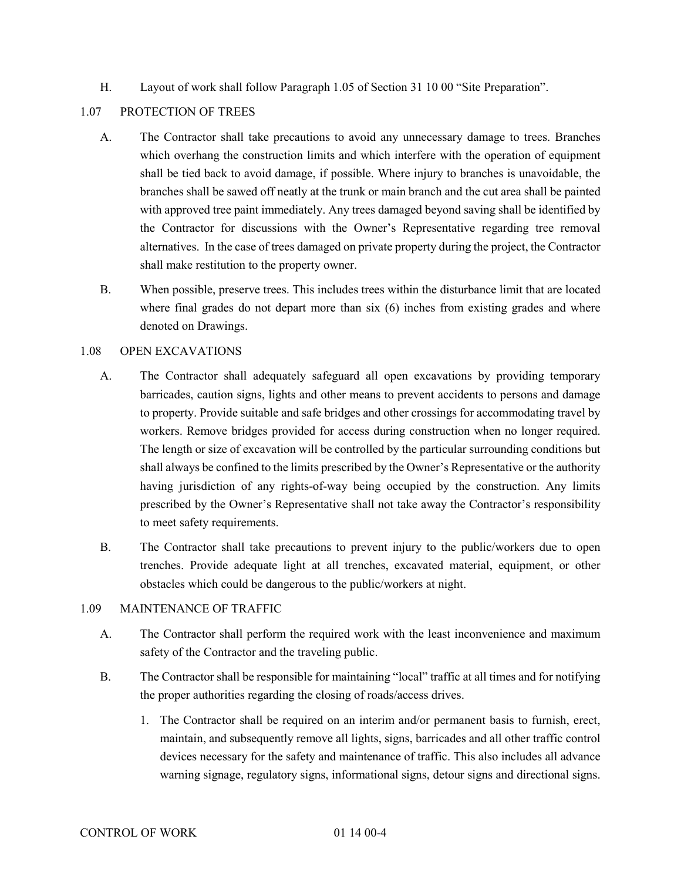H. Layout of work shall follow Paragraph 1.05 of Section 31 10 00 "Site Preparation".

## 1.07 PROTECTION OF TREES

- A. The Contractor shall take precautions to avoid any unnecessary damage to trees. Branches which overhang the construction limits and which interfere with the operation of equipment shall be tied back to avoid damage, if possible. Where injury to branches is unavoidable, the branches shall be sawed off neatly at the trunk or main branch and the cut area shall be painted with approved tree paint immediately. Any trees damaged beyond saving shall be identified by the Contractor for discussions with the Owner's Representative regarding tree removal alternatives. In the case of trees damaged on private property during the project, the Contractor shall make restitution to the property owner.
- B. When possible, preserve trees. This includes trees within the disturbance limit that are located where final grades do not depart more than six (6) inches from existing grades and where denoted on Drawings.

# 1.08 OPEN EXCAVATIONS

- A. The Contractor shall adequately safeguard all open excavations by providing temporary barricades, caution signs, lights and other means to prevent accidents to persons and damage to property. Provide suitable and safe bridges and other crossings for accommodating travel by workers. Remove bridges provided for access during construction when no longer required. The length or size of excavation will be controlled by the particular surrounding conditions but shall always be confined to the limits prescribed by the Owner's Representative or the authority having jurisdiction of any rights-of-way being occupied by the construction. Any limits prescribed by the Owner's Representative shall not take away the Contractor's responsibility to meet safety requirements.
- B. The Contractor shall take precautions to prevent injury to the public/workers due to open trenches. Provide adequate light at all trenches, excavated material, equipment, or other obstacles which could be dangerous to the public/workers at night.

# 1.09 MAINTENANCE OF TRAFFIC

- A. The Contractor shall perform the required work with the least inconvenience and maximum safety of the Contractor and the traveling public.
- B. The Contractor shall be responsible for maintaining "local" traffic at all times and for notifying the proper authorities regarding the closing of roads/access drives.
	- 1. The Contractor shall be required on an interim and/or permanent basis to furnish, erect, maintain, and subsequently remove all lights, signs, barricades and all other traffic control devices necessary for the safety and maintenance of traffic. This also includes all advance warning signage, regulatory signs, informational signs, detour signs and directional signs.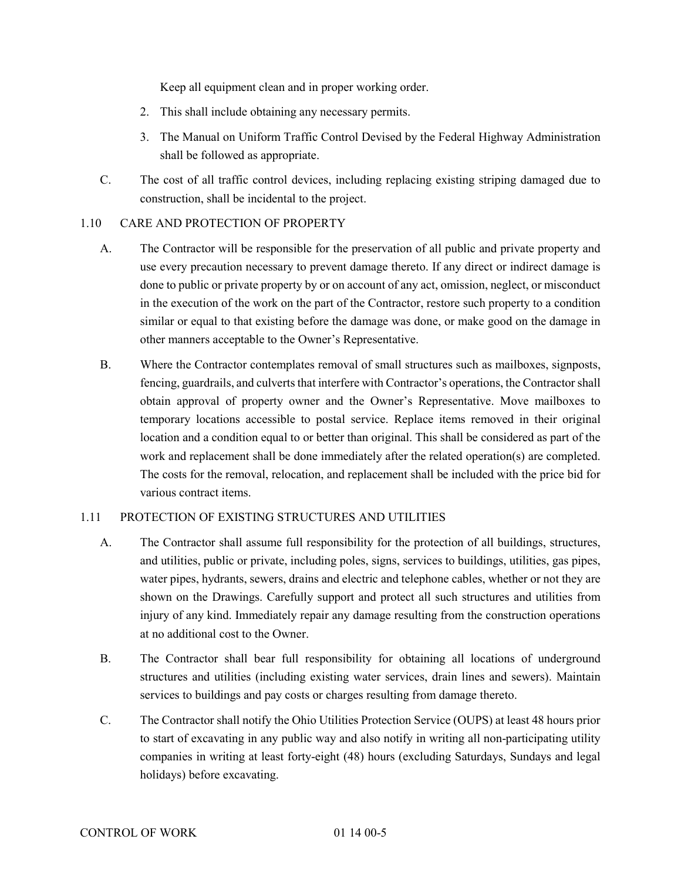Keep all equipment clean and in proper working order.

- 2. This shall include obtaining any necessary permits.
- 3. The Manual on Uniform Traffic Control Devised by the Federal Highway Administration shall be followed as appropriate.
- C. The cost of all traffic control devices, including replacing existing striping damaged due to construction, shall be incidental to the project.

# 1.10 CARE AND PROTECTION OF PROPERTY

- A. The Contractor will be responsible for the preservation of all public and private property and use every precaution necessary to prevent damage thereto. If any direct or indirect damage is done to public or private property by or on account of any act, omission, neglect, or misconduct in the execution of the work on the part of the Contractor, restore such property to a condition similar or equal to that existing before the damage was done, or make good on the damage in other manners acceptable to the Owner's Representative.
- B. Where the Contractor contemplates removal of small structures such as mailboxes, signposts, fencing, guardrails, and culverts that interfere with Contractor's operations, the Contractor shall obtain approval of property owner and the Owner's Representative. Move mailboxes to temporary locations accessible to postal service. Replace items removed in their original location and a condition equal to or better than original. This shall be considered as part of the work and replacement shall be done immediately after the related operation(s) are completed. The costs for the removal, relocation, and replacement shall be included with the price bid for various contract items.

# 1.11 PROTECTION OF EXISTING STRUCTURES AND UTILITIES

- A. The Contractor shall assume full responsibility for the protection of all buildings, structures, and utilities, public or private, including poles, signs, services to buildings, utilities, gas pipes, water pipes, hydrants, sewers, drains and electric and telephone cables, whether or not they are shown on the Drawings. Carefully support and protect all such structures and utilities from injury of any kind. Immediately repair any damage resulting from the construction operations at no additional cost to the Owner.
- B. The Contractor shall bear full responsibility for obtaining all locations of underground structures and utilities (including existing water services, drain lines and sewers). Maintain services to buildings and pay costs or charges resulting from damage thereto.
- C. The Contractor shall notify the Ohio Utilities Protection Service (OUPS) at least 48 hours prior to start of excavating in any public way and also notify in writing all non-participating utility companies in writing at least forty-eight (48) hours (excluding Saturdays, Sundays and legal holidays) before excavating.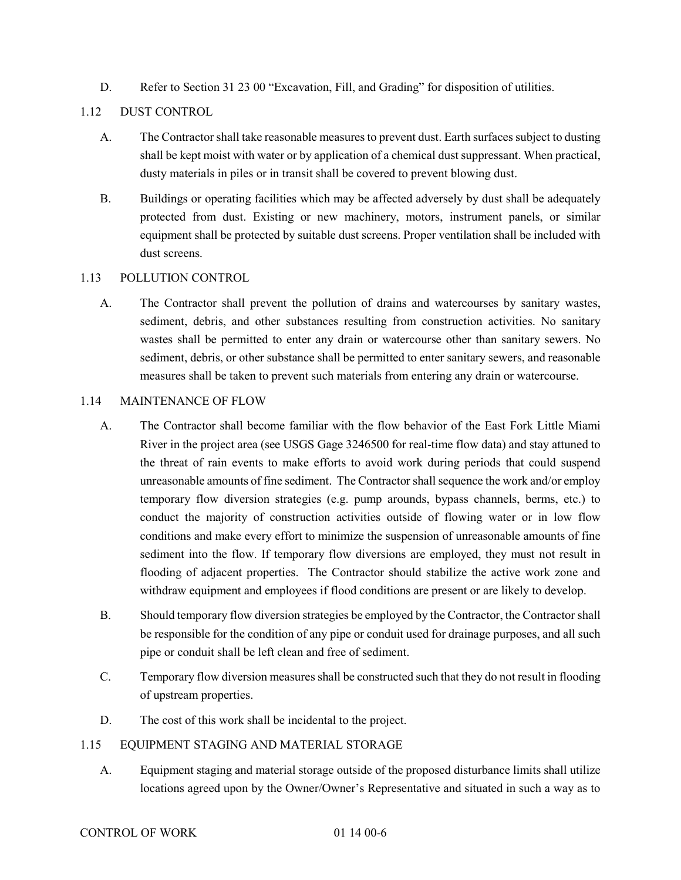D. Refer to Section 31 23 00 "Excavation, Fill, and Grading" for disposition of utilities.

# 1.12 DUST CONTROL

- A. The Contractor shall take reasonable measuresto prevent dust. Earth surfaces subject to dusting shall be kept moist with water or by application of a chemical dust suppressant. When practical, dusty materials in piles or in transit shall be covered to prevent blowing dust.
- B. Buildings or operating facilities which may be affected adversely by dust shall be adequately protected from dust. Existing or new machinery, motors, instrument panels, or similar equipment shall be protected by suitable dust screens. Proper ventilation shall be included with dust screens.

# 1.13 POLLUTION CONTROL

A. The Contractor shall prevent the pollution of drains and watercourses by sanitary wastes, sediment, debris, and other substances resulting from construction activities. No sanitary wastes shall be permitted to enter any drain or watercourse other than sanitary sewers. No sediment, debris, or other substance shall be permitted to enter sanitary sewers, and reasonable measures shall be taken to prevent such materials from entering any drain or watercourse.

# 1.14 MAINTENANCE OF FLOW

- A. The Contractor shall become familiar with the flow behavior of the East Fork Little Miami River in the project area (see USGS Gage 3246500 for real-time flow data) and stay attuned to the threat of rain events to make efforts to avoid work during periods that could suspend unreasonable amounts of fine sediment. The Contractor shall sequence the work and/or employ temporary flow diversion strategies (e.g. pump arounds, bypass channels, berms, etc.) to conduct the majority of construction activities outside of flowing water or in low flow conditions and make every effort to minimize the suspension of unreasonable amounts of fine sediment into the flow. If temporary flow diversions are employed, they must not result in flooding of adjacent properties. The Contractor should stabilize the active work zone and withdraw equipment and employees if flood conditions are present or are likely to develop.
- B. Should temporary flow diversion strategies be employed by the Contractor, the Contractor shall be responsible for the condition of any pipe or conduit used for drainage purposes, and all such pipe or conduit shall be left clean and free of sediment.
- C. Temporary flow diversion measures shall be constructed such that they do not result in flooding of upstream properties.
- D. The cost of this work shall be incidental to the project.

# 1.15 EQUIPMENT STAGING AND MATERIAL STORAGE

A. Equipment staging and material storage outside of the proposed disturbance limits shall utilize locations agreed upon by the Owner/Owner's Representative and situated in such a way as to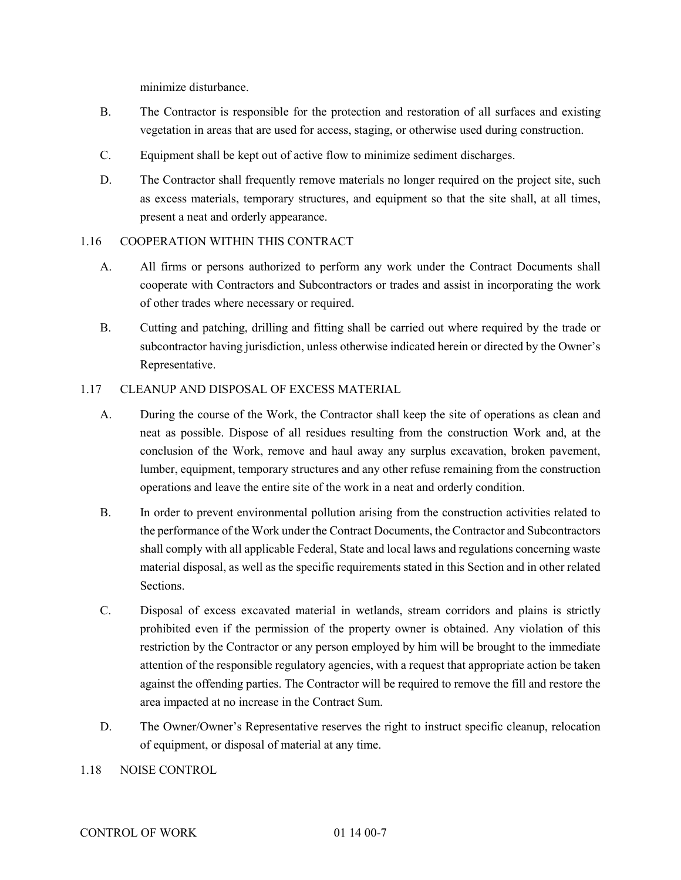minimize disturbance.

- B. The Contractor is responsible for the protection and restoration of all surfaces and existing vegetation in areas that are used for access, staging, or otherwise used during construction.
- C. Equipment shall be kept out of active flow to minimize sediment discharges.
- D. The Contractor shall frequently remove materials no longer required on the project site, such as excess materials, temporary structures, and equipment so that the site shall, at all times, present a neat and orderly appearance.

# 1.16 COOPERATION WITHIN THIS CONTRACT

- A. All firms or persons authorized to perform any work under the Contract Documents shall cooperate with Contractors and Subcontractors or trades and assist in incorporating the work of other trades where necessary or required.
- B. Cutting and patching, drilling and fitting shall be carried out where required by the trade or subcontractor having jurisdiction, unless otherwise indicated herein or directed by the Owner's Representative.

## 1.17 CLEANUP AND DISPOSAL OF EXCESS MATERIAL

- A. During the course of the Work, the Contractor shall keep the site of operations as clean and neat as possible. Dispose of all residues resulting from the construction Work and, at the conclusion of the Work, remove and haul away any surplus excavation, broken pavement, lumber, equipment, temporary structures and any other refuse remaining from the construction operations and leave the entire site of the work in a neat and orderly condition.
- B. In order to prevent environmental pollution arising from the construction activities related to the performance of the Work under the Contract Documents, the Contractor and Subcontractors shall comply with all applicable Federal, State and local laws and regulations concerning waste material disposal, as well as the specific requirements stated in this Section and in other related Sections.
- C. Disposal of excess excavated material in wetlands, stream corridors and plains is strictly prohibited even if the permission of the property owner is obtained. Any violation of this restriction by the Contractor or any person employed by him will be brought to the immediate attention of the responsible regulatory agencies, with a request that appropriate action be taken against the offending parties. The Contractor will be required to remove the fill and restore the area impacted at no increase in the Contract Sum.
- D. The Owner/Owner's Representative reserves the right to instruct specific cleanup, relocation of equipment, or disposal of material at any time.
- 1.18 NOISE CONTROL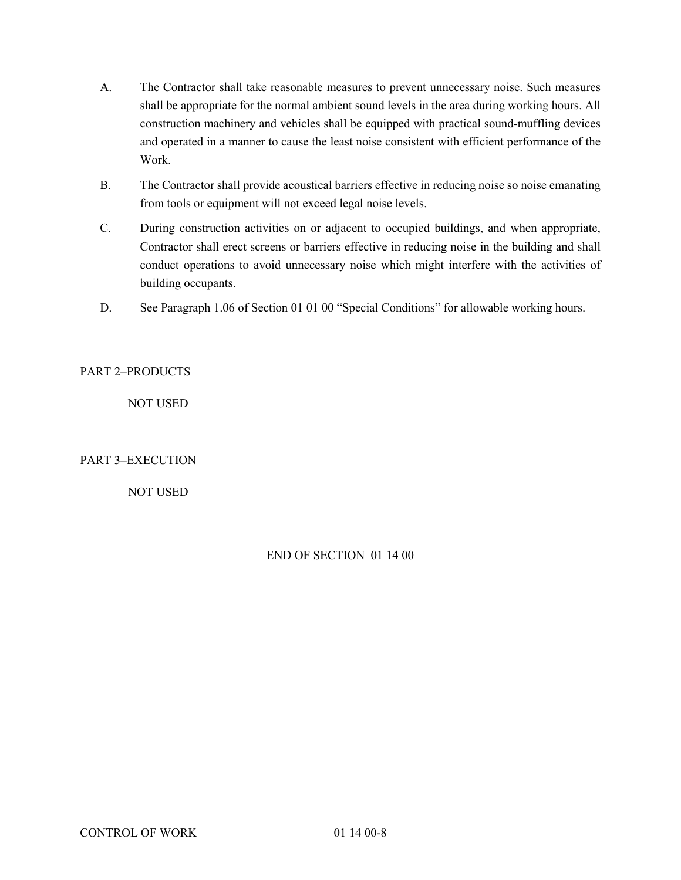- A. The Contractor shall take reasonable measures to prevent unnecessary noise. Such measures shall be appropriate for the normal ambient sound levels in the area during working hours. All construction machinery and vehicles shall be equipped with practical sound-muffling devices and operated in a manner to cause the least noise consistent with efficient performance of the Work.
- B. The Contractor shall provide acoustical barriers effective in reducing noise so noise emanating from tools or equipment will not exceed legal noise levels.
- C. During construction activities on or adjacent to occupied buildings, and when appropriate, Contractor shall erect screens or barriers effective in reducing noise in the building and shall conduct operations to avoid unnecessary noise which might interfere with the activities of building occupants.
- D. See Paragraph 1.06 of Section 01 01 00 "Special Conditions" for allowable working hours.

PART 2–PRODUCTS

NOT USED

# PART 3–EXECUTION

NOT USED

# END OF SECTION 01 14 00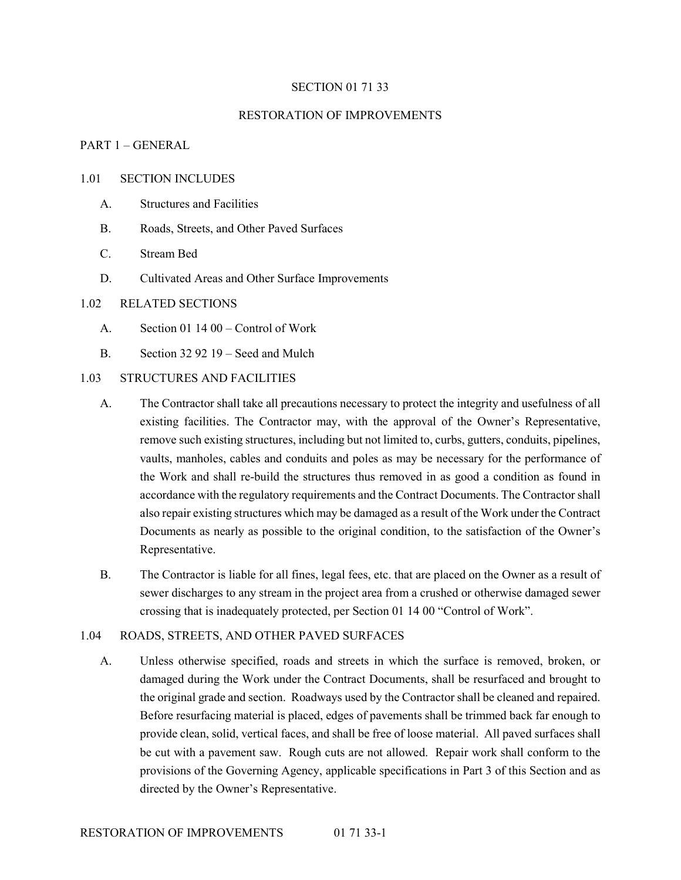#### SECTION 01 71 33

#### RESTORATION OF IMPROVEMENTS

## PART 1 – GENERAL

#### 1.01 SECTION INCLUDES

- A. Structures and Facilities
- B. Roads, Streets, and Other Paved Surfaces
- C. Stream Bed
- D. Cultivated Areas and Other Surface Improvements

#### 1.02 RELATED SECTIONS

- A. Section 01 14 00 Control of Work
- B. Section 32 92 19 Seed and Mulch
- 1.03 STRUCTURES AND FACILITIES
	- A. The Contractor shall take all precautions necessary to protect the integrity and usefulness of all existing facilities. The Contractor may, with the approval of the Owner's Representative, remove such existing structures, including but not limited to, curbs, gutters, conduits, pipelines, vaults, manholes, cables and conduits and poles as may be necessary for the performance of the Work and shall re-build the structures thus removed in as good a condition as found in accordance with the regulatory requirements and the Contract Documents. The Contractor shall also repair existing structures which may be damaged as a result of the Work under the Contract Documents as nearly as possible to the original condition, to the satisfaction of the Owner's Representative.
	- B. The Contractor is liable for all fines, legal fees, etc. that are placed on the Owner as a result of sewer discharges to any stream in the project area from a crushed or otherwise damaged sewer crossing that is inadequately protected, per Section 01 14 00 "Control of Work".

#### 1.04 ROADS, STREETS, AND OTHER PAVED SURFACES

A. Unless otherwise specified, roads and streets in which the surface is removed, broken, or damaged during the Work under the Contract Documents, shall be resurfaced and brought to the original grade and section. Roadways used by the Contractor shall be cleaned and repaired. Before resurfacing material is placed, edges of pavements shall be trimmed back far enough to provide clean, solid, vertical faces, and shall be free of loose material. All paved surfaces shall be cut with a pavement saw. Rough cuts are not allowed. Repair work shall conform to the provisions of the Governing Agency, applicable specifications in Part 3 of this Section and as directed by the Owner's Representative.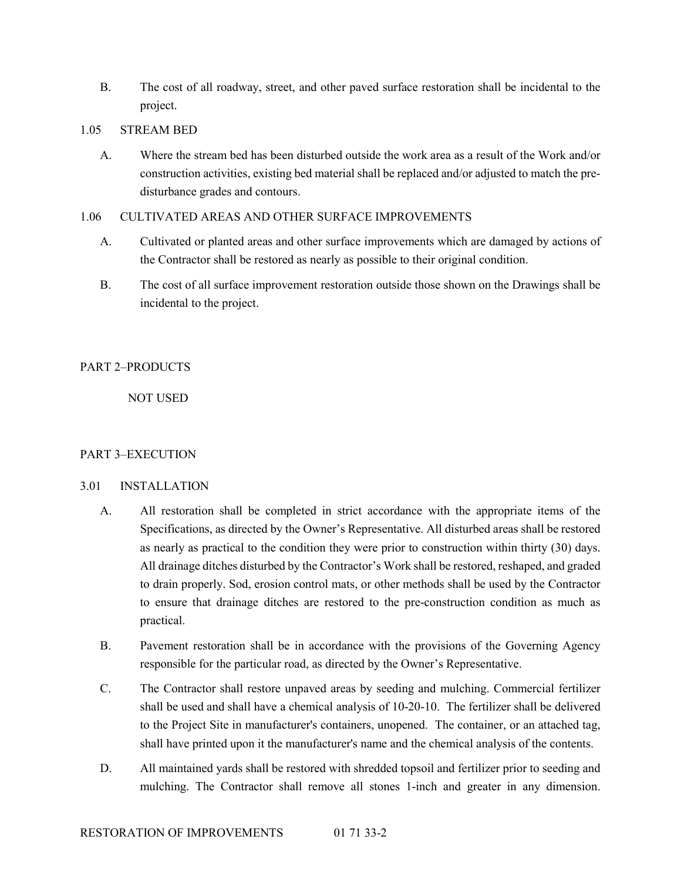B. The cost of all roadway, street, and other paved surface restoration shall be incidental to the project.

#### 1.05 STREAM BED

A. Where the stream bed has been disturbed outside the work area as a result of the Work and/or construction activities, existing bed material shall be replaced and/or adjusted to match the predisturbance grades and contours.

# 1.06 CULTIVATED AREAS AND OTHER SURFACE IMPROVEMENTS

- A. Cultivated or planted areas and other surface improvements which are damaged by actions of the Contractor shall be restored as nearly as possible to their original condition.
- B. The cost of all surface improvement restoration outside those shown on the Drawings shall be incidental to the project.

# PART 2–PRODUCTS

NOT USED

# PART 3–EXECUTION

# 3.01 INSTALLATION

- A. All restoration shall be completed in strict accordance with the appropriate items of the Specifications, as directed by the Owner's Representative. All disturbed areas shall be restored as nearly as practical to the condition they were prior to construction within thirty (30) days. All drainage ditches disturbed by the Contractor's Work shall be restored, reshaped, and graded to drain properly. Sod, erosion control mats, or other methods shall be used by the Contractor to ensure that drainage ditches are restored to the pre-construction condition as much as practical.
- B. Pavement restoration shall be in accordance with the provisions of the Governing Agency responsible for the particular road, as directed by the Owner's Representative.
- C. The Contractor shall restore unpaved areas by seeding and mulching. Commercial fertilizer shall be used and shall have a chemical analysis of 10-20-10. The fertilizer shall be delivered to the Project Site in manufacturer's containers, unopened. The container, or an attached tag, shall have printed upon it the manufacturer's name and the chemical analysis of the contents.
- D. All maintained yards shall be restored with shredded topsoil and fertilizer prior to seeding and mulching. The Contractor shall remove all stones 1-inch and greater in any dimension.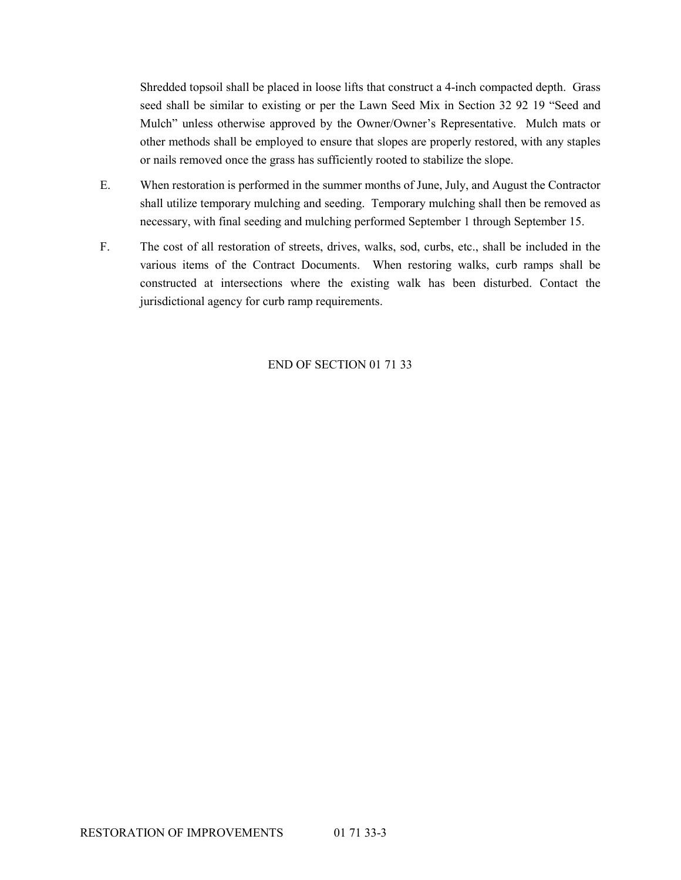Shredded topsoil shall be placed in loose lifts that construct a 4-inch compacted depth. Grass seed shall be similar to existing or per the Lawn Seed Mix in Section 32 92 19 "Seed and Mulch" unless otherwise approved by the Owner/Owner's Representative. Mulch mats or other methods shall be employed to ensure that slopes are properly restored, with any staples or nails removed once the grass has sufficiently rooted to stabilize the slope.

- E. When restoration is performed in the summer months of June, July, and August the Contractor shall utilize temporary mulching and seeding. Temporary mulching shall then be removed as necessary, with final seeding and mulching performed September 1 through September 15.
- F. The cost of all restoration of streets, drives, walks, sod, curbs, etc., shall be included in the various items of the Contract Documents. When restoring walks, curb ramps shall be constructed at intersections where the existing walk has been disturbed. Contact the jurisdictional agency for curb ramp requirements.

# END OF SECTION 01 71 33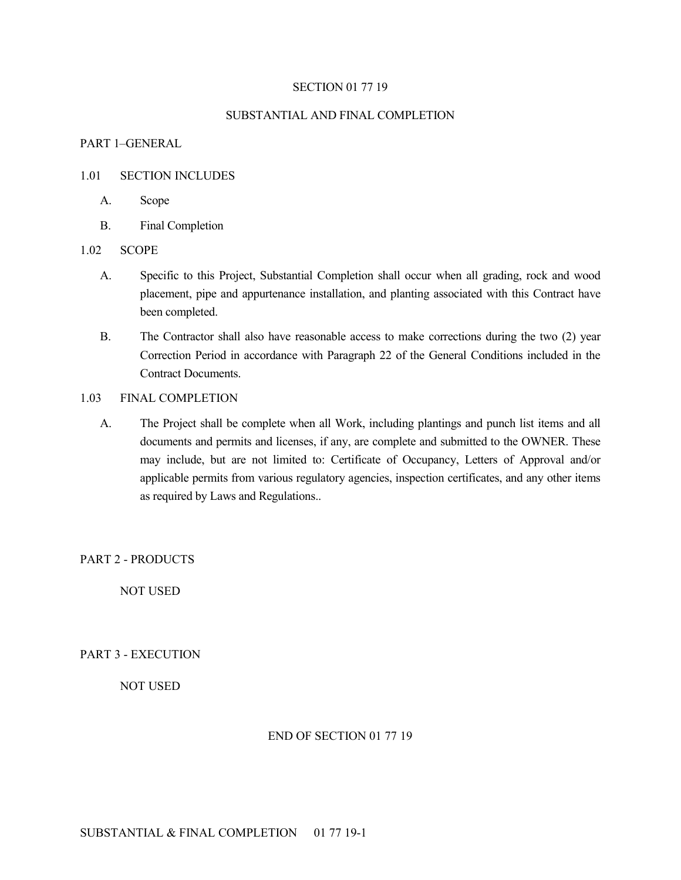#### SECTION 01 77 19

## SUBSTANTIAL AND FINAL COMPLETION

## PART 1–GENERAL

## 1.01 SECTION INCLUDES

- A. Scope
- B. Final Completion

## 1.02 SCOPE

- A. Specific to this Project, Substantial Completion shall occur when all grading, rock and wood placement, pipe and appurtenance installation, and planting associated with this Contract have been completed.
- B. The Contractor shall also have reasonable access to make corrections during the two (2) year Correction Period in accordance with Paragraph 22 of the General Conditions included in the Contract Documents.

# 1.03 FINAL COMPLETION

A. The Project shall be complete when all Work, including plantings and punch list items and all documents and permits and licenses, if any, are complete and submitted to the OWNER. These may include, but are not limited to: Certificate of Occupancy, Letters of Approval and/or applicable permits from various regulatory agencies, inspection certificates, and any other items as required by Laws and Regulations..

PART 2 - PRODUCTS

NOT USED

PART 3 - EXECUTION

NOT USED

# END OF SECTION 01 77 19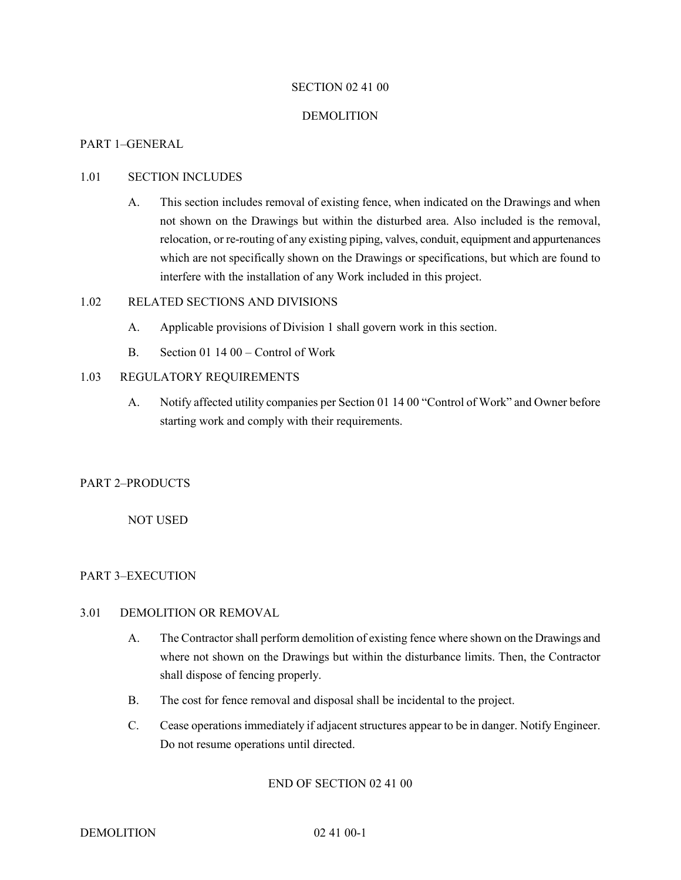## SECTION 02 41 00

#### DEMOLITION

#### PART 1–GENERAL

## 1.01 SECTION INCLUDES

A. This section includes removal of existing fence, when indicated on the Drawings and when not shown on the Drawings but within the disturbed area. Also included is the removal, relocation, or re-routing of any existing piping, valves, conduit, equipment and appurtenances which are not specifically shown on the Drawings or specifications, but which are found to interfere with the installation of any Work included in this project.

## 1.02 RELATED SECTIONS AND DIVISIONS

- A. Applicable provisions of Division 1 shall govern work in this section.
- B. Section 01 14 00 Control of Work

## 1.03 REGULATORY REQUIREMENTS

A. Notify affected utility companies per Section 01 14 00 "Control of Work" and Owner before starting work and comply with their requirements.

# PART 2–PRODUCTS

# NOT USED

# PART 3–EXECUTION

# 3.01 DEMOLITION OR REMOVAL

- A. The Contractor shall perform demolition of existing fence where shown on the Drawings and where not shown on the Drawings but within the disturbance limits. Then, the Contractor shall dispose of fencing properly.
- B. The cost for fence removal and disposal shall be incidental to the project.
- C. Cease operations immediately if adjacent structures appear to be in danger. Notify Engineer. Do not resume operations until directed.

#### END OF SECTION 02 41 00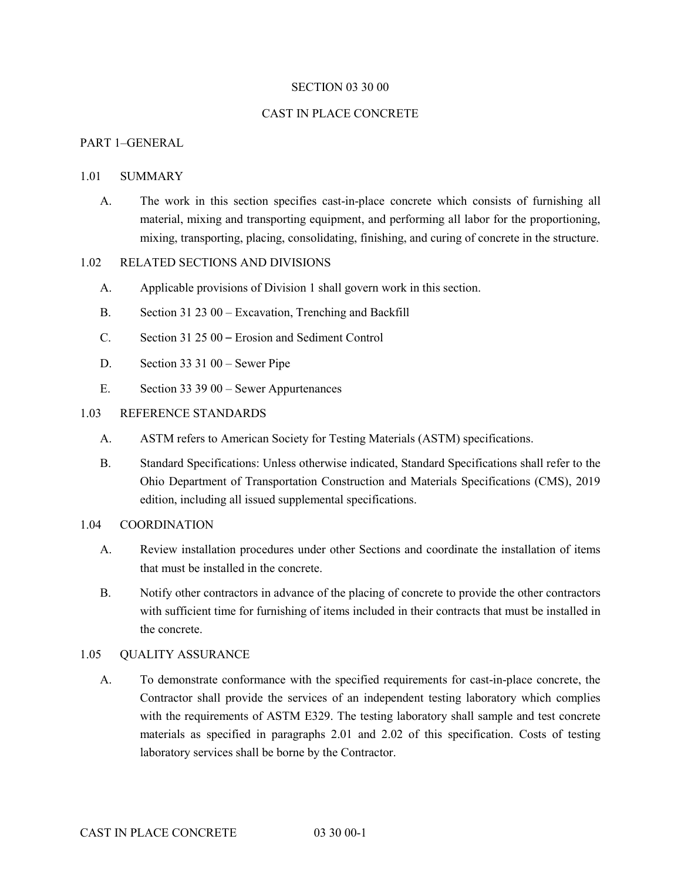#### SECTION 03 30 00

#### CAST IN PLACE CONCRETE

# PART 1–GENERAL

#### 1.01 SUMMARY

A. The work in this section specifies cast-in-place concrete which consists of furnishing all material, mixing and transporting equipment, and performing all labor for the proportioning, mixing, transporting, placing, consolidating, finishing, and curing of concrete in the structure.

# 1.02 RELATED SECTIONS AND DIVISIONS

- A. Applicable provisions of Division 1 shall govern work in this section.
- B. Section 31 23 00 Excavation, Trenching and Backfill
- C. Section 31 25 00 Erosion and Sediment Control
- D. Section 33 31 00 Sewer Pipe
- E. Section 33 39 00 Sewer Appurtenances

#### 1.03 REFERENCE STANDARDS

- A. ASTM refers to American Society for Testing Materials (ASTM) specifications.
- B. Standard Specifications: Unless otherwise indicated, Standard Specifications shall refer to the Ohio Department of Transportation Construction and Materials Specifications (CMS), 2019 edition, including all issued supplemental specifications.

#### 1.04 COORDINATION

- A. Review installation procedures under other Sections and coordinate the installation of items that must be installed in the concrete.
- B. Notify other contractors in advance of the placing of concrete to provide the other contractors with sufficient time for furnishing of items included in their contracts that must be installed in the concrete.

## 1.05 QUALITY ASSURANCE

A. To demonstrate conformance with the specified requirements for cast-in-place concrete, the Contractor shall provide the services of an independent testing laboratory which complies with the requirements of ASTM E329. The testing laboratory shall sample and test concrete materials as specified in paragraphs 2.01 and 2.02 of this specification. Costs of testing laboratory services shall be borne by the Contractor.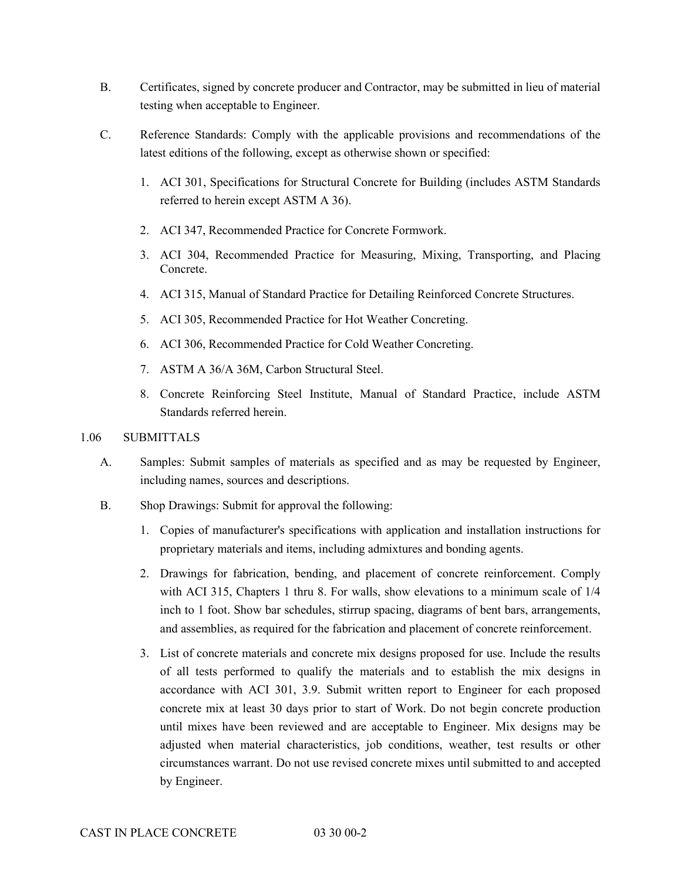- B. Certificates, signed by concrete producer and Contractor, may be submitted in lieu of material testing when acceptable to Engineer.
- C. Reference Standards: Comply with the applicable provisions and recommendations of the latest editions of the following, except as otherwise shown or specified:
	- 1. ACI 301, Specifications for Structural Concrete for Building (includes ASTM Standards referred to herein except ASTM A 36).
	- 2. ACI 347, Recommended Practice for Concrete Formwork.
	- 3. ACI 304, Recommended Practice for Measuring, Mixing, Transporting, and Placing Concrete.
	- 4. ACI 315, Manual of Standard Practice for Detailing Reinforced Concrete Structures.
	- 5. ACI 305, Recommended Practice for Hot Weather Concreting.
	- 6. ACI 306, Recommended Practice for Cold Weather Concreting.
	- 7. ASTM A 36/A 36M, Carbon Structural Steel.
	- 8. Concrete Reinforcing Steel Institute, Manual of Standard Practice, include ASTM Standards referred herein.
- 1.06 SUBMITTALS
	- A. Samples: Submit samples of materials as specified and as may be requested by Engineer, including names, sources and descriptions.
	- B. Shop Drawings: Submit for approval the following:
		- 1. Copies of manufacturer's specifications with application and installation instructions for proprietary materials and items, including admixtures and bonding agents.
		- 2. Drawings for fabrication, bending, and placement of concrete reinforcement. Comply with ACI 315, Chapters 1 thru 8. For walls, show elevations to a minimum scale of 1/4 inch to 1 foot. Show bar schedules, stirrup spacing, diagrams of bent bars, arrangements, and assemblies, as required for the fabrication and placement of concrete reinforcement.
		- 3. List of concrete materials and concrete mix designs proposed for use. Include the results of all tests performed to qualify the materials and to establish the mix designs in accordance with ACI 301, 3.9. Submit written report to Engineer for each proposed concrete mix at least 30 days prior to start of Work. Do not begin concrete production until mixes have been reviewed and are acceptable to Engineer. Mix designs may be adjusted when material characteristics, job conditions, weather, test results or other circumstances warrant. Do not use revised concrete mixes until submitted to and accepted by Engineer.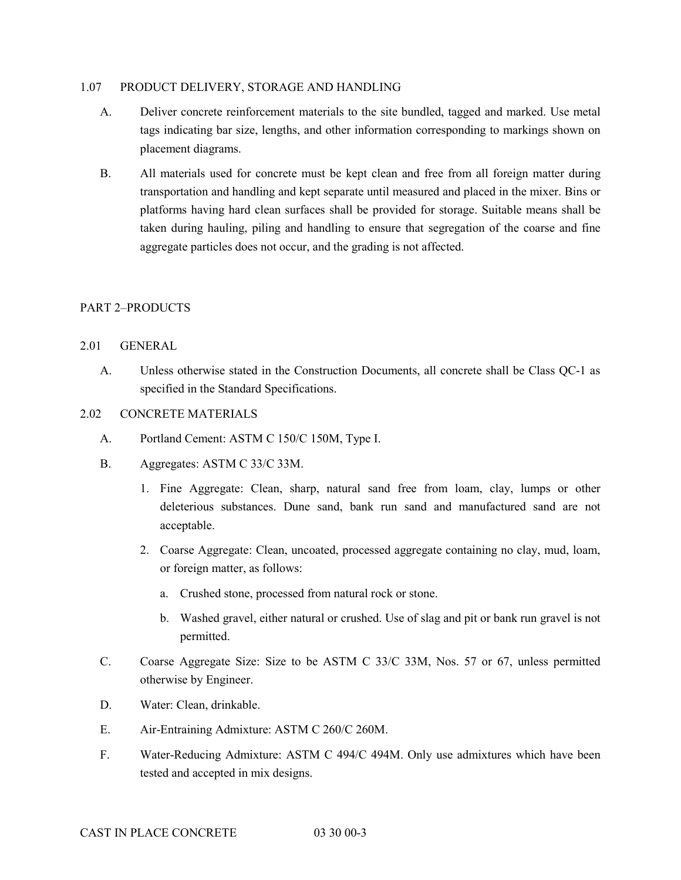#### 1.07 PRODUCT DELIVERY, STORAGE AND HANDLING

- A. Deliver concrete reinforcement materials to the site bundled, tagged and marked. Use metal tags indicating bar size, lengths, and other information corresponding to markings shown on placement diagrams.
- B. All materials used for concrete must be kept clean and free from all foreign matter during transportation and handling and kept separate until measured and placed in the mixer. Bins or platforms having hard clean surfaces shall be provided for storage. Suitable means shall be taken during hauling, piling and handling to ensure that segregation of the coarse and fine aggregate particles does not occur, and the grading is not affected.

# PART 2–PRODUCTS

## 2.01 GENERAL

A. Unless otherwise stated in the Construction Documents, all concrete shall be Class QC-1 as specified in the Standard Specifications.

# 2.02 CONCRETE MATERIALS

- A. Portland Cement: ASTM C 150/C 150M, Type I.
- B. Aggregates: ASTM C 33/C 33M.
	- 1. Fine Aggregate: Clean, sharp, natural sand free from loam, clay, lumps or other deleterious substances. Dune sand, bank run sand and manufactured sand are not acceptable.
	- 2. Coarse Aggregate: Clean, uncoated, processed aggregate containing no clay, mud, loam, or foreign matter, as follows:
		- a. Crushed stone, processed from natural rock or stone.
		- b. Washed gravel, either natural or crushed. Use of slag and pit or bank run gravel is not permitted.
- C. Coarse Aggregate Size: Size to be ASTM C 33/C 33M, Nos. 57 or 67, unless permitted otherwise by Engineer.
- D. Water: Clean, drinkable.
- E. Air-Entraining Admixture: ASTM C 260/C 260M.
- F. Water-Reducing Admixture: ASTM C 494/C 494M. Only use admixtures which have been tested and accepted in mix designs.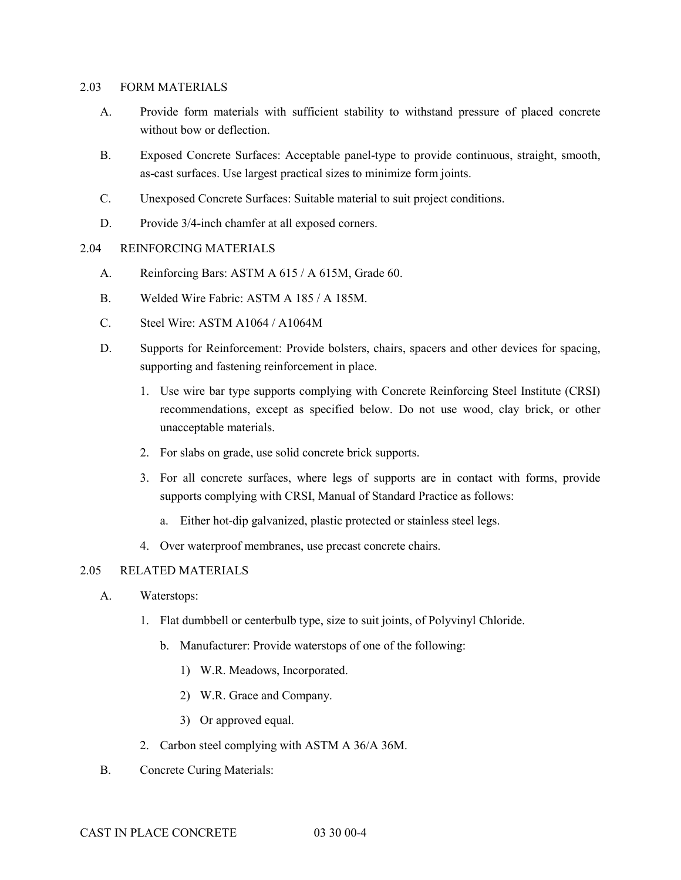#### 2.03 FORM MATERIALS

- A. Provide form materials with sufficient stability to withstand pressure of placed concrete without bow or deflection.
- B. Exposed Concrete Surfaces: Acceptable panel-type to provide continuous, straight, smooth, as-cast surfaces. Use largest practical sizes to minimize form joints.
- C. Unexposed Concrete Surfaces: Suitable material to suit project conditions.
- D. Provide  $3/4$ -inch chamfer at all exposed corners.

# 2.04 REINFORCING MATERIALS

- A. Reinforcing Bars: ASTM A 615 / A 615M, Grade 60.
- B. Welded Wire Fabric: ASTM A 185 / A 185M.
- C. Steel Wire: ASTM A1064 / A1064M
- D. Supports for Reinforcement: Provide bolsters, chairs, spacers and other devices for spacing, supporting and fastening reinforcement in place.
	- 1. Use wire bar type supports complying with Concrete Reinforcing Steel Institute (CRSI) recommendations, except as specified below. Do not use wood, clay brick, or other unacceptable materials.
	- 2. For slabs on grade, use solid concrete brick supports.
	- 3. For all concrete surfaces, where legs of supports are in contact with forms, provide supports complying with CRSI, Manual of Standard Practice as follows:
		- a. Either hot-dip galvanized, plastic protected or stainless steel legs.
	- 4. Over waterproof membranes, use precast concrete chairs.

# 2.05 RELATED MATERIALS

- A. Waterstops:
	- 1. Flat dumbbell or centerbulb type, size to suit joints, of Polyvinyl Chloride.
		- b. Manufacturer: Provide waterstops of one of the following:
			- 1) W.R. Meadows, Incorporated.
			- 2) W.R. Grace and Company.
			- 3) Or approved equal.
	- 2. Carbon steel complying with ASTM A 36/A 36M.
- B. Concrete Curing Materials: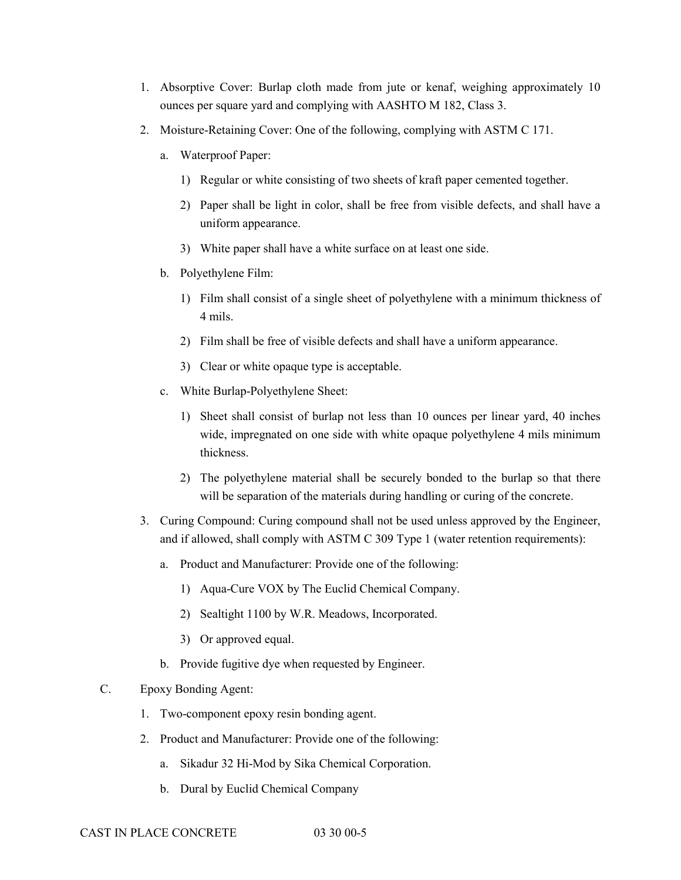- 1. Absorptive Cover: Burlap cloth made from jute or kenaf, weighing approximately 10 ounces per square yard and complying with AASHTO M 182, Class 3.
- 2. Moisture-Retaining Cover: One of the following, complying with ASTM C 171.
	- a. Waterproof Paper:
		- 1) Regular or white consisting of two sheets of kraft paper cemented together.
		- 2) Paper shall be light in color, shall be free from visible defects, and shall have a uniform appearance.
		- 3) White paper shall have a white surface on at least one side.
	- b. Polyethylene Film:
		- 1) Film shall consist of a single sheet of polyethylene with a minimum thickness of 4 mils.
		- 2) Film shall be free of visible defects and shall have a uniform appearance.
		- 3) Clear or white opaque type is acceptable.
	- c. White Burlap-Polyethylene Sheet:
		- 1) Sheet shall consist of burlap not less than 10 ounces per linear yard, 40 inches wide, impregnated on one side with white opaque polyethylene 4 mils minimum thickness.
		- 2) The polyethylene material shall be securely bonded to the burlap so that there will be separation of the materials during handling or curing of the concrete.
- 3. Curing Compound: Curing compound shall not be used unless approved by the Engineer, and if allowed, shall comply with ASTM C 309 Type 1 (water retention requirements):
	- a. Product and Manufacturer: Provide one of the following:
		- 1) Aqua-Cure VOX by The Euclid Chemical Company.
		- 2) Sealtight 1100 by W.R. Meadows, Incorporated.
		- 3) Or approved equal.
	- b. Provide fugitive dye when requested by Engineer.

# C. Epoxy Bonding Agent:

- 1. Two-component epoxy resin bonding agent.
- 2. Product and Manufacturer: Provide one of the following:
	- a. Sikadur 32 Hi-Mod by Sika Chemical Corporation.
	- b. Dural by Euclid Chemical Company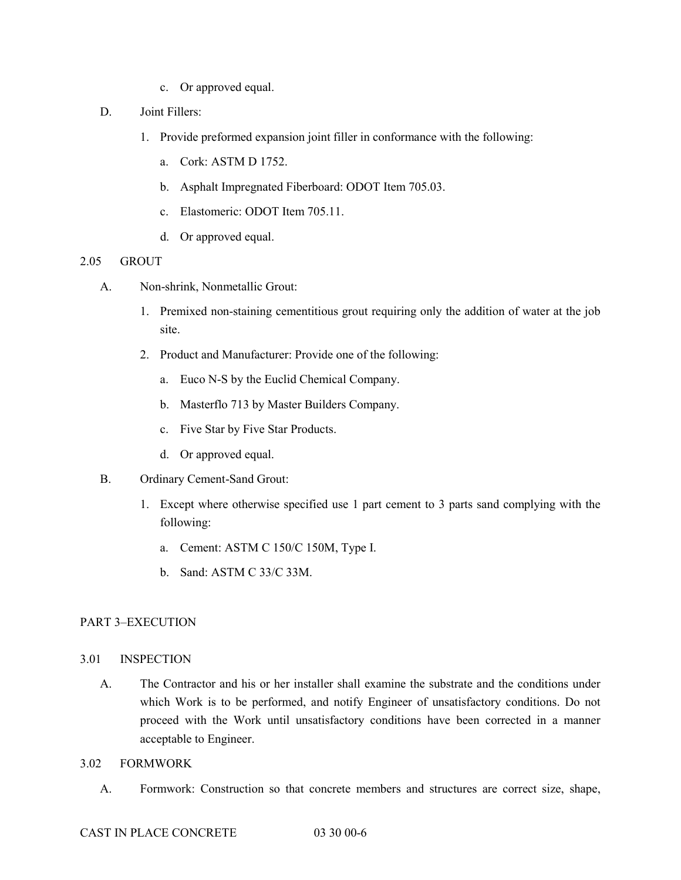- c. Or approved equal.
- D. Joint Fillers:
	- 1. Provide preformed expansion joint filler in conformance with the following:
		- a. Cork: ASTM D 1752.
		- b. Asphalt Impregnated Fiberboard: ODOT Item 705.03.
		- c. Elastomeric: ODOT Item 705.11.
		- d. Or approved equal.

# 2.05 GROUT

- A. Non-shrink, Nonmetallic Grout:
	- 1. Premixed non-staining cementitious grout requiring only the addition of water at the job site.
	- 2. Product and Manufacturer: Provide one of the following:
		- a. Euco N-S by the Euclid Chemical Company.
		- b. Masterflo 713 by Master Builders Company.
		- c. Five Star by Five Star Products.
		- d. Or approved equal.
- B. Ordinary Cement-Sand Grout:
	- 1. Except where otherwise specified use 1 part cement to 3 parts sand complying with the following:
		- a. Cement: ASTM C 150/C 150M, Type I.
		- b. Sand: ASTM C 33/C 33M.

# PART 3–EXECUTION

# 3.01 INSPECTION

A. The Contractor and his or her installer shall examine the substrate and the conditions under which Work is to be performed, and notify Engineer of unsatisfactory conditions. Do not proceed with the Work until unsatisfactory conditions have been corrected in a manner acceptable to Engineer.

# 3.02 FORMWORK

A. Formwork: Construction so that concrete members and structures are correct size, shape,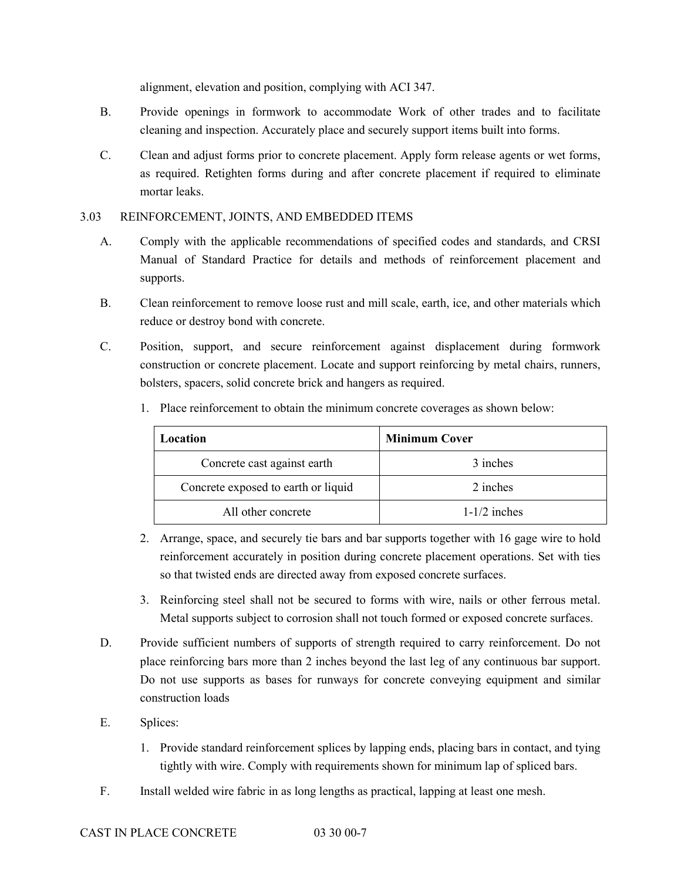alignment, elevation and position, complying with ACI 347.

- B. Provide openings in formwork to accommodate Work of other trades and to facilitate cleaning and inspection. Accurately place and securely support items built into forms.
- C. Clean and adjust forms prior to concrete placement. Apply form release agents or wet forms, as required. Retighten forms during and after concrete placement if required to eliminate mortar leaks.

# 3.03 REINFORCEMENT, JOINTS, AND EMBEDDED ITEMS

- A. Comply with the applicable recommendations of specified codes and standards, and CRSI Manual of Standard Practice for details and methods of reinforcement placement and supports.
- B. Clean reinforcement to remove loose rust and mill scale, earth, ice, and other materials which reduce or destroy bond with concrete.
- C. Position, support, and secure reinforcement against displacement during formwork construction or concrete placement. Locate and support reinforcing by metal chairs, runners, bolsters, spacers, solid concrete brick and hangers as required.

| Location                            | <b>Minimum Cover</b> |
|-------------------------------------|----------------------|
| Concrete cast against earth         | 3 inches             |
| Concrete exposed to earth or liquid | 2 inches             |
| All other concrete                  | $1-1/2$ inches       |

1. Place reinforcement to obtain the minimum concrete coverages as shown below:

- 2. Arrange, space, and securely tie bars and bar supports together with 16 gage wire to hold reinforcement accurately in position during concrete placement operations. Set with ties so that twisted ends are directed away from exposed concrete surfaces.
- 3. Reinforcing steel shall not be secured to forms with wire, nails or other ferrous metal. Metal supports subject to corrosion shall not touch formed or exposed concrete surfaces.
- D. Provide sufficient numbers of supports of strength required to carry reinforcement. Do not place reinforcing bars more than 2 inches beyond the last leg of any continuous bar support. Do not use supports as bases for runways for concrete conveying equipment and similar construction loads
- E. Splices:
	- 1. Provide standard reinforcement splices by lapping ends, placing bars in contact, and tying tightly with wire. Comply with requirements shown for minimum lap of spliced bars.
- F. Install welded wire fabric in as long lengths as practical, lapping at least one mesh.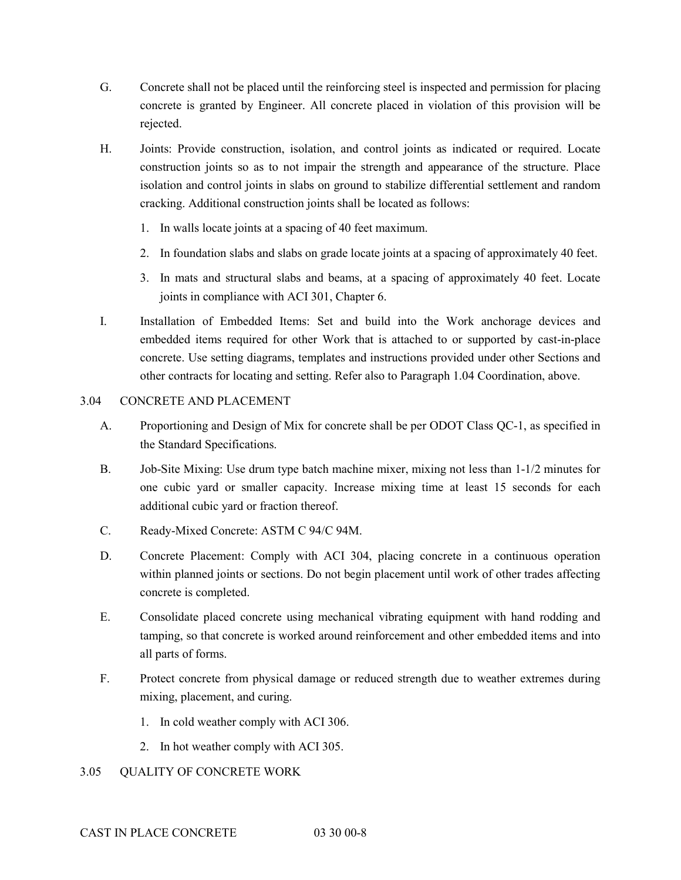- G. Concrete shall not be placed until the reinforcing steel is inspected and permission for placing concrete is granted by Engineer. All concrete placed in violation of this provision will be rejected.
- H. Joints: Provide construction, isolation, and control joints as indicated or required. Locate construction joints so as to not impair the strength and appearance of the structure. Place isolation and control joints in slabs on ground to stabilize differential settlement and random cracking. Additional construction joints shall be located as follows:
	- 1. In walls locate joints at a spacing of 40 feet maximum.
	- 2. In foundation slabs and slabs on grade locate joints at a spacing of approximately 40 feet.
	- 3. In mats and structural slabs and beams, at a spacing of approximately 40 feet. Locate joints in compliance with ACI 301, Chapter 6.
- I. Installation of Embedded Items: Set and build into the Work anchorage devices and embedded items required for other Work that is attached to or supported by cast-in-place concrete. Use setting diagrams, templates and instructions provided under other Sections and other contracts for locating and setting. Refer also to Paragraph 1.04 Coordination, above.

# 3.04 CONCRETE AND PLACEMENT

- A. Proportioning and Design of Mix for concrete shall be per ODOT Class QC-1, as specified in the Standard Specifications.
- B. Job-Site Mixing: Use drum type batch machine mixer, mixing not less than 1-1/2 minutes for one cubic yard or smaller capacity. Increase mixing time at least 15 seconds for each additional cubic yard or fraction thereof.
- C. Ready-Mixed Concrete: ASTM C 94/C 94M.
- D. Concrete Placement: Comply with ACI 304, placing concrete in a continuous operation within planned joints or sections. Do not begin placement until work of other trades affecting concrete is completed.
- E. Consolidate placed concrete using mechanical vibrating equipment with hand rodding and tamping, so that concrete is worked around reinforcement and other embedded items and into all parts of forms.
- F. Protect concrete from physical damage or reduced strength due to weather extremes during mixing, placement, and curing.
	- 1. In cold weather comply with ACI 306.
	- 2. In hot weather comply with ACI 305.

# 3.05 QUALITY OF CONCRETE WORK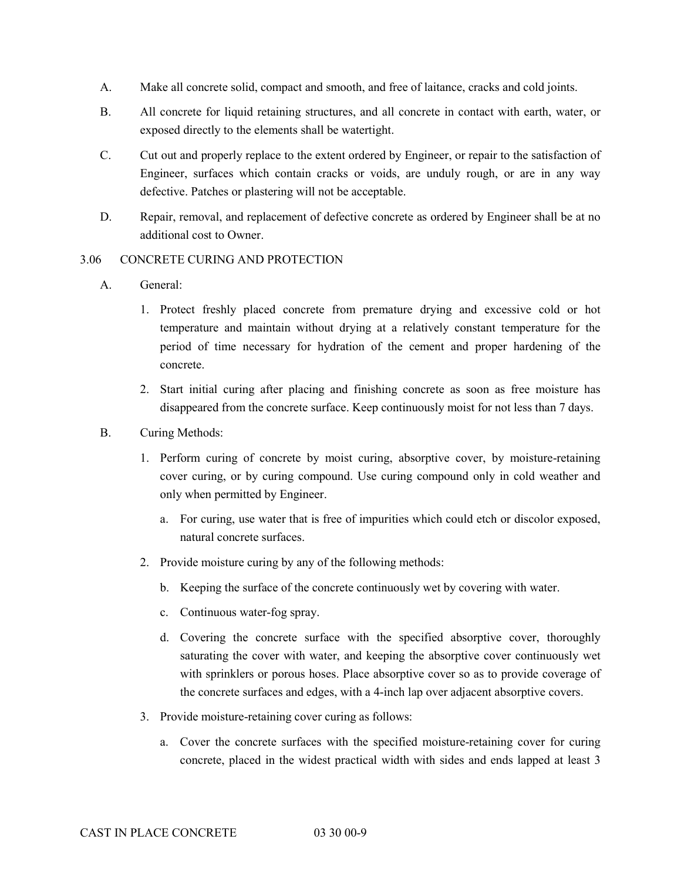- A. Make all concrete solid, compact and smooth, and free of laitance, cracks and cold joints.
- B. All concrete for liquid retaining structures, and all concrete in contact with earth, water, or exposed directly to the elements shall be watertight.
- C. Cut out and properly replace to the extent ordered by Engineer, or repair to the satisfaction of Engineer, surfaces which contain cracks or voids, are unduly rough, or are in any way defective. Patches or plastering will not be acceptable.
- D. Repair, removal, and replacement of defective concrete as ordered by Engineer shall be at no additional cost to Owner.

# 3.06 CONCRETE CURING AND PROTECTION

- A. General:
	- 1. Protect freshly placed concrete from premature drying and excessive cold or hot temperature and maintain without drying at a relatively constant temperature for the period of time necessary for hydration of the cement and proper hardening of the concrete.
	- 2. Start initial curing after placing and finishing concrete as soon as free moisture has disappeared from the concrete surface. Keep continuously moist for not less than 7 days.
- B. Curing Methods:
	- 1. Perform curing of concrete by moist curing, absorptive cover, by moisture-retaining cover curing, or by curing compound. Use curing compound only in cold weather and only when permitted by Engineer.
		- a. For curing, use water that is free of impurities which could etch or discolor exposed, natural concrete surfaces.
	- 2. Provide moisture curing by any of the following methods:
		- b. Keeping the surface of the concrete continuously wet by covering with water.
		- c. Continuous water-fog spray.
		- d. Covering the concrete surface with the specified absorptive cover, thoroughly saturating the cover with water, and keeping the absorptive cover continuously wet with sprinklers or porous hoses. Place absorptive cover so as to provide coverage of the concrete surfaces and edges, with a 4-inch lap over adjacent absorptive covers.
	- 3. Provide moisture-retaining cover curing as follows:
		- a. Cover the concrete surfaces with the specified moisture-retaining cover for curing concrete, placed in the widest practical width with sides and ends lapped at least 3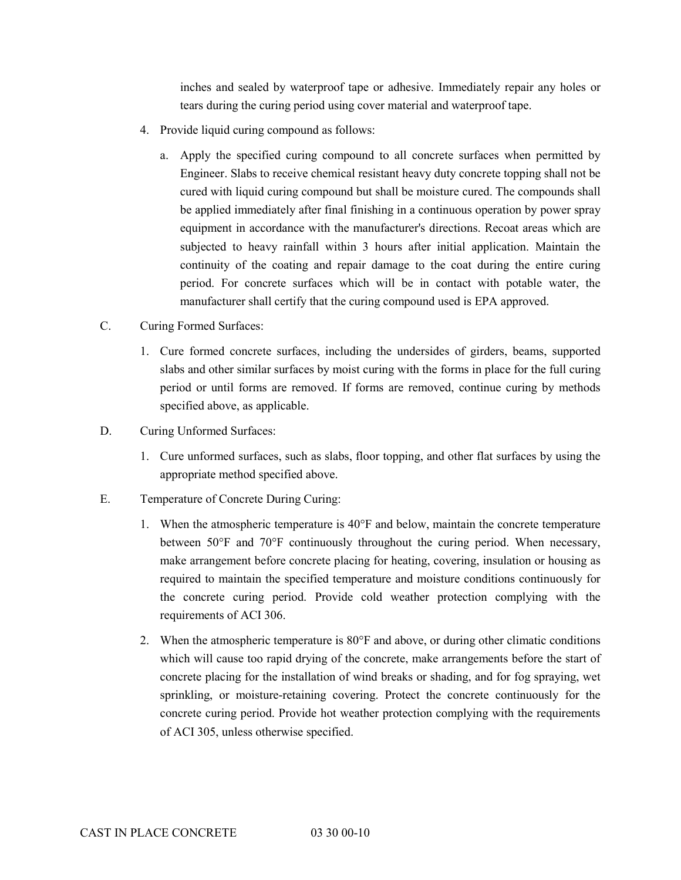inches and sealed by waterproof tape or adhesive. Immediately repair any holes or tears during the curing period using cover material and waterproof tape.

- 4. Provide liquid curing compound as follows:
	- a. Apply the specified curing compound to all concrete surfaces when permitted by Engineer. Slabs to receive chemical resistant heavy duty concrete topping shall not be cured with liquid curing compound but shall be moisture cured. The compounds shall be applied immediately after final finishing in a continuous operation by power spray equipment in accordance with the manufacturer's directions. Recoat areas which are subjected to heavy rainfall within 3 hours after initial application. Maintain the continuity of the coating and repair damage to the coat during the entire curing period. For concrete surfaces which will be in contact with potable water, the manufacturer shall certify that the curing compound used is EPA approved.
- C. Curing Formed Surfaces:
	- 1. Cure formed concrete surfaces, including the undersides of girders, beams, supported slabs and other similar surfaces by moist curing with the forms in place for the full curing period or until forms are removed. If forms are removed, continue curing by methods specified above, as applicable.
- D. Curing Unformed Surfaces:
	- 1. Cure unformed surfaces, such as slabs, floor topping, and other flat surfaces by using the appropriate method specified above.
- E. Temperature of Concrete During Curing:
	- 1. When the atmospheric temperature is 40°F and below, maintain the concrete temperature between 50°F and 70°F continuously throughout the curing period. When necessary, make arrangement before concrete placing for heating, covering, insulation or housing as required to maintain the specified temperature and moisture conditions continuously for the concrete curing period. Provide cold weather protection complying with the requirements of ACI 306.
	- 2. When the atmospheric temperature is 80°F and above, or during other climatic conditions which will cause too rapid drying of the concrete, make arrangements before the start of concrete placing for the installation of wind breaks or shading, and for fog spraying, wet sprinkling, or moisture-retaining covering. Protect the concrete continuously for the concrete curing period. Provide hot weather protection complying with the requirements of ACI 305, unless otherwise specified.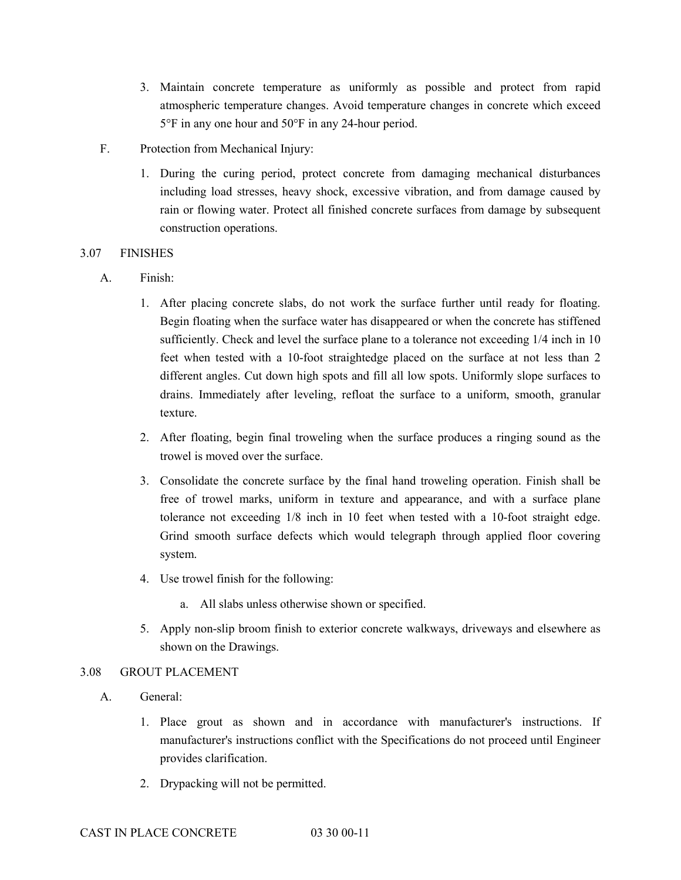- 3. Maintain concrete temperature as uniformly as possible and protect from rapid atmospheric temperature changes. Avoid temperature changes in concrete which exceed 5°F in any one hour and 50°F in any 24-hour period.
- F. Protection from Mechanical Injury:
	- 1. During the curing period, protect concrete from damaging mechanical disturbances including load stresses, heavy shock, excessive vibration, and from damage caused by rain or flowing water. Protect all finished concrete surfaces from damage by subsequent construction operations.

# 3.07 FINISHES

- A. Finish:
	- 1. After placing concrete slabs, do not work the surface further until ready for floating. Begin floating when the surface water has disappeared or when the concrete has stiffened sufficiently. Check and level the surface plane to a tolerance not exceeding 1/4 inch in 10 feet when tested with a 10-foot straightedge placed on the surface at not less than 2 different angles. Cut down high spots and fill all low spots. Uniformly slope surfaces to drains. Immediately after leveling, refloat the surface to a uniform, smooth, granular texture.
	- 2. After floating, begin final troweling when the surface produces a ringing sound as the trowel is moved over the surface.
	- 3. Consolidate the concrete surface by the final hand troweling operation. Finish shall be free of trowel marks, uniform in texture and appearance, and with a surface plane tolerance not exceeding 1/8 inch in 10 feet when tested with a 10-foot straight edge. Grind smooth surface defects which would telegraph through applied floor covering system.
	- 4. Use trowel finish for the following:
		- a. All slabs unless otherwise shown or specified.
	- 5. Apply non-slip broom finish to exterior concrete walkways, driveways and elsewhere as shown on the Drawings.

# 3.08 GROUT PLACEMENT

- A. General:
	- 1. Place grout as shown and in accordance with manufacturer's instructions. If manufacturer's instructions conflict with the Specifications do not proceed until Engineer provides clarification.
	- 2. Drypacking will not be permitted.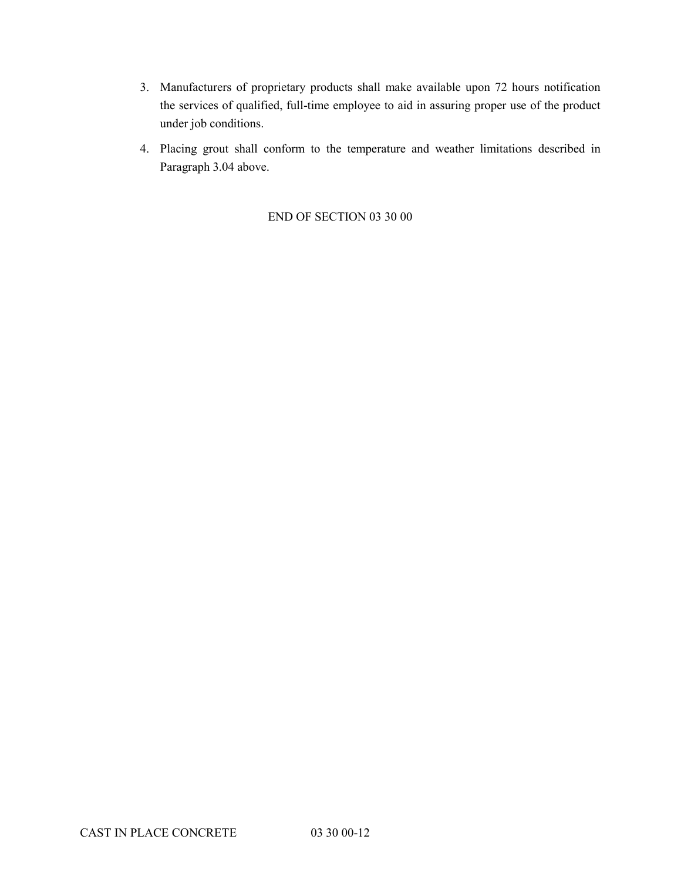- 3. Manufacturers of proprietary products shall make available upon 72 hours notification the services of qualified, full-time employee to aid in assuring proper use of the product under job conditions.
- 4. Placing grout shall conform to the temperature and weather limitations described in Paragraph 3.04 above.

# END OF SECTION 03 30 00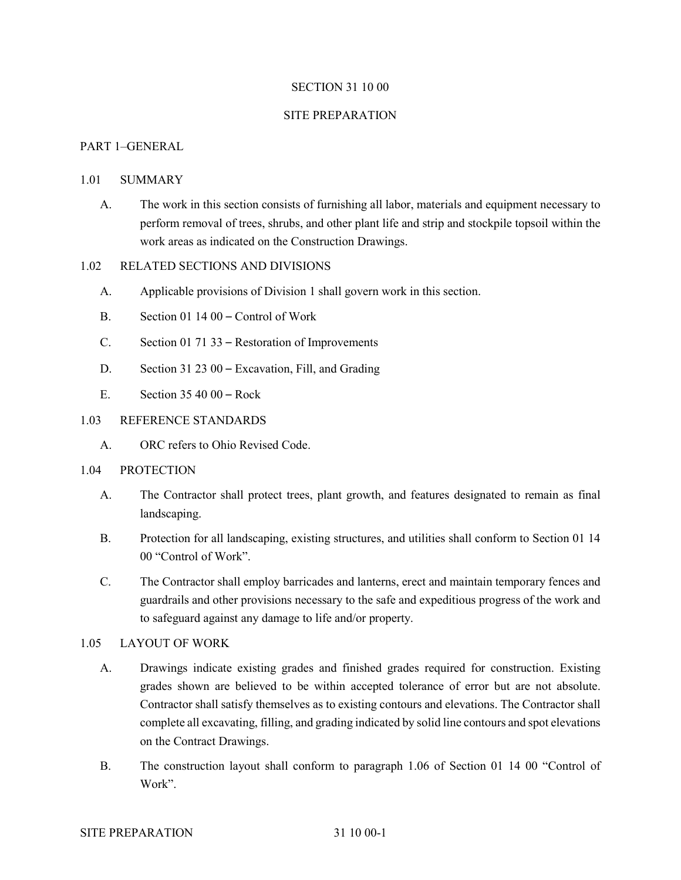# SECTION 31 10 00

#### SITE PREPARATION

# PART 1–GENERAL

# 1.01 SUMMARY

A. The work in this section consists of furnishing all labor, materials and equipment necessary to perform removal of trees, shrubs, and other plant life and strip and stockpile topsoil within the work areas as indicated on the Construction Drawings.

# 1.02 RELATED SECTIONS AND DIVISIONS

- A. Applicable provisions of Division 1 shall govern work in this section.
- B. Section 01 14 00 Control of Work
- C. Section 01 71 33 Restoration of Improvements
- D. Section 31 23 00 Excavation, Fill, and Grading
- E. Section 35 40 00 Rock

#### 1.03 REFERENCE STANDARDS

A. ORC refers to Ohio Revised Code.

#### 1.04 PROTECTION

- A. The Contractor shall protect trees, plant growth, and features designated to remain as final landscaping.
- B. Protection for all landscaping, existing structures, and utilities shall conform to Section 01 14 00 "Control of Work".
- C. The Contractor shall employ barricades and lanterns, erect and maintain temporary fences and guardrails and other provisions necessary to the safe and expeditious progress of the work and to safeguard against any damage to life and/or property.

# 1.05 LAYOUT OF WORK

- A. Drawings indicate existing grades and finished grades required for construction. Existing grades shown are believed to be within accepted tolerance of error but are not absolute. Contractor shall satisfy themselves as to existing contours and elevations. The Contractor shall complete all excavating, filling, and grading indicated by solid line contours and spot elevations on the Contract Drawings.
- B. The construction layout shall conform to paragraph 1.06 of Section 01 14 00 "Control of Work".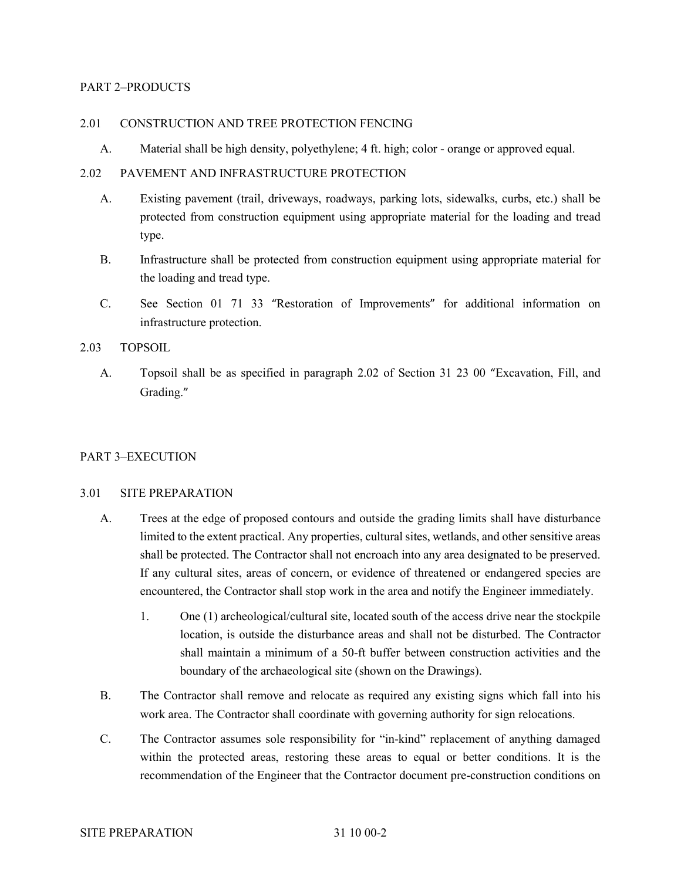# PART 2–PRODUCTS

# 2.01 CONSTRUCTION AND TREE PROTECTION FENCING

A. Material shall be high density, polyethylene; 4 ft. high; color - orange or approved equal.

# 2.02 PAVEMENT AND INFRASTRUCTURE PROTECTION

- A. Existing pavement (trail, driveways, roadways, parking lots, sidewalks, curbs, etc.) shall be protected from construction equipment using appropriate material for the loading and tread type.
- B. Infrastructure shall be protected from construction equipment using appropriate material for the loading and tread type.
- C. See Section 01 71 33 "Restoration of Improvements" for additional information on infrastructure protection.

# 2.03 TOPSOIL

A. Topsoil shall be as specified in paragraph 2.02 of Section 31 23 00 "Excavation, Fill, and Grading."

#### PART 3–EXECUTION

#### 3.01 SITE PREPARATION

- A. Trees at the edge of proposed contours and outside the grading limits shall have disturbance limited to the extent practical. Any properties, cultural sites, wetlands, and other sensitive areas shall be protected. The Contractor shall not encroach into any area designated to be preserved. If any cultural sites, areas of concern, or evidence of threatened or endangered species are encountered, the Contractor shall stop work in the area and notify the Engineer immediately.
	- 1. One (1) archeological/cultural site, located south of the access drive near the stockpile location, is outside the disturbance areas and shall not be disturbed. The Contractor shall maintain a minimum of a 50-ft buffer between construction activities and the boundary of the archaeological site (shown on the Drawings).
- B. The Contractor shall remove and relocate as required any existing signs which fall into his work area. The Contractor shall coordinate with governing authority for sign relocations.
- C. The Contractor assumes sole responsibility for "in-kind" replacement of anything damaged within the protected areas, restoring these areas to equal or better conditions. It is the recommendation of the Engineer that the Contractor document pre-construction conditions on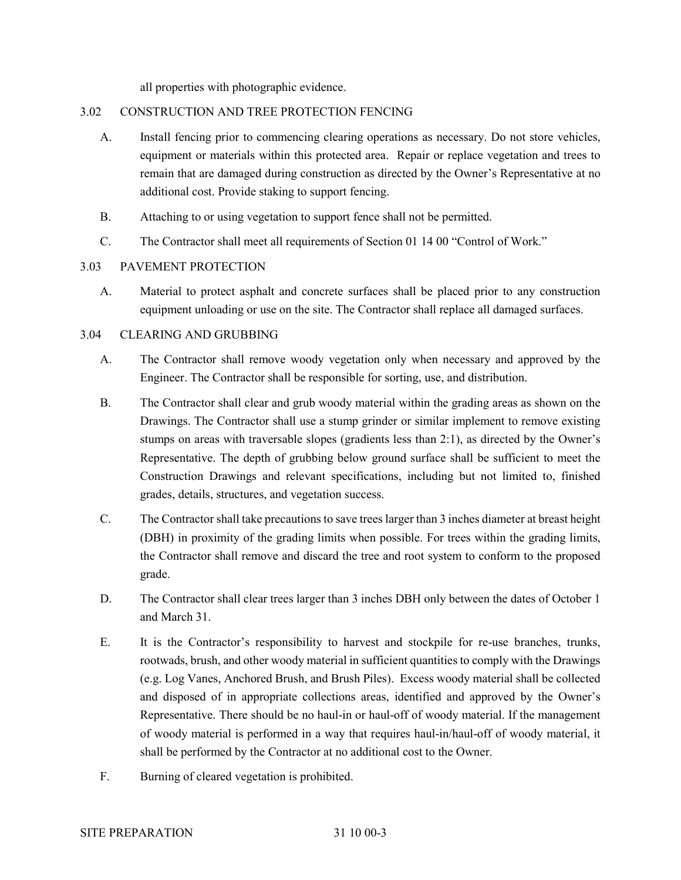all properties with photographic evidence.

# 3.02 CONSTRUCTION AND TREE PROTECTION FENCING

- A. Install fencing prior to commencing clearing operations as necessary. Do not store vehicles, equipment or materials within this protected area. Repair or replace vegetation and trees to remain that are damaged during construction as directed by the Owner's Representative at no additional cost. Provide staking to support fencing.
- B. Attaching to or using vegetation to support fence shall not be permitted.
- C. The Contractor shall meet all requirements of Section 01 14 00 "Control of Work."

# 3.03 PAVEMENT PROTECTION

A. Material to protect asphalt and concrete surfaces shall be placed prior to any construction equipment unloading or use on the site. The Contractor shall replace all damaged surfaces.

# 3.04 CLEARING AND GRUBBING

- A. The Contractor shall remove woody vegetation only when necessary and approved by the Engineer. The Contractor shall be responsible for sorting, use, and distribution.
- B. The Contractor shall clear and grub woody material within the grading areas as shown on the Drawings. The Contractor shall use a stump grinder or similar implement to remove existing stumps on areas with traversable slopes (gradients less than 2:1), as directed by the Owner's Representative. The depth of grubbing below ground surface shall be sufficient to meet the Construction Drawings and relevant specifications, including but not limited to, finished grades, details, structures, and vegetation success.
- C. The Contractor shall take precautions to save trees larger than 3 inches diameter at breast height (DBH) in proximity of the grading limits when possible. For trees within the grading limits, the Contractor shall remove and discard the tree and root system to conform to the proposed grade.
- D. The Contractor shall clear trees larger than 3 inches DBH only between the dates of October 1 and March 31.
- E. It is the Contractor's responsibility to harvest and stockpile for re-use branches, trunks, rootwads, brush, and other woody material in sufficient quantities to comply with the Drawings (e.g. Log Vanes, Anchored Brush, and Brush Piles). Excess woody material shall be collected and disposed of in appropriate collections areas, identified and approved by the Owner's Representative. There should be no haul-in or haul-off of woody material. If the management of woody material is performed in a way that requires haul-in/haul-off of woody material, it shall be performed by the Contractor at no additional cost to the Owner.
- F. Burning of cleared vegetation is prohibited.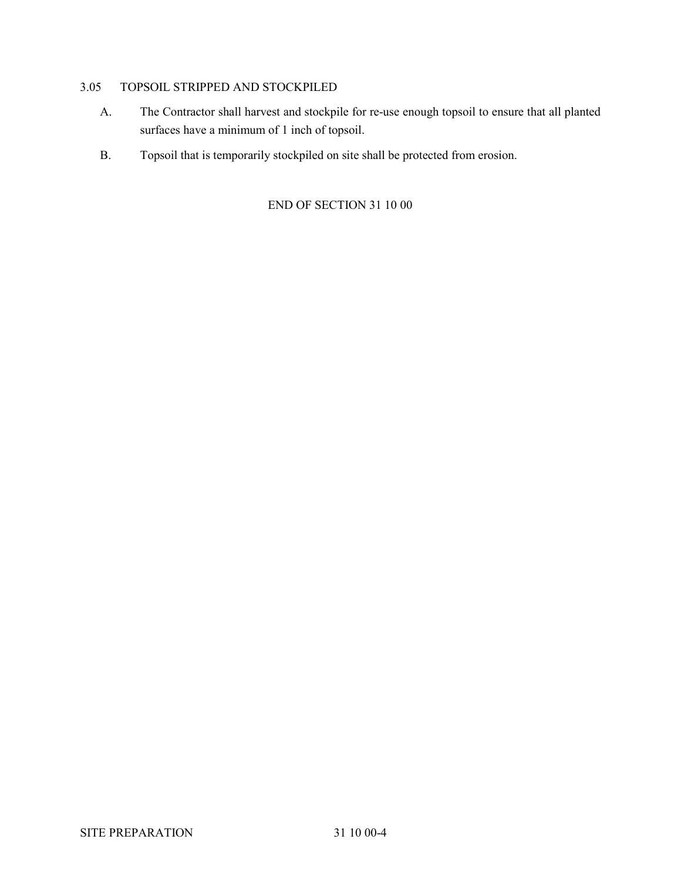# 3.05 TOPSOIL STRIPPED AND STOCKPILED

- A. The Contractor shall harvest and stockpile for re-use enough topsoil to ensure that all planted surfaces have a minimum of 1 inch of topsoil.
- B. Topsoil that is temporarily stockpiled on site shall be protected from erosion.

END OF SECTION 31 10 00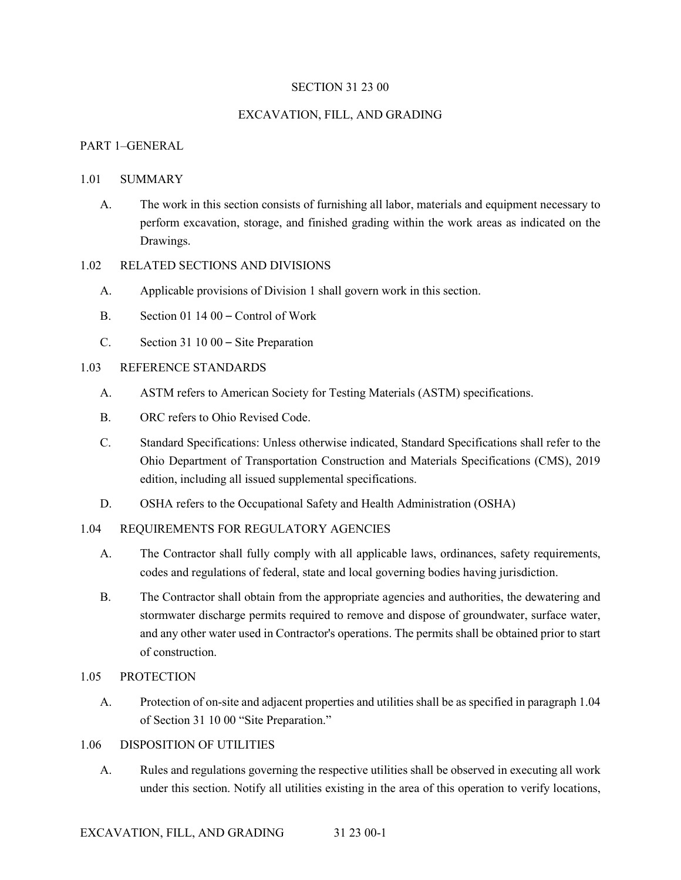# SECTION 31 23 00

#### EXCAVATION, FILL, AND GRADING

# PART 1–GENERAL

#### 1.01 SUMMARY

A. The work in this section consists of furnishing all labor, materials and equipment necessary to perform excavation, storage, and finished grading within the work areas as indicated on the Drawings.

# 1.02 RELATED SECTIONS AND DIVISIONS

- A. Applicable provisions of Division 1 shall govern work in this section.
- B. Section 01 14 00 Control of Work
- C. Section 31 10 00 Site Preparation

# 1.03 REFERENCE STANDARDS

- A. ASTM refers to American Society for Testing Materials (ASTM) specifications.
- B. ORC refers to Ohio Revised Code.
- C. Standard Specifications: Unless otherwise indicated, Standard Specifications shall refer to the Ohio Department of Transportation Construction and Materials Specifications (CMS), 2019 edition, including all issued supplemental specifications.
- D. OSHA refers to the Occupational Safety and Health Administration (OSHA)

## 1.04 REQUIREMENTS FOR REGULATORY AGENCIES

- A. The Contractor shall fully comply with all applicable laws, ordinances, safety requirements, codes and regulations of federal, state and local governing bodies having jurisdiction.
- B. The Contractor shall obtain from the appropriate agencies and authorities, the dewatering and stormwater discharge permits required to remove and dispose of groundwater, surface water, and any other water used in Contractor's operations. The permits shall be obtained prior to start of construction.
- 1.05 PROTECTION
	- A. Protection of on-site and adjacent properties and utilities shall be as specified in paragraph 1.04 of Section 31 10 00 "Site Preparation."

#### 1.06 DISPOSITION OF UTILITIES

A. Rules and regulations governing the respective utilities shall be observed in executing all work under this section. Notify all utilities existing in the area of this operation to verify locations,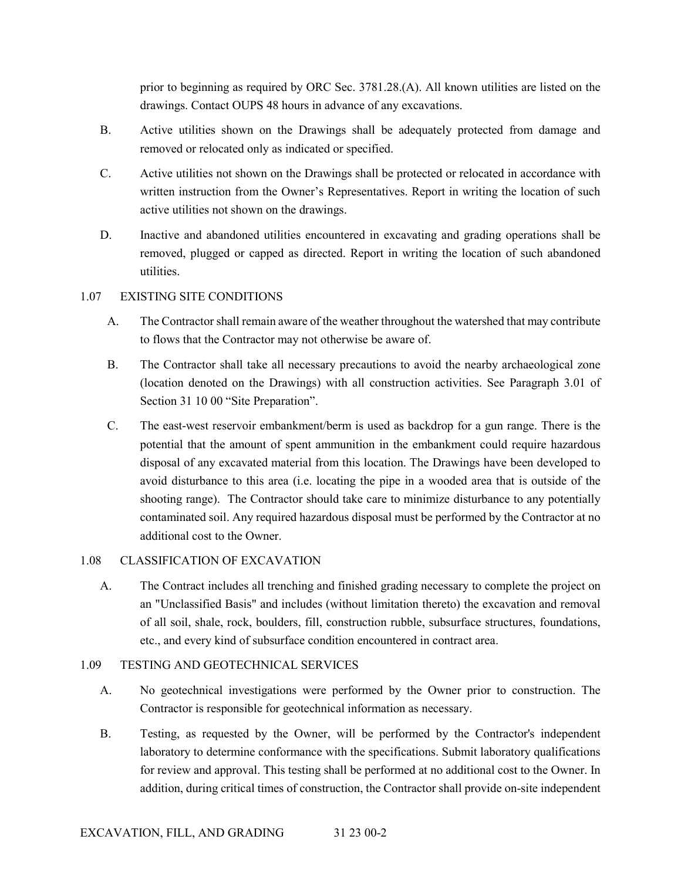prior to beginning as required by ORC Sec. 3781.28.(A). All known utilities are listed on the drawings. Contact OUPS 48 hours in advance of any excavations.

- B. Active utilities shown on the Drawings shall be adequately protected from damage and removed or relocated only as indicated or specified.
- C. Active utilities not shown on the Drawings shall be protected or relocated in accordance with written instruction from the Owner's Representatives. Report in writing the location of such active utilities not shown on the drawings.
- D. Inactive and abandoned utilities encountered in excavating and grading operations shall be removed, plugged or capped as directed. Report in writing the location of such abandoned utilities.

## 1.07 EXISTING SITE CONDITIONS

- A. The Contractor shall remain aware of the weather throughout the watershed that may contribute to flows that the Contractor may not otherwise be aware of.
- B. The Contractor shall take all necessary precautions to avoid the nearby archaeological zone (location denoted on the Drawings) with all construction activities. See Paragraph 3.01 of Section 31 10 00 "Site Preparation".
- C. The east-west reservoir embankment/berm is used as backdrop for a gun range. There is the potential that the amount of spent ammunition in the embankment could require hazardous disposal of any excavated material from this location. The Drawings have been developed to avoid disturbance to this area (i.e. locating the pipe in a wooded area that is outside of the shooting range). The Contractor should take care to minimize disturbance to any potentially contaminated soil. Any required hazardous disposal must be performed by the Contractor at no additional cost to the Owner.

## 1.08 CLASSIFICATION OF EXCAVATION

A. The Contract includes all trenching and finished grading necessary to complete the project on an "Unclassified Basis" and includes (without limitation thereto) the excavation and removal of all soil, shale, rock, boulders, fill, construction rubble, subsurface structures, foundations, etc., and every kind of subsurface condition encountered in contract area.

## 1.09 TESTING AND GEOTECHNICAL SERVICES

- A. No geotechnical investigations were performed by the Owner prior to construction. The Contractor is responsible for geotechnical information as necessary.
- B. Testing, as requested by the Owner, will be performed by the Contractor's independent laboratory to determine conformance with the specifications. Submit laboratory qualifications for review and approval. This testing shall be performed at no additional cost to the Owner. In addition, during critical times of construction, the Contractor shall provide on-site independent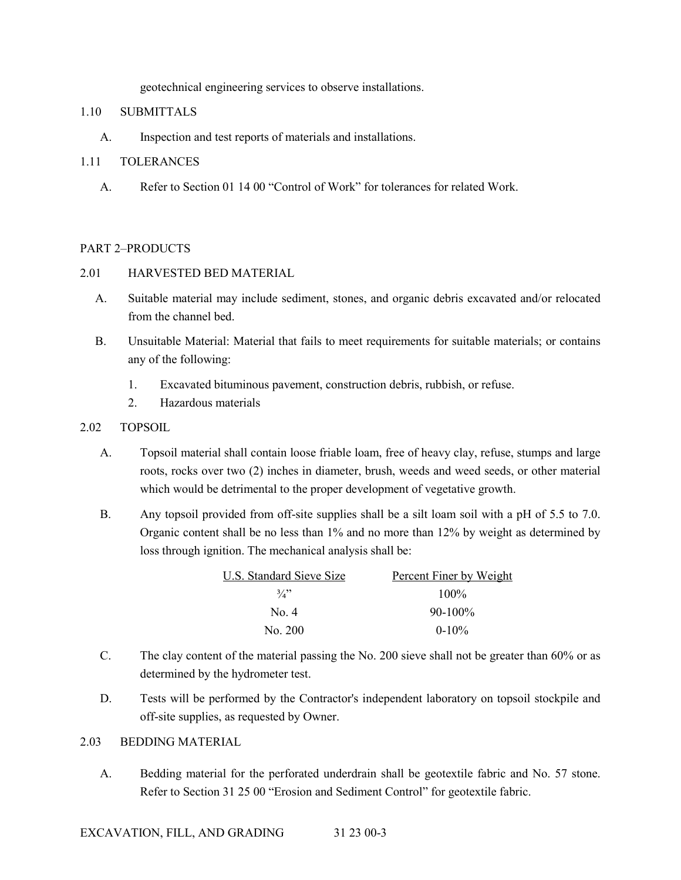geotechnical engineering services to observe installations.

## 1.10 SUBMITTALS

A. Inspection and test reports of materials and installations.

## 1.11 TOLERANCES

A. Refer to Section 01 14 00 "Control of Work" for tolerances for related Work.

## PART 2–PRODUCTS

## 2.01 HARVESTED BED MATERIAL

- A. Suitable material may include sediment, stones, and organic debris excavated and/or relocated from the channel bed.
- B. Unsuitable Material: Material that fails to meet requirements for suitable materials; or contains any of the following:
	- 1. Excavated bituminous pavement, construction debris, rubbish, or refuse.
	- 2. Hazardous materials

## 2.02 TOPSOIL

- A. Topsoil material shall contain loose friable loam, free of heavy clay, refuse, stumps and large roots, rocks over two (2) inches in diameter, brush, weeds and weed seeds, or other material which would be detrimental to the proper development of vegetative growth.
- B. Any topsoil provided from off-site supplies shall be a silt loam soil with a pH of 5.5 to 7.0. Organic content shall be no less than 1% and no more than 12% by weight as determined by loss through ignition. The mechanical analysis shall be:

| U.S. Standard Sieve Size | Percent Finer by Weight |
|--------------------------|-------------------------|
| 3/2                      | $100\%$                 |
| No. 4                    | $90-100\%$              |
| No. 200                  | $0-10\%$                |

- C. The clay content of the material passing the No. 200 sieve shall not be greater than 60% or as determined by the hydrometer test.
- D. Tests will be performed by the Contractor's independent laboratory on topsoil stockpile and off-site supplies, as requested by Owner.

## 2.03 BEDDING MATERIAL

A. Bedding material for the perforated underdrain shall be geotextile fabric and No. 57 stone. Refer to Section 31 25 00 "Erosion and Sediment Control" for geotextile fabric.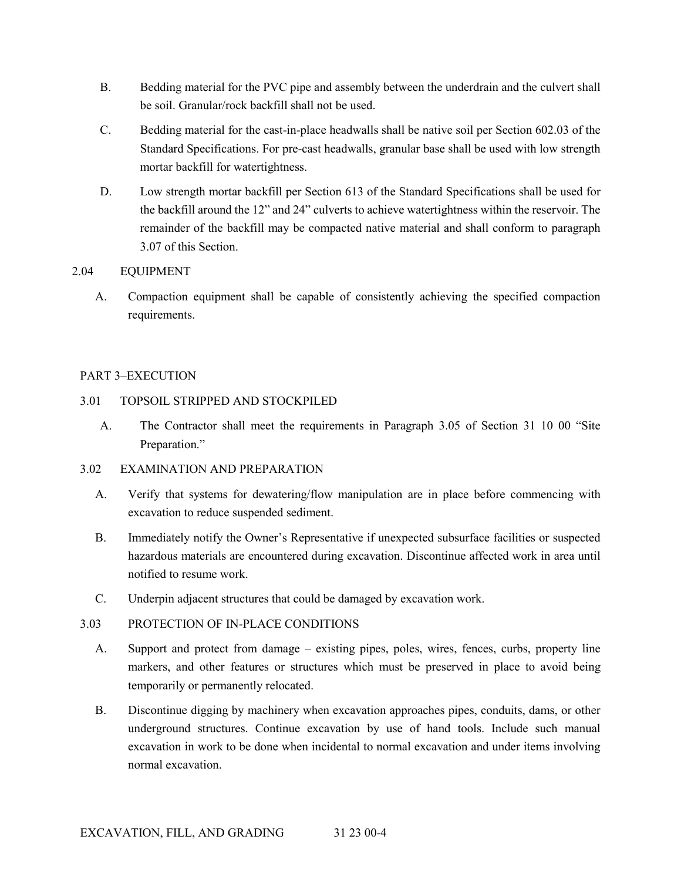- B. Bedding material for the PVC pipe and assembly between the underdrain and the culvert shall be soil. Granular/rock backfill shall not be used.
- C. Bedding material for the cast-in-place headwalls shall be native soil per Section 602.03 of the Standard Specifications. For pre-cast headwalls, granular base shall be used with low strength mortar backfill for watertightness.
- D. Low strength mortar backfill per Section 613 of the Standard Specifications shall be used for the backfill around the 12" and 24" culverts to achieve watertightness within the reservoir. The remainder of the backfill may be compacted native material and shall conform to paragraph 3.07 of this Section.

## 2.04 EQUIPMENT

A. Compaction equipment shall be capable of consistently achieving the specified compaction requirements.

## PART 3–EXECUTION

## 3.01 TOPSOIL STRIPPED AND STOCKPILED

- A. The Contractor shall meet the requirements in Paragraph 3.05 of Section 31 10 00 "Site Preparation."
- 3.02 EXAMINATION AND PREPARATION
	- A. Verify that systems for dewatering/flow manipulation are in place before commencing with excavation to reduce suspended sediment.
	- B. Immediately notify the Owner's Representative if unexpected subsurface facilities or suspected hazardous materials are encountered during excavation. Discontinue affected work in area until notified to resume work.
	- C. Underpin adjacent structures that could be damaged by excavation work.

## 3.03 PROTECTION OF IN-PLACE CONDITIONS

- A. Support and protect from damage existing pipes, poles, wires, fences, curbs, property line markers, and other features or structures which must be preserved in place to avoid being temporarily or permanently relocated.
- B. Discontinue digging by machinery when excavation approaches pipes, conduits, dams, or other underground structures. Continue excavation by use of hand tools. Include such manual excavation in work to be done when incidental to normal excavation and under items involving normal excavation.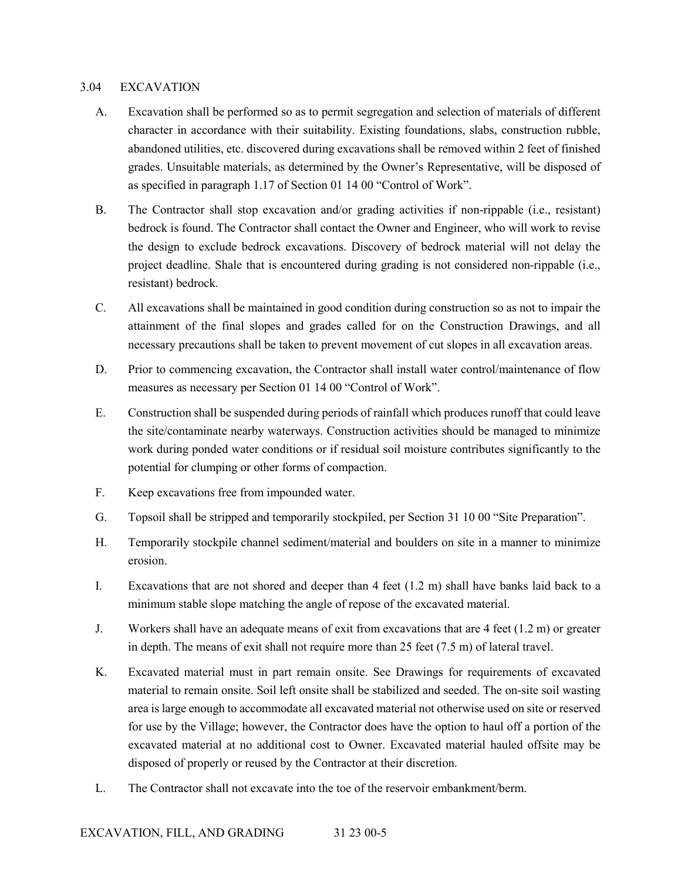#### 3.04 EXCAVATION

- A. Excavation shall be performed so as to permit segregation and selection of materials of different character in accordance with their suitability. Existing foundations, slabs, construction rubble, abandoned utilities, etc. discovered during excavations shall be removed within 2 feet of finished grades. Unsuitable materials, as determined by the Owner's Representative, will be disposed of as specified in paragraph 1.17 of Section 01 14 00 "Control of Work".
- B. The Contractor shall stop excavation and/or grading activities if non-rippable (i.e., resistant) bedrock is found. The Contractor shall contact the Owner and Engineer, who will work to revise the design to exclude bedrock excavations. Discovery of bedrock material will not delay the project deadline. Shale that is encountered during grading is not considered non-rippable (i.e., resistant) bedrock.
- C. All excavations shall be maintained in good condition during construction so as not to impair the attainment of the final slopes and grades called for on the Construction Drawings, and all necessary precautions shall be taken to prevent movement of cut slopes in all excavation areas.
- D. Prior to commencing excavation, the Contractor shall install water control/maintenance of flow measures as necessary per Section 01 14 00 "Control of Work".
- E. Construction shall be suspended during periods of rainfall which produces runoff that could leave the site/contaminate nearby waterways. Construction activities should be managed to minimize work during ponded water conditions or if residual soil moisture contributes significantly to the potential for clumping or other forms of compaction.
- F. Keep excavations free from impounded water.
- G. Topsoil shall be stripped and temporarily stockpiled, per Section 31 10 00 "Site Preparation".
- H. Temporarily stockpile channel sediment/material and boulders on site in a manner to minimize erosion.
- I. Excavations that are not shored and deeper than 4 feet (1.2 m) shall have banks laid back to a minimum stable slope matching the angle of repose of the excavated material.
- J. Workers shall have an adequate means of exit from excavations that are 4 feet (1.2 m) or greater in depth. The means of exit shall not require more than 25 feet (7.5 m) of lateral travel.
- K. Excavated material must in part remain onsite. See Drawings for requirements of excavated material to remain onsite. Soil left onsite shall be stabilized and seeded. The on-site soil wasting area is large enough to accommodate all excavated material not otherwise used on site or reserved for use by the Village; however, the Contractor does have the option to haul off a portion of the excavated material at no additional cost to Owner. Excavated material hauled offsite may be disposed of properly or reused by the Contractor at their discretion.
- L. The Contractor shall not excavate into the toe of the reservoir embankment/berm.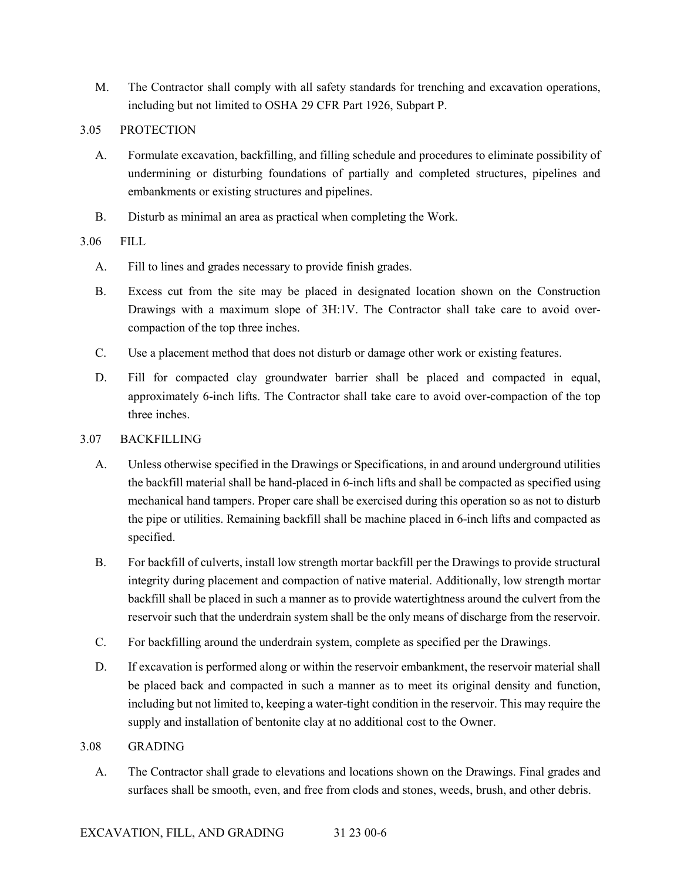M. The Contractor shall comply with all safety standards for trenching and excavation operations, including but not limited to OSHA 29 CFR Part 1926, Subpart P.

## 3.05 PROTECTION

- A. Formulate excavation, backfilling, and filling schedule and procedures to eliminate possibility of undermining or disturbing foundations of partially and completed structures, pipelines and embankments or existing structures and pipelines.
- B. Disturb as minimal an area as practical when completing the Work.

## 3.06 FILL

- A. Fill to lines and grades necessary to provide finish grades.
- B. Excess cut from the site may be placed in designated location shown on the Construction Drawings with a maximum slope of 3H:1V. The Contractor shall take care to avoid overcompaction of the top three inches.
- C. Use a placement method that does not disturb or damage other work or existing features.
- D. Fill for compacted clay groundwater barrier shall be placed and compacted in equal, approximately 6-inch lifts. The Contractor shall take care to avoid over-compaction of the top three inches.

## 3.07 BACKFILLING

- A. Unless otherwise specified in the Drawings or Specifications, in and around underground utilities the backfill material shall be hand-placed in 6-inch lifts and shall be compacted as specified using mechanical hand tampers. Proper care shall be exercised during this operation so as not to disturb the pipe or utilities. Remaining backfill shall be machine placed in 6-inch lifts and compacted as specified.
- B. For backfill of culverts, install low strength mortar backfill per the Drawings to provide structural integrity during placement and compaction of native material. Additionally, low strength mortar backfill shall be placed in such a manner as to provide watertightness around the culvert from the reservoir such that the underdrain system shall be the only means of discharge from the reservoir.
- C. For backfilling around the underdrain system, complete as specified per the Drawings.
- D. If excavation is performed along or within the reservoir embankment, the reservoir material shall be placed back and compacted in such a manner as to meet its original density and function, including but not limited to, keeping a water-tight condition in the reservoir. This may require the supply and installation of bentonite clay at no additional cost to the Owner.

## 3.08 GRADING

A. The Contractor shall grade to elevations and locations shown on the Drawings. Final grades and surfaces shall be smooth, even, and free from clods and stones, weeds, brush, and other debris.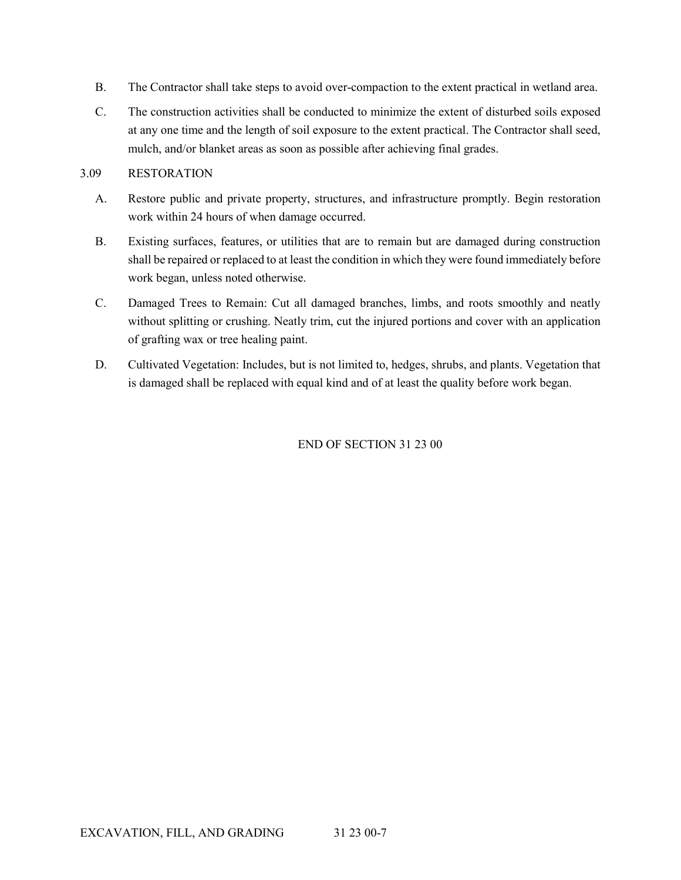- B. The Contractor shall take steps to avoid over-compaction to the extent practical in wetland area.
- C. The construction activities shall be conducted to minimize the extent of disturbed soils exposed at any one time and the length of soil exposure to the extent practical. The Contractor shall seed, mulch, and/or blanket areas as soon as possible after achieving final grades.

## 3.09 RESTORATION

- A. Restore public and private property, structures, and infrastructure promptly. Begin restoration work within 24 hours of when damage occurred.
- B. Existing surfaces, features, or utilities that are to remain but are damaged during construction shall be repaired or replaced to at least the condition in which they were found immediately before work began, unless noted otherwise.
- C. Damaged Trees to Remain: Cut all damaged branches, limbs, and roots smoothly and neatly without splitting or crushing. Neatly trim, cut the injured portions and cover with an application of grafting wax or tree healing paint.
- D. Cultivated Vegetation: Includes, but is not limited to, hedges, shrubs, and plants. Vegetation that is damaged shall be replaced with equal kind and of at least the quality before work began.

END OF SECTION 31 23 00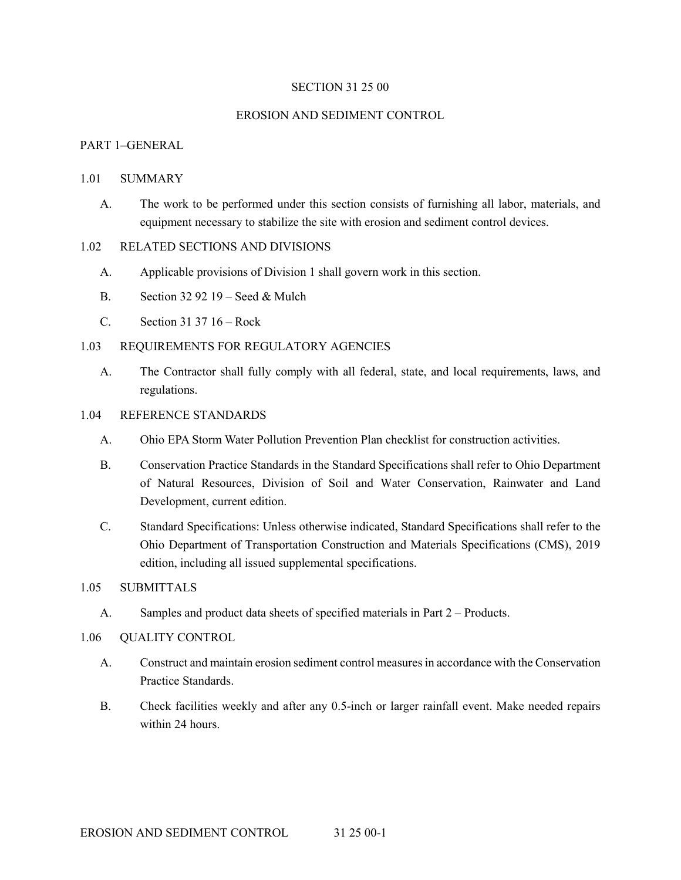### SECTION 31 25 00

#### EROSION AND SEDIMENT CONTROL

### PART 1–GENERAL

#### 1.01 SUMMARY

A. The work to be performed under this section consists of furnishing all labor, materials, and equipment necessary to stabilize the site with erosion and sediment control devices.

#### 1.02 RELATED SECTIONS AND DIVISIONS

- A. Applicable provisions of Division 1 shall govern work in this section.
- B. Section 32 92 19 Seed & Mulch
- C. Section 31 37 16 Rock

#### 1.03 REQUIREMENTS FOR REGULATORY AGENCIES

A. The Contractor shall fully comply with all federal, state, and local requirements, laws, and regulations.

#### 1.04 REFERENCE STANDARDS

- A. Ohio EPA Storm Water Pollution Prevention Plan checklist for construction activities.
- B. Conservation Practice Standards in the Standard Specifications shall refer to Ohio Department of Natural Resources, Division of Soil and Water Conservation, Rainwater and Land Development, current edition.
- C. Standard Specifications: Unless otherwise indicated, Standard Specifications shall refer to the Ohio Department of Transportation Construction and Materials Specifications (CMS), 2019 edition, including all issued supplemental specifications.

### 1.05 SUBMITTALS

A. Samples and product data sheets of specified materials in Part 2 – Products.

#### 1.06 QUALITY CONTROL

- A. Construct and maintain erosion sediment control measures in accordance with the Conservation Practice Standards.
- B. Check facilities weekly and after any 0.5-inch or larger rainfall event. Make needed repairs within 24 hours.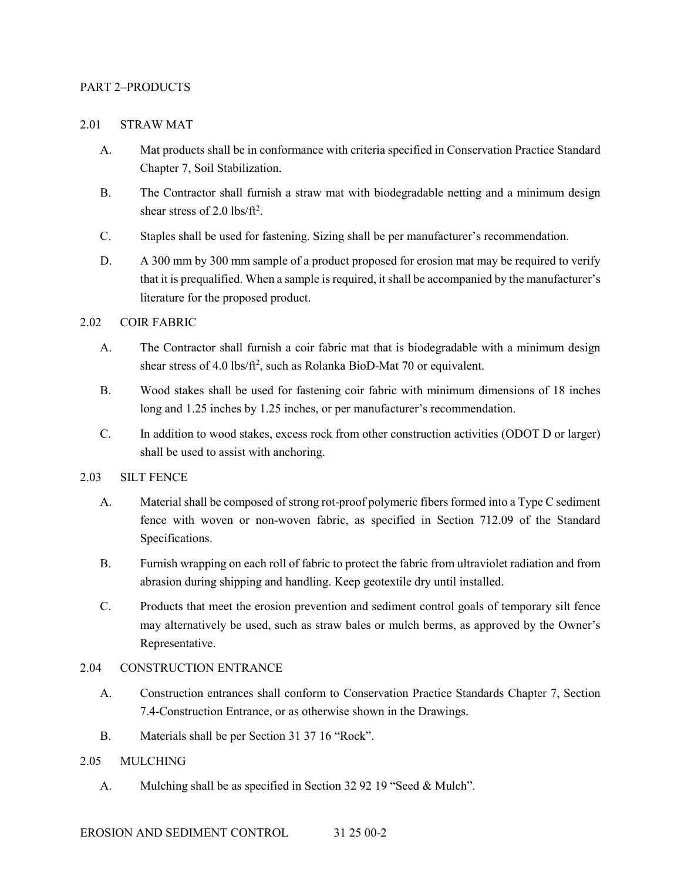### PART 2–PRODUCTS

#### 2.01 STRAW MAT

- A. Mat products shall be in conformance with criteria specified in Conservation Practice Standard Chapter 7, Soil Stabilization.
- B. The Contractor shall furnish a straw mat with biodegradable netting and a minimum design shear stress of 2.0 lbs/ft<sup>2</sup>.
- C. Staples shall be used for fastening. Sizing shall be per manufacturer's recommendation.
- D. A 300 mm by 300 mm sample of a product proposed for erosion mat may be required to verify that it is prequalified. When a sample is required, it shall be accompanied by the manufacturer's literature for the proposed product.

## 2.02 COIR FABRIC

- A. The Contractor shall furnish a coir fabric mat that is biodegradable with a minimum design shear stress of 4.0 lbs/ft<sup>2</sup>, such as Rolanka BioD-Mat 70 or equivalent.
- B. Wood stakes shall be used for fastening coir fabric with minimum dimensions of 18 inches long and 1.25 inches by 1.25 inches, or per manufacturer's recommendation.
- C. In addition to wood stakes, excess rock from other construction activities (ODOT D or larger) shall be used to assist with anchoring.

## 2.03 SILT FENCE

- A. Material shall be composed of strong rot-proof polymeric fibers formed into a Type C sediment fence with woven or non-woven fabric, as specified in Section 712.09 of the Standard Specifications.
- B. Furnish wrapping on each roll of fabric to protect the fabric from ultraviolet radiation and from abrasion during shipping and handling. Keep geotextile dry until installed.
- C. Products that meet the erosion prevention and sediment control goals of temporary silt fence may alternatively be used, such as straw bales or mulch berms, as approved by the Owner's Representative.

## 2.04 CONSTRUCTION ENTRANCE

- A. Construction entrances shall conform to Conservation Practice Standards Chapter 7, Section 7.4-Construction Entrance, or as otherwise shown in the Drawings.
- B. Materials shall be per Section 31 37 16 "Rock".

## 2.05 MULCHING

A. Mulching shall be as specified in Section 32 92 19 "Seed & Mulch".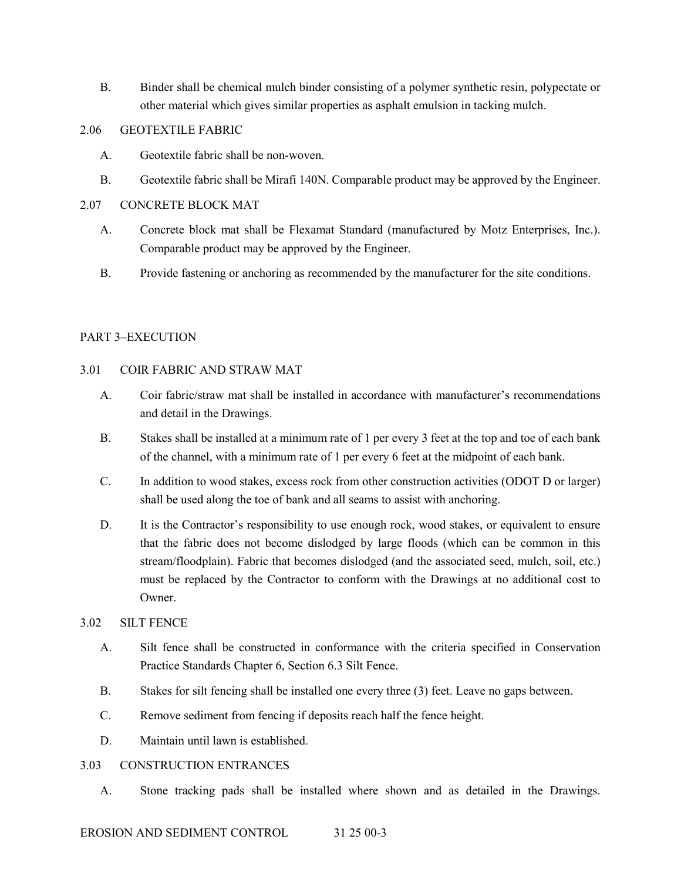B. Binder shall be chemical mulch binder consisting of a polymer synthetic resin, polypectate or other material which gives similar properties as asphalt emulsion in tacking mulch.

## 2.06 GEOTEXTILE FABRIC

- A. Geotextile fabric shall be non-woven.
- B. Geotextile fabric shall be Mirafi 140N. Comparable product may be approved by the Engineer.

## 2.07 CONCRETE BLOCK MAT

- A. Concrete block mat shall be Flexamat Standard (manufactured by Motz Enterprises, Inc.). Comparable product may be approved by the Engineer.
- B. Provide fastening or anchoring as recommended by the manufacturer for the site conditions.

## PART 3–EXECUTION

## 3.01 COIR FABRIC AND STRAW MAT

- A. Coir fabric/straw mat shall be installed in accordance with manufacturer's recommendations and detail in the Drawings.
- B. Stakes shall be installed at a minimum rate of 1 per every 3 feet at the top and toe of each bank of the channel, with a minimum rate of 1 per every 6 feet at the midpoint of each bank.
- C. In addition to wood stakes, excess rock from other construction activities (ODOT D or larger) shall be used along the toe of bank and all seams to assist with anchoring.
- D. It is the Contractor's responsibility to use enough rock, wood stakes, or equivalent to ensure that the fabric does not become dislodged by large floods (which can be common in this stream/floodplain). Fabric that becomes dislodged (and the associated seed, mulch, soil, etc.) must be replaced by the Contractor to conform with the Drawings at no additional cost to Owner.

## 3.02 SILT FENCE

- A. Silt fence shall be constructed in conformance with the criteria specified in Conservation Practice Standards Chapter 6, Section 6.3 Silt Fence.
- B. Stakes for silt fencing shall be installed one every three (3) feet. Leave no gaps between.
- C. Remove sediment from fencing if deposits reach half the fence height.
- D. Maintain until lawn is established.

## 3.03 CONSTRUCTION ENTRANCES

A. Stone tracking pads shall be installed where shown and as detailed in the Drawings.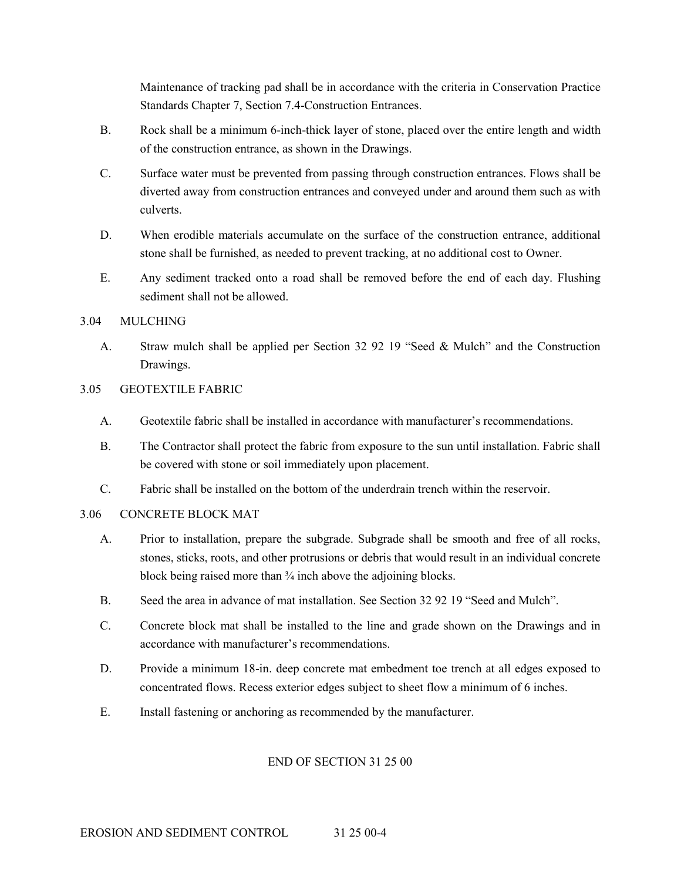Maintenance of tracking pad shall be in accordance with the criteria in Conservation Practice Standards Chapter 7, Section 7.4-Construction Entrances.

- B. Rock shall be a minimum 6-inch-thick layer of stone, placed over the entire length and width of the construction entrance, as shown in the Drawings.
- C. Surface water must be prevented from passing through construction entrances. Flows shall be diverted away from construction entrances and conveyed under and around them such as with culverts.
- D. When erodible materials accumulate on the surface of the construction entrance, additional stone shall be furnished, as needed to prevent tracking, at no additional cost to Owner.
- E. Any sediment tracked onto a road shall be removed before the end of each day. Flushing sediment shall not be allowed.

## 3.04 MULCHING

A. Straw mulch shall be applied per Section 32 92 19 "Seed & Mulch" and the Construction Drawings.

## 3.05 GEOTEXTILE FABRIC

- A. Geotextile fabric shall be installed in accordance with manufacturer's recommendations.
- B. The Contractor shall protect the fabric from exposure to the sun until installation. Fabric shall be covered with stone or soil immediately upon placement.
- C. Fabric shall be installed on the bottom of the underdrain trench within the reservoir.

## 3.06 CONCRETE BLOCK MAT

- A. Prior to installation, prepare the subgrade. Subgrade shall be smooth and free of all rocks, stones, sticks, roots, and other protrusions or debris that would result in an individual concrete block being raised more than  $\frac{3}{4}$  inch above the adjoining blocks.
- B. Seed the area in advance of mat installation. See Section 32 92 19 "Seed and Mulch".
- C. Concrete block mat shall be installed to the line and grade shown on the Drawings and in accordance with manufacturer's recommendations.
- D. Provide a minimum 18-in. deep concrete mat embedment toe trench at all edges exposed to concentrated flows. Recess exterior edges subject to sheet flow a minimum of 6 inches.
- E. Install fastening or anchoring as recommended by the manufacturer.

## END OF SECTION 31 25 00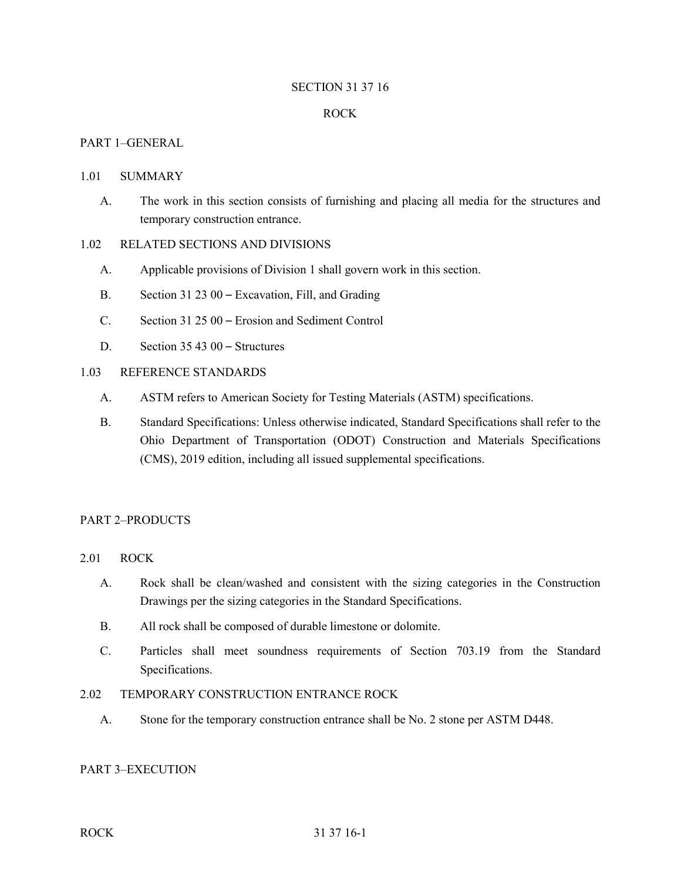### SECTION 31 37 16

### ROCK

### PART 1–GENERAL

#### 1.01 SUMMARY

A. The work in this section consists of furnishing and placing all media for the structures and temporary construction entrance.

#### 1.02 RELATED SECTIONS AND DIVISIONS

- A. Applicable provisions of Division 1 shall govern work in this section.
- B. Section 31 23 00 Excavation, Fill, and Grading
- C. Section 31 25 00 Erosion and Sediment Control
- D. Section 35 43 00 Structures

### 1.03 REFERENCE STANDARDS

- A. ASTM refers to American Society for Testing Materials (ASTM) specifications.
- B. Standard Specifications: Unless otherwise indicated, Standard Specifications shall refer to the Ohio Department of Transportation (ODOT) Construction and Materials Specifications (CMS), 2019 edition, including all issued supplemental specifications.

## PART 2–PRODUCTS

- 2.01 ROCK
	- A. Rock shall be clean/washed and consistent with the sizing categories in the Construction Drawings per the sizing categories in the Standard Specifications.
	- B. All rock shall be composed of durable limestone or dolomite.
	- C. Particles shall meet soundness requirements of Section 703.19 from the Standard Specifications.

### 2.02 TEMPORARY CONSTRUCTION ENTRANCE ROCK

A. Stone for the temporary construction entrance shall be No. 2 stone per ASTM D448.

### PART 3–EXECUTION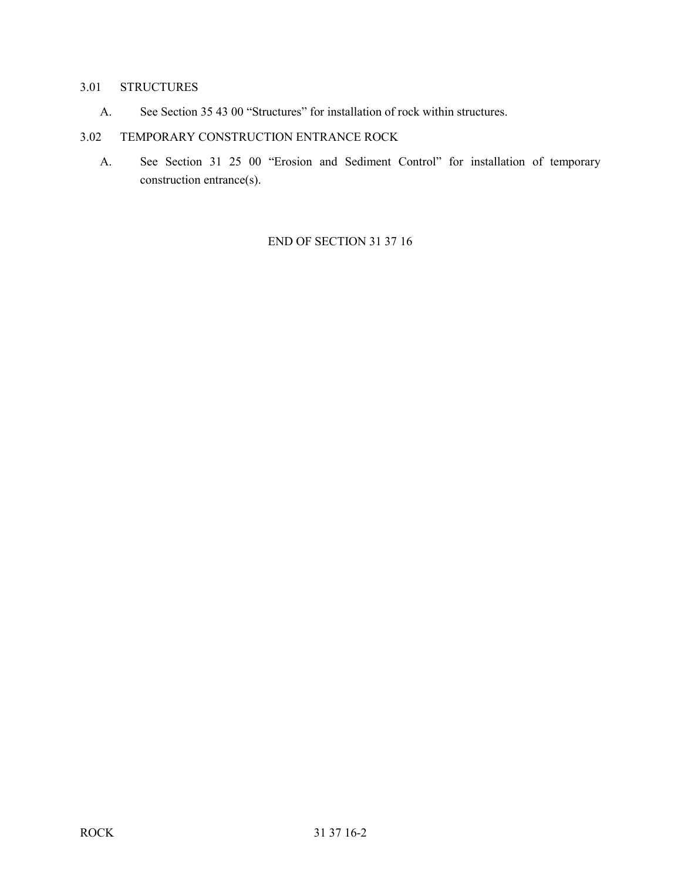## 3.01 STRUCTURES

A. See Section 35 43 00 "Structures" for installation of rock within structures.

# 3.02 TEMPORARY CONSTRUCTION ENTRANCE ROCK

A. See Section 31 25 00 "Erosion and Sediment Control" for installation of temporary construction entrance(s).

END OF SECTION 31 37 16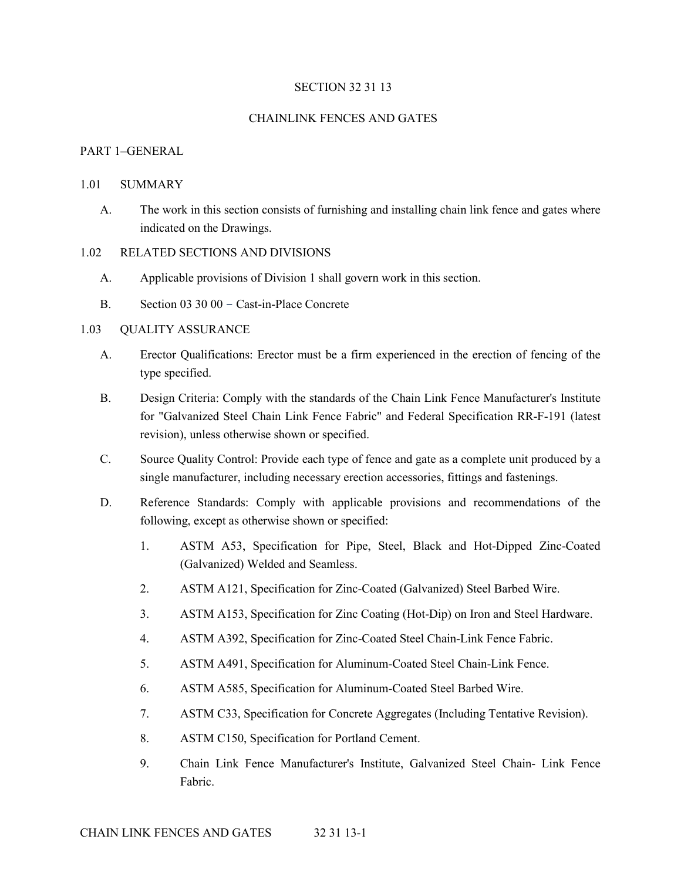### SECTION 32 31 13

### CHAINLINK FENCES AND GATES

#### PART 1–GENERAL

#### 1.01 SUMMARY

A. The work in this section consists of furnishing and installing chain link fence and gates where indicated on the Drawings.

#### 1.02 RELATED SECTIONS AND DIVISIONS

- A. Applicable provisions of Division 1 shall govern work in this section.
- B. Section 03 30 00 Cast-in-Place Concrete

## 1.03 QUALITY ASSURANCE

- A. Erector Qualifications: Erector must be a firm experienced in the erection of fencing of the type specified.
- B. Design Criteria: Comply with the standards of the Chain Link Fence Manufacturer's Institute for "Galvanized Steel Chain Link Fence Fabric" and Federal Specification RR-F-191 (latest revision), unless otherwise shown or specified.
- C. Source Quality Control: Provide each type of fence and gate as a complete unit produced by a single manufacturer, including necessary erection accessories, fittings and fastenings.
- D. Reference Standards: Comply with applicable provisions and recommendations of the following, except as otherwise shown or specified:
	- 1. ASTM A53, Specification for Pipe, Steel, Black and Hot-Dipped Zinc-Coated (Galvanized) Welded and Seamless.
	- 2. ASTM A121, Specification for Zinc-Coated (Galvanized) Steel Barbed Wire.
	- 3. ASTM A153, Specification for Zinc Coating (Hot-Dip) on Iron and Steel Hardware.
	- 4. ASTM A392, Specification for Zinc-Coated Steel Chain-Link Fence Fabric.
	- 5. ASTM A491, Specification for Aluminum-Coated Steel Chain-Link Fence.
	- 6. ASTM A585, Specification for Aluminum-Coated Steel Barbed Wire.
	- 7. ASTM C33, Specification for Concrete Aggregates (Including Tentative Revision).
	- 8. ASTM C150, Specification for Portland Cement.
	- 9. Chain Link Fence Manufacturer's Institute, Galvanized Steel Chain- Link Fence Fabric.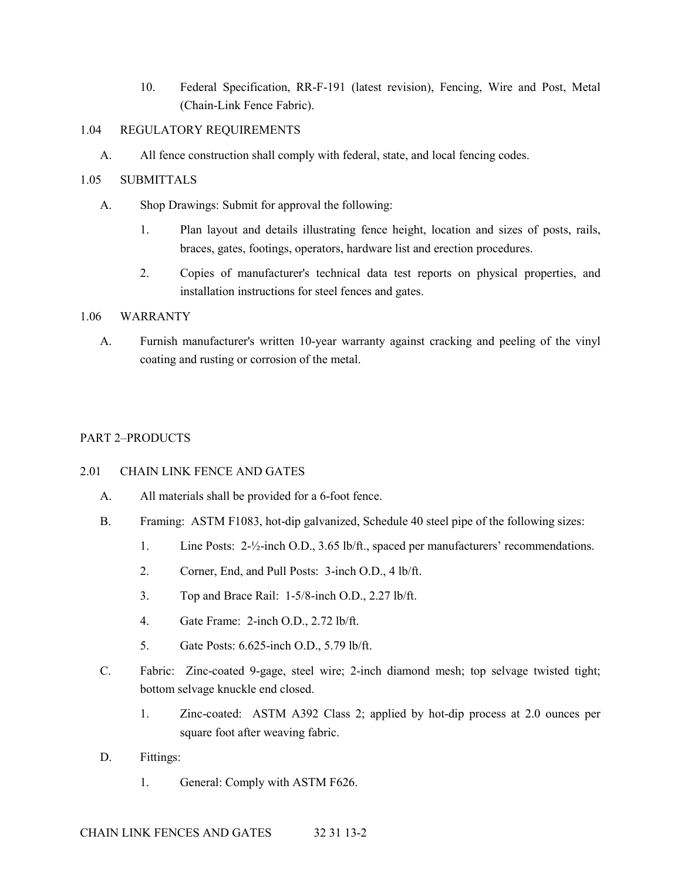10. Federal Specification, RR-F-191 (latest revision), Fencing, Wire and Post, Metal (Chain-Link Fence Fabric).

## 1.04 REGULATORY REQUIREMENTS

A. All fence construction shall comply with federal, state, and local fencing codes.

## 1.05 SUBMITTALS

- A. Shop Drawings: Submit for approval the following:
	- 1. Plan layout and details illustrating fence height, location and sizes of posts, rails, braces, gates, footings, operators, hardware list and erection procedures.
	- 2. Copies of manufacturer's technical data test reports on physical properties, and installation instructions for steel fences and gates.

## 1.06 WARRANTY

A. Furnish manufacturer's written 10-year warranty against cracking and peeling of the vinyl coating and rusting or corrosion of the metal.

## PART 2–PRODUCTS

## 2.01 CHAIN LINK FENCE AND GATES

- A. All materials shall be provided for a 6-foot fence.
- B. Framing: ASTM F1083, hot-dip galvanized, Schedule 40 steel pipe of the following sizes:
	- 1. Line Posts: 2-½-inch O.D., 3.65 lb/ft., spaced per manufacturers' recommendations.
	- 2. Corner, End, and Pull Posts: 3-inch O.D., 4 lb/ft.
	- 3. Top and Brace Rail: 1-5/8-inch O.D., 2.27 lb/ft.
	- 4. Gate Frame: 2-inch O.D., 2.72 lb/ft.
	- 5. Gate Posts: 6.625-inch O.D., 5.79 lb/ft.
- C. Fabric: Zinc-coated 9-gage, steel wire; 2-inch diamond mesh; top selvage twisted tight; bottom selvage knuckle end closed.
	- 1. Zinc-coated: ASTM A392 Class 2; applied by hot-dip process at 2.0 ounces per square foot after weaving fabric.
- D. Fittings:
	- 1. General: Comply with ASTM F626.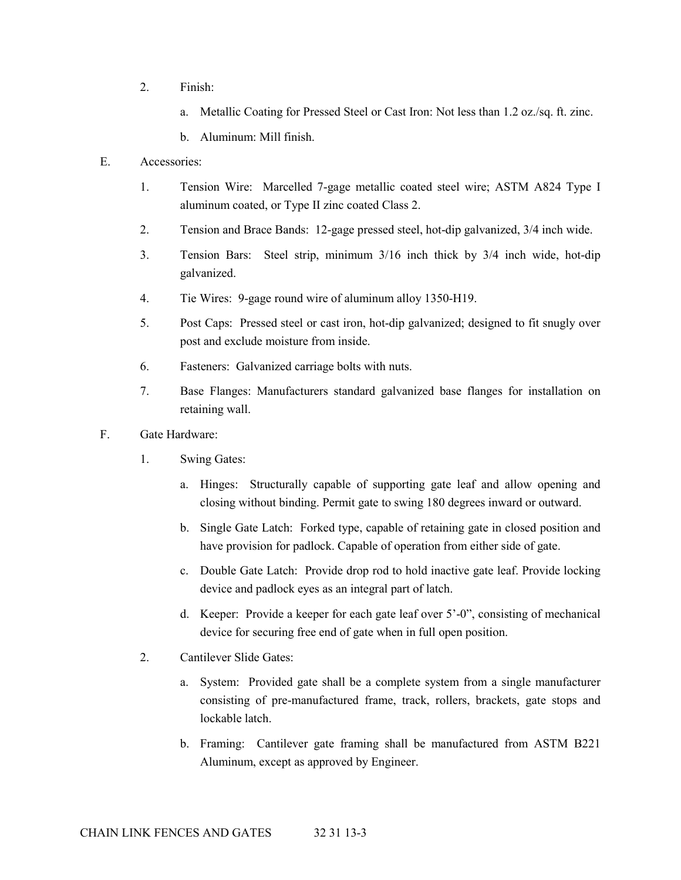- 2. Finish:
	- a. Metallic Coating for Pressed Steel or Cast Iron: Not less than 1.2 oz./sq. ft. zinc.
	- b. Aluminum: Mill finish.
- E. Accessories:
	- 1. Tension Wire: Marcelled 7-gage metallic coated steel wire; ASTM A824 Type I aluminum coated, or Type II zinc coated Class 2.
	- 2. Tension and Brace Bands: 12-gage pressed steel, hot-dip galvanized, 3/4 inch wide.
	- 3. Tension Bars: Steel strip, minimum 3/16 inch thick by 3/4 inch wide, hot-dip galvanized.
	- 4. Tie Wires: 9-gage round wire of aluminum alloy 1350-H19.
	- 5. Post Caps: Pressed steel or cast iron, hot-dip galvanized; designed to fit snugly over post and exclude moisture from inside.
	- 6. Fasteners: Galvanized carriage bolts with nuts.
	- 7. Base Flanges: Manufacturers standard galvanized base flanges for installation on retaining wall.
- F. Gate Hardware:
	- 1. Swing Gates:
		- a. Hinges: Structurally capable of supporting gate leaf and allow opening and closing without binding. Permit gate to swing 180 degrees inward or outward.
		- b. Single Gate Latch: Forked type, capable of retaining gate in closed position and have provision for padlock. Capable of operation from either side of gate.
		- c. Double Gate Latch: Provide drop rod to hold inactive gate leaf. Provide locking device and padlock eyes as an integral part of latch.
		- d. Keeper: Provide a keeper for each gate leaf over 5'-0", consisting of mechanical device for securing free end of gate when in full open position.
	- 2. Cantilever Slide Gates:
		- a. System: Provided gate shall be a complete system from a single manufacturer consisting of pre-manufactured frame, track, rollers, brackets, gate stops and lockable latch.
		- b. Framing: Cantilever gate framing shall be manufactured from ASTM B221 Aluminum, except as approved by Engineer.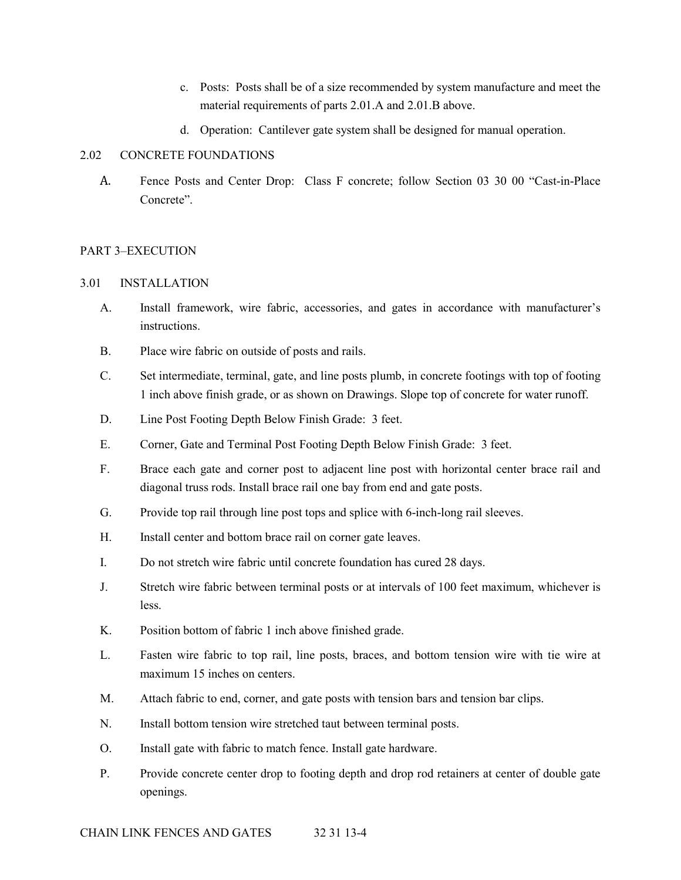- c. Posts: Posts shall be of a size recommended by system manufacture and meet the material requirements of parts 2.01.A and 2.01.B above.
- d. Operation: Cantilever gate system shall be designed for manual operation.

## 2.02 CONCRETE FOUNDATIONS

A. Fence Posts and Center Drop: Class F concrete; follow Section 03 30 00 "Cast-in-Place Concrete".

## PART 3–EXECUTION

## 3.01 INSTALLATION

- A. Install framework, wire fabric, accessories, and gates in accordance with manufacturer's instructions.
- B. Place wire fabric on outside of posts and rails.
- C. Set intermediate, terminal, gate, and line posts plumb, in concrete footings with top of footing 1 inch above finish grade, or as shown on Drawings. Slope top of concrete for water runoff.
- D. Line Post Footing Depth Below Finish Grade: 3 feet.
- E. Corner, Gate and Terminal Post Footing Depth Below Finish Grade: 3 feet.
- F. Brace each gate and corner post to adjacent line post with horizontal center brace rail and diagonal truss rods. Install brace rail one bay from end and gate posts.
- G. Provide top rail through line post tops and splice with 6-inch-long rail sleeves.
- H. Install center and bottom brace rail on corner gate leaves.
- I. Do not stretch wire fabric until concrete foundation has cured 28 days.
- J. Stretch wire fabric between terminal posts or at intervals of 100 feet maximum, whichever is less.
- K. Position bottom of fabric 1 inch above finished grade.
- L. Fasten wire fabric to top rail, line posts, braces, and bottom tension wire with tie wire at maximum 15 inches on centers.
- M. Attach fabric to end, corner, and gate posts with tension bars and tension bar clips.
- N. Install bottom tension wire stretched taut between terminal posts.
- O. Install gate with fabric to match fence. Install gate hardware.
- P. Provide concrete center drop to footing depth and drop rod retainers at center of double gate openings.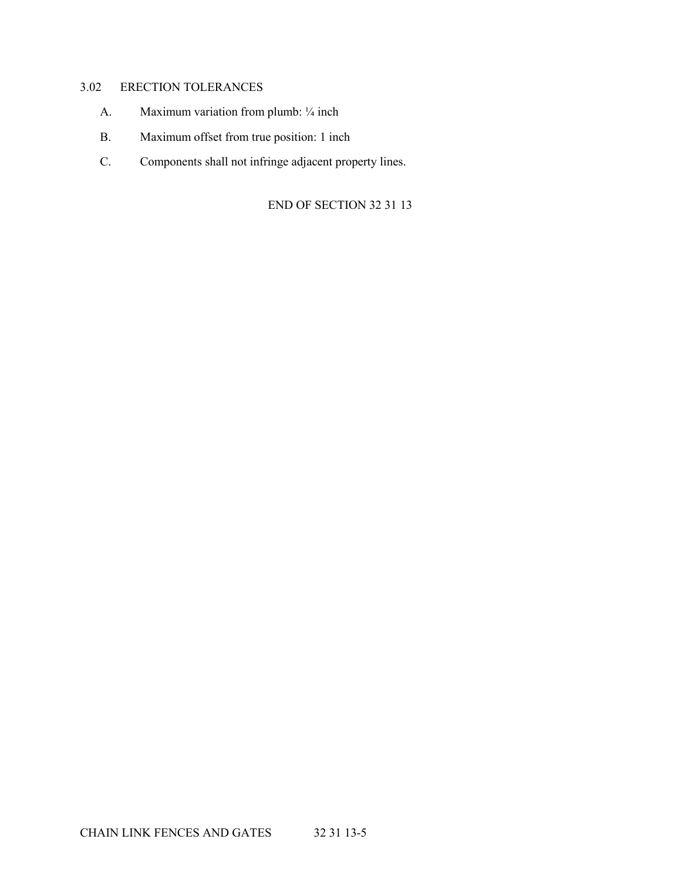## 3.02 ERECTION TOLERANCES

- A. Maximum variation from plumb: 1/4 inch
- B. Maximum offset from true position: 1 inch
- C. Components shall not infringe adjacent property lines.

END OF SECTION 32 31 13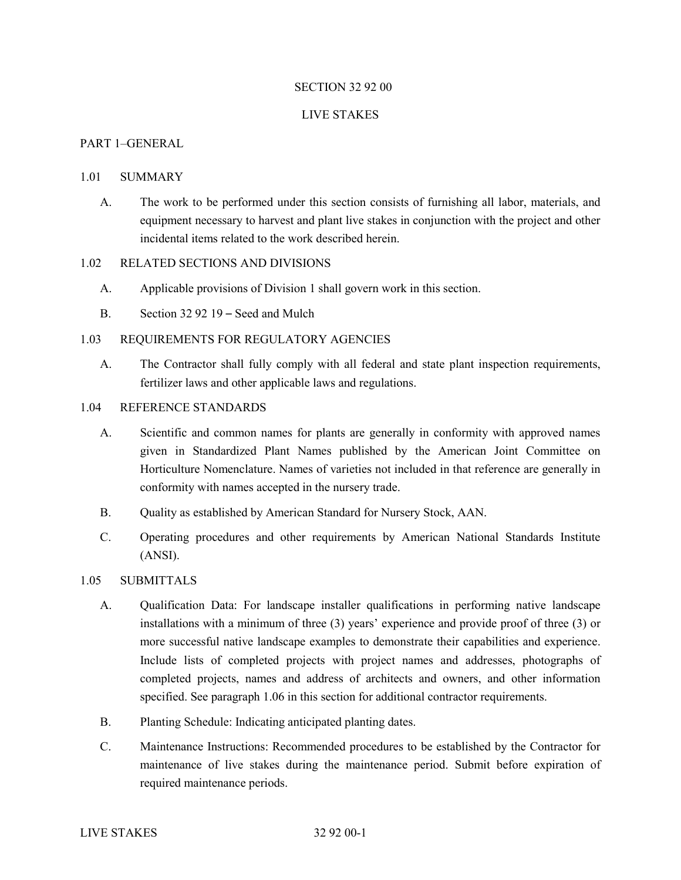### SECTION 32 92 00

#### LIVE STAKES

#### PART 1–GENERAL

#### 1.01 SUMMARY

A. The work to be performed under this section consists of furnishing all labor, materials, and equipment necessary to harvest and plant live stakes in conjunction with the project and other incidental items related to the work described herein.

### 1.02 RELATED SECTIONS AND DIVISIONS

- A. Applicable provisions of Division 1 shall govern work in this section.
- B. Section 32 92 19 Seed and Mulch

### 1.03 REQUIREMENTS FOR REGULATORY AGENCIES

A. The Contractor shall fully comply with all federal and state plant inspection requirements, fertilizer laws and other applicable laws and regulations.

### 1.04 REFERENCE STANDARDS

- A. Scientific and common names for plants are generally in conformity with approved names given in Standardized Plant Names published by the American Joint Committee on Horticulture Nomenclature. Names of varieties not included in that reference are generally in conformity with names accepted in the nursery trade.
- B. Quality as established by American Standard for Nursery Stock, AAN.
- C. Operating procedures and other requirements by American National Standards Institute (ANSI).

#### 1.05 SUBMITTALS

- A. Qualification Data: For landscape installer qualifications in performing native landscape installations with a minimum of three (3) years' experience and provide proof of three (3) or more successful native landscape examples to demonstrate their capabilities and experience. Include lists of completed projects with project names and addresses, photographs of completed projects, names and address of architects and owners, and other information specified. See paragraph 1.06 in this section for additional contractor requirements.
- B. Planting Schedule: Indicating anticipated planting dates.
- C. Maintenance Instructions: Recommended procedures to be established by the Contractor for maintenance of live stakes during the maintenance period. Submit before expiration of required maintenance periods.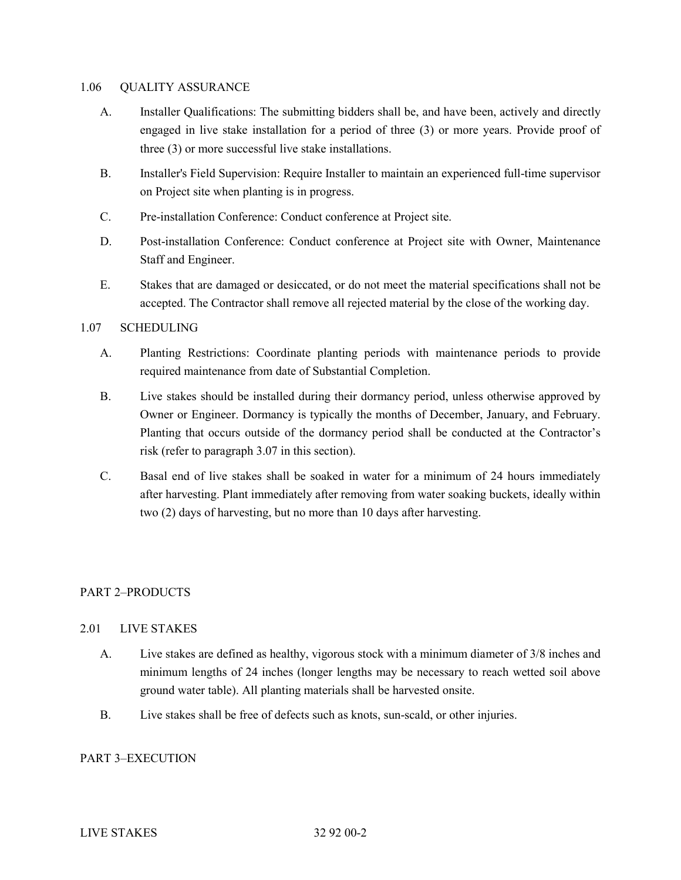#### 1.06 QUALITY ASSURANCE

- A. Installer Qualifications: The submitting bidders shall be, and have been, actively and directly engaged in live stake installation for a period of three (3) or more years. Provide proof of three (3) or more successful live stake installations.
- B. Installer's Field Supervision: Require Installer to maintain an experienced full-time supervisor on Project site when planting is in progress.
- C. Pre-installation Conference: Conduct conference at Project site.
- D. Post-installation Conference: Conduct conference at Project site with Owner, Maintenance Staff and Engineer.
- E. Stakes that are damaged or desiccated, or do not meet the material specifications shall not be accepted. The Contractor shall remove all rejected material by the close of the working day.

## 1.07 SCHEDULING

- A. Planting Restrictions: Coordinate planting periods with maintenance periods to provide required maintenance from date of Substantial Completion.
- B. Live stakes should be installed during their dormancy period, unless otherwise approved by Owner or Engineer. Dormancy is typically the months of December, January, and February. Planting that occurs outside of the dormancy period shall be conducted at the Contractor's risk (refer to paragraph 3.07 in this section).
- C. Basal end of live stakes shall be soaked in water for a minimum of 24 hours immediately after harvesting. Plant immediately after removing from water soaking buckets, ideally within two (2) days of harvesting, but no more than 10 days after harvesting.

## PART 2–PRODUCTS

## 2.01 LIVE STAKES

- A. Live stakes are defined as healthy, vigorous stock with a minimum diameter of 3/8 inches and minimum lengths of 24 inches (longer lengths may be necessary to reach wetted soil above ground water table). All planting materials shall be harvested onsite.
- B. Live stakes shall be free of defects such as knots, sun-scald, or other injuries.

## PART 3–EXECUTION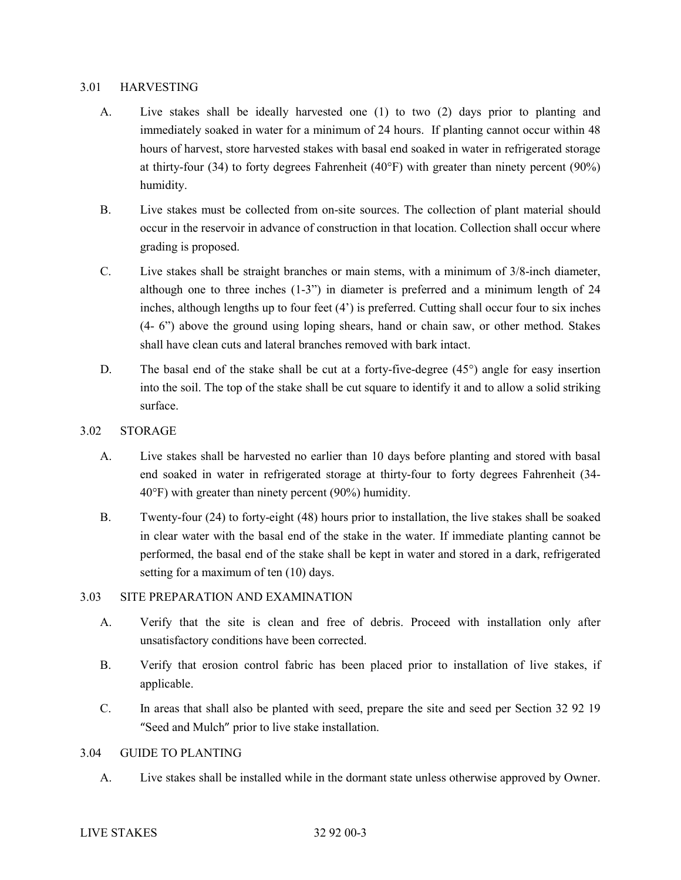### 3.01 HARVESTING

- A. Live stakes shall be ideally harvested one (1) to two (2) days prior to planting and immediately soaked in water for a minimum of 24 hours. If planting cannot occur within 48 hours of harvest, store harvested stakes with basal end soaked in water in refrigerated storage at thirty-four (34) to forty degrees Fahrenheit (40 $\degree$ F) with greater than ninety percent (90%) humidity.
- B. Live stakes must be collected from on-site sources. The collection of plant material should occur in the reservoir in advance of construction in that location. Collection shall occur where grading is proposed.
- C. Live stakes shall be straight branches or main stems, with a minimum of 3/8-inch diameter, although one to three inches (1-3") in diameter is preferred and a minimum length of 24 inches, although lengths up to four feet (4') is preferred. Cutting shall occur four to six inches (4- 6") above the ground using loping shears, hand or chain saw, or other method. Stakes shall have clean cuts and lateral branches removed with bark intact.
- D. The basal end of the stake shall be cut at a forty-five-degree (45°) angle for easy insertion into the soil. The top of the stake shall be cut square to identify it and to allow a solid striking surface.
- 3.02 STORAGE
	- A. Live stakes shall be harvested no earlier than 10 days before planting and stored with basal end soaked in water in refrigerated storage at thirty-four to forty degrees Fahrenheit (34- 40°F) with greater than ninety percent (90%) humidity.
	- B. Twenty-four (24) to forty-eight (48) hours prior to installation, the live stakes shall be soaked in clear water with the basal end of the stake in the water. If immediate planting cannot be performed, the basal end of the stake shall be kept in water and stored in a dark, refrigerated setting for a maximum of ten (10) days.

## 3.03 SITE PREPARATION AND EXAMINATION

- A. Verify that the site is clean and free of debris. Proceed with installation only after unsatisfactory conditions have been corrected.
- B. Verify that erosion control fabric has been placed prior to installation of live stakes, if applicable.
- C. In areas that shall also be planted with seed, prepare the site and seed per Section 32 92 19 "Seed and Mulch" prior to live stake installation.

## 3.04 GUIDE TO PLANTING

A. Live stakes shall be installed while in the dormant state unless otherwise approved by Owner.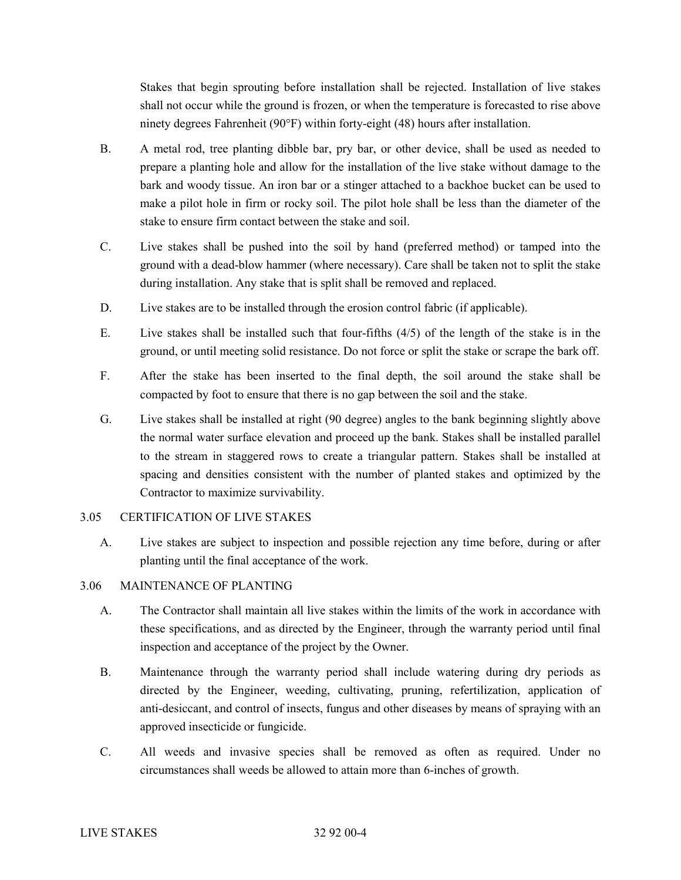Stakes that begin sprouting before installation shall be rejected. Installation of live stakes shall not occur while the ground is frozen, or when the temperature is forecasted to rise above ninety degrees Fahrenheit (90°F) within forty-eight (48) hours after installation.

- B. A metal rod, tree planting dibble bar, pry bar, or other device, shall be used as needed to prepare a planting hole and allow for the installation of the live stake without damage to the bark and woody tissue. An iron bar or a stinger attached to a backhoe bucket can be used to make a pilot hole in firm or rocky soil. The pilot hole shall be less than the diameter of the stake to ensure firm contact between the stake and soil.
- C. Live stakes shall be pushed into the soil by hand (preferred method) or tamped into the ground with a dead-blow hammer (where necessary). Care shall be taken not to split the stake during installation. Any stake that is split shall be removed and replaced.
- D. Live stakes are to be installed through the erosion control fabric (if applicable).
- E. Live stakes shall be installed such that four-fifths (4/5) of the length of the stake is in the ground, or until meeting solid resistance. Do not force or split the stake or scrape the bark off.
- F. After the stake has been inserted to the final depth, the soil around the stake shall be compacted by foot to ensure that there is no gap between the soil and the stake.
- G. Live stakes shall be installed at right (90 degree) angles to the bank beginning slightly above the normal water surface elevation and proceed up the bank. Stakes shall be installed parallel to the stream in staggered rows to create a triangular pattern. Stakes shall be installed at spacing and densities consistent with the number of planted stakes and optimized by the Contractor to maximize survivability.

## 3.05 CERTIFICATION OF LIVE STAKES

A. Live stakes are subject to inspection and possible rejection any time before, during or after planting until the final acceptance of the work.

## 3.06 MAINTENANCE OF PLANTING

- A. The Contractor shall maintain all live stakes within the limits of the work in accordance with these specifications, and as directed by the Engineer, through the warranty period until final inspection and acceptance of the project by the Owner.
- B. Maintenance through the warranty period shall include watering during dry periods as directed by the Engineer, weeding, cultivating, pruning, refertilization, application of anti-desiccant, and control of insects, fungus and other diseases by means of spraying with an approved insecticide or fungicide.
- C. All weeds and invasive species shall be removed as often as required. Under no circumstances shall weeds be allowed to attain more than 6-inches of growth.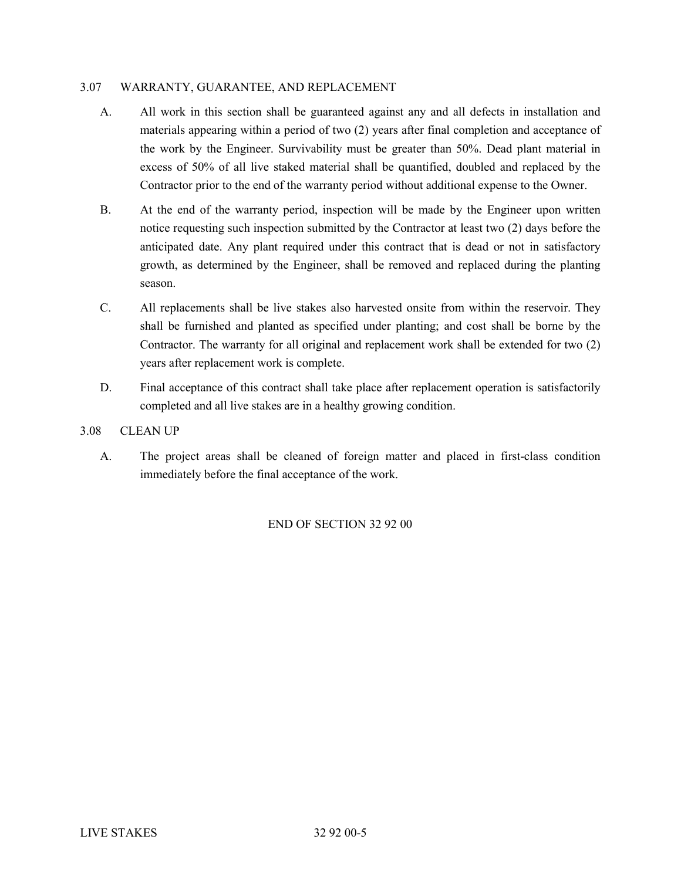### 3.07 WARRANTY, GUARANTEE, AND REPLACEMENT

- A. All work in this section shall be guaranteed against any and all defects in installation and materials appearing within a period of two (2) years after final completion and acceptance of the work by the Engineer. Survivability must be greater than 50%. Dead plant material in excess of 50% of all live staked material shall be quantified, doubled and replaced by the Contractor prior to the end of the warranty period without additional expense to the Owner.
- B. At the end of the warranty period, inspection will be made by the Engineer upon written notice requesting such inspection submitted by the Contractor at least two (2) days before the anticipated date. Any plant required under this contract that is dead or not in satisfactory growth, as determined by the Engineer, shall be removed and replaced during the planting season.
- C. All replacements shall be live stakes also harvested onsite from within the reservoir. They shall be furnished and planted as specified under planting; and cost shall be borne by the Contractor. The warranty for all original and replacement work shall be extended for two (2) years after replacement work is complete.
- D. Final acceptance of this contract shall take place after replacement operation is satisfactorily completed and all live stakes are in a healthy growing condition.
- 3.08 CLEAN UP
	- A. The project areas shall be cleaned of foreign matter and placed in first-class condition immediately before the final acceptance of the work.

END OF SECTION 32 92 00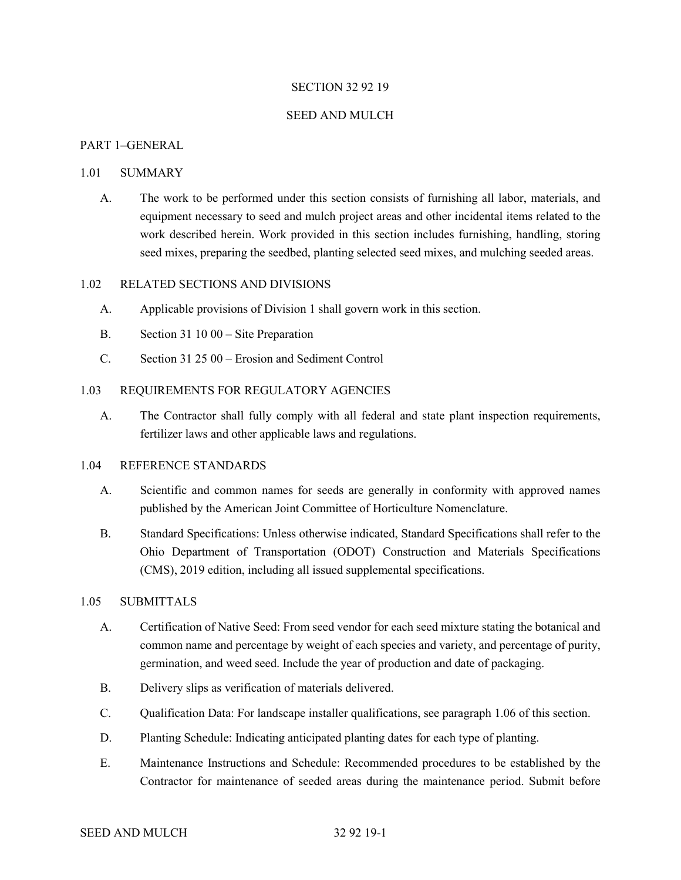#### SECTION 32 92 19

#### SEED AND MULCH

### PART 1–GENERAL

#### 1.01 SUMMARY

A. The work to be performed under this section consists of furnishing all labor, materials, and equipment necessary to seed and mulch project areas and other incidental items related to the work described herein. Work provided in this section includes furnishing, handling, storing seed mixes, preparing the seedbed, planting selected seed mixes, and mulching seeded areas.

## 1.02 RELATED SECTIONS AND DIVISIONS

- A. Applicable provisions of Division 1 shall govern work in this section.
- B. Section 31 10 00 Site Preparation
- C. Section 31 25 00 Erosion and Sediment Control

## 1.03 REQUIREMENTS FOR REGULATORY AGENCIES

A. The Contractor shall fully comply with all federal and state plant inspection requirements, fertilizer laws and other applicable laws and regulations.

### 1.04 REFERENCE STANDARDS

- A. Scientific and common names for seeds are generally in conformity with approved names published by the American Joint Committee of Horticulture Nomenclature.
- B. Standard Specifications: Unless otherwise indicated, Standard Specifications shall refer to the Ohio Department of Transportation (ODOT) Construction and Materials Specifications (CMS), 2019 edition, including all issued supplemental specifications.

#### 1.05 SUBMITTALS

- A. Certification of Native Seed: From seed vendor for each seed mixture stating the botanical and common name and percentage by weight of each species and variety, and percentage of purity, germination, and weed seed. Include the year of production and date of packaging.
- B. Delivery slips as verification of materials delivered.
- C. Qualification Data: For landscape installer qualifications, see paragraph 1.06 of this section.
- D. Planting Schedule: Indicating anticipated planting dates for each type of planting.
- E. Maintenance Instructions and Schedule: Recommended procedures to be established by the Contractor for maintenance of seeded areas during the maintenance period. Submit before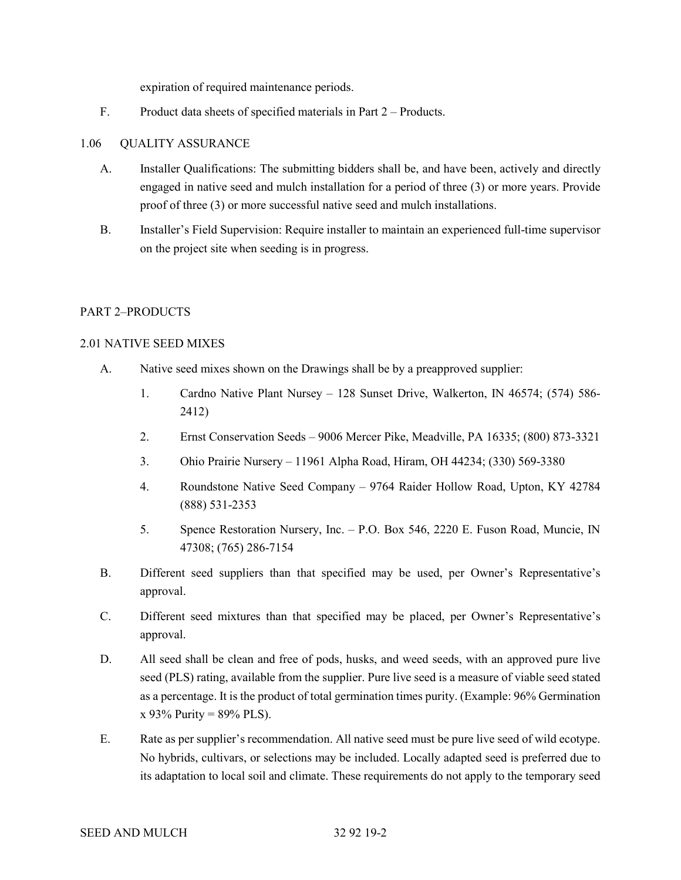expiration of required maintenance periods.

F. Product data sheets of specified materials in Part 2 – Products.

## 1.06 QUALITY ASSURANCE

- A. Installer Qualifications: The submitting bidders shall be, and have been, actively and directly engaged in native seed and mulch installation for a period of three (3) or more years. Provide proof of three (3) or more successful native seed and mulch installations.
- B. Installer's Field Supervision: Require installer to maintain an experienced full-time supervisor on the project site when seeding is in progress.

## PART 2–PRODUCTS

## 2.01 NATIVE SEED MIXES

- A. Native seed mixes shown on the Drawings shall be by a preapproved supplier:
	- 1. Cardno Native Plant Nursey 128 Sunset Drive, Walkerton, IN 46574; (574) 586- 2412)
	- 2. Ernst Conservation Seeds 9006 Mercer Pike, Meadville, PA 16335; (800) 873-3321
	- 3. Ohio Prairie Nursery 11961 Alpha Road, Hiram, OH 44234; (330) 569-3380
	- 4. Roundstone Native Seed Company 9764 Raider Hollow Road, Upton, KY 42784 (888) 531-2353
	- 5. Spence Restoration Nursery, Inc. P.O. Box 546, 2220 E. Fuson Road, Muncie, IN 47308; (765) 286-7154
- B. Different seed suppliers than that specified may be used, per Owner's Representative's approval.
- C. Different seed mixtures than that specified may be placed, per Owner's Representative's approval.
- D. All seed shall be clean and free of pods, husks, and weed seeds, with an approved pure live seed (PLS) rating, available from the supplier. Pure live seed is a measure of viable seed stated as a percentage. It is the product of total germination times purity. (Example: 96% Germination  $x$  93% Purity = 89% PLS).
- E. Rate as per supplier's recommendation. All native seed must be pure live seed of wild ecotype. No hybrids, cultivars, or selections may be included. Locally adapted seed is preferred due to its adaptation to local soil and climate. These requirements do not apply to the temporary seed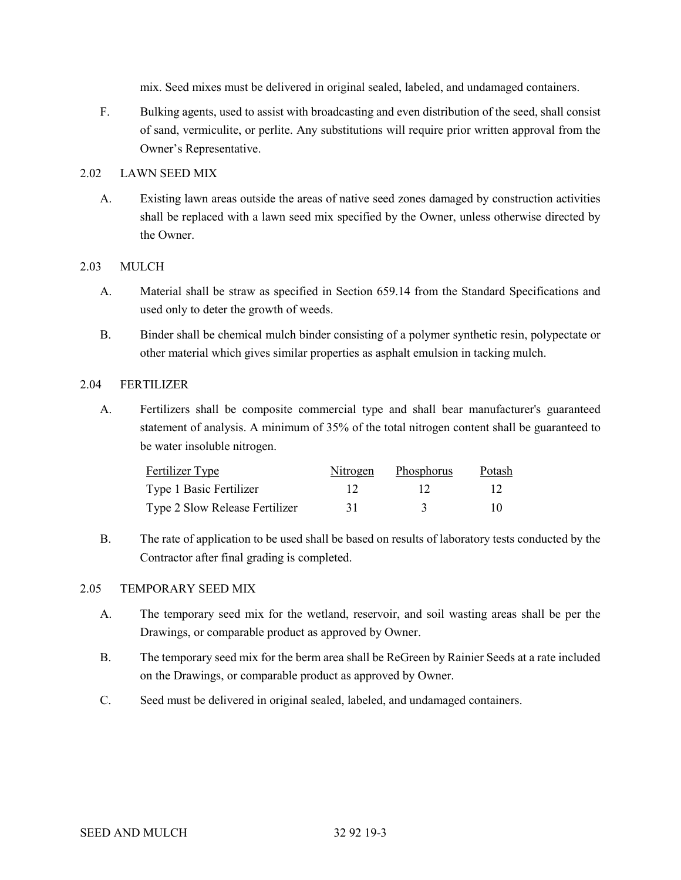mix. Seed mixes must be delivered in original sealed, labeled, and undamaged containers.

F. Bulking agents, used to assist with broadcasting and even distribution of the seed, shall consist of sand, vermiculite, or perlite. Any substitutions will require prior written approval from the Owner's Representative.

## 2.02 LAWN SEED MIX

A. Existing lawn areas outside the areas of native seed zones damaged by construction activities shall be replaced with a lawn seed mix specified by the Owner, unless otherwise directed by the Owner.

## 2.03 MULCH

- A. Material shall be straw as specified in Section 659.14 from the Standard Specifications and used only to deter the growth of weeds.
- B. Binder shall be chemical mulch binder consisting of a polymer synthetic resin, polypectate or other material which gives similar properties as asphalt emulsion in tacking mulch.

### 2.04 FERTILIZER

A. Fertilizers shall be composite commercial type and shall bear manufacturer's guaranteed statement of analysis. A minimum of 35% of the total nitrogen content shall be guaranteed to be water insoluble nitrogen.

| Fertilizer Type                |    | Nitrogen Phosphorus | Potash |
|--------------------------------|----|---------------------|--------|
| Type 1 Basic Fertilizer        |    |                     |        |
| Type 2 Slow Release Fertilizer | 31 |                     | 10     |

B. The rate of application to be used shall be based on results of laboratory tests conducted by the Contractor after final grading is completed.

## 2.05 TEMPORARY SEED MIX

- A. The temporary seed mix for the wetland, reservoir, and soil wasting areas shall be per the Drawings, or comparable product as approved by Owner.
- B. The temporary seed mix for the berm area shall be ReGreen by Rainier Seeds at a rate included on the Drawings, or comparable product as approved by Owner.
- C. Seed must be delivered in original sealed, labeled, and undamaged containers.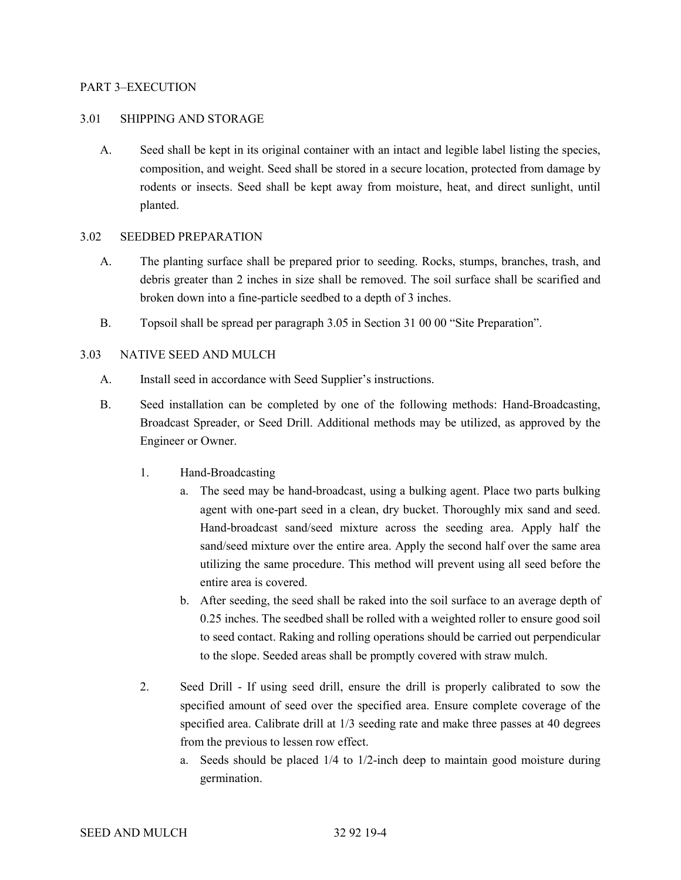### PART 3–EXECUTION

#### 3.01 SHIPPING AND STORAGE

A. Seed shall be kept in its original container with an intact and legible label listing the species, composition, and weight. Seed shall be stored in a secure location, protected from damage by rodents or insects. Seed shall be kept away from moisture, heat, and direct sunlight, until planted.

### 3.02 SEEDBED PREPARATION

- A. The planting surface shall be prepared prior to seeding. Rocks, stumps, branches, trash, and debris greater than 2 inches in size shall be removed. The soil surface shall be scarified and broken down into a fine-particle seedbed to a depth of 3 inches.
- B. Topsoil shall be spread per paragraph 3.05 in Section 31 00 00 "Site Preparation".

## 3.03 NATIVE SEED AND MULCH

- A. Install seed in accordance with Seed Supplier's instructions.
- B. Seed installation can be completed by one of the following methods: Hand-Broadcasting, Broadcast Spreader, or Seed Drill. Additional methods may be utilized, as approved by the Engineer or Owner.
	- 1. Hand-Broadcasting
		- a. The seed may be hand-broadcast, using a bulking agent. Place two parts bulking agent with one-part seed in a clean, dry bucket. Thoroughly mix sand and seed. Hand-broadcast sand/seed mixture across the seeding area. Apply half the sand/seed mixture over the entire area. Apply the second half over the same area utilizing the same procedure. This method will prevent using all seed before the entire area is covered.
		- b. After seeding, the seed shall be raked into the soil surface to an average depth of 0.25 inches. The seedbed shall be rolled with a weighted roller to ensure good soil to seed contact. Raking and rolling operations should be carried out perpendicular to the slope. Seeded areas shall be promptly covered with straw mulch.
	- 2. Seed Drill If using seed drill, ensure the drill is properly calibrated to sow the specified amount of seed over the specified area. Ensure complete coverage of the specified area. Calibrate drill at 1/3 seeding rate and make three passes at 40 degrees from the previous to lessen row effect.
		- a. Seeds should be placed 1/4 to 1/2-inch deep to maintain good moisture during germination.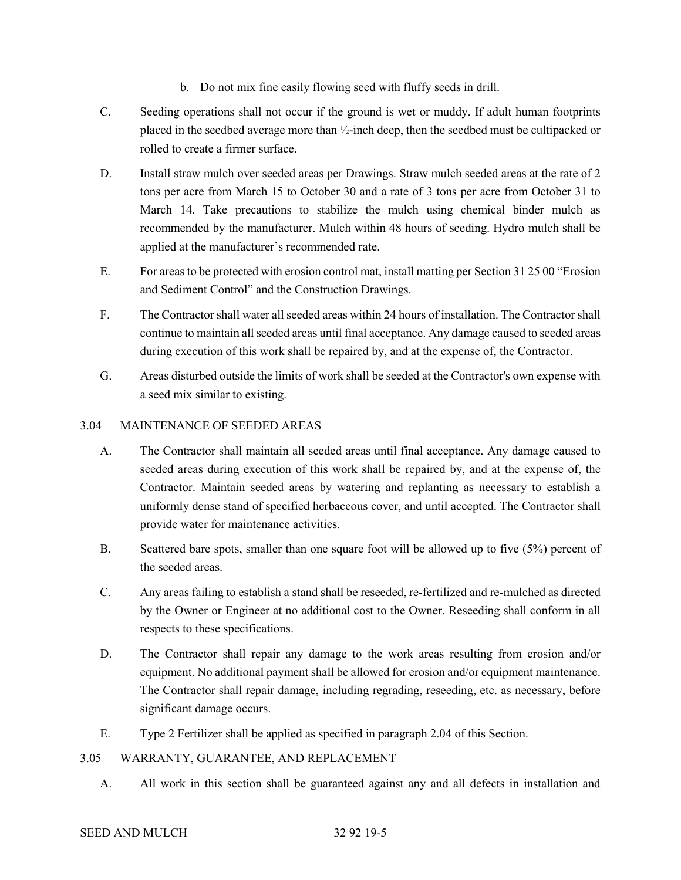- b. Do not mix fine easily flowing seed with fluffy seeds in drill.
- C. Seeding operations shall not occur if the ground is wet or muddy. If adult human footprints placed in the seedbed average more than ½-inch deep, then the seedbed must be cultipacked or rolled to create a firmer surface.
- D. Install straw mulch over seeded areas per Drawings. Straw mulch seeded areas at the rate of 2 tons per acre from March 15 to October 30 and a rate of 3 tons per acre from October 31 to March 14. Take precautions to stabilize the mulch using chemical binder mulch as recommended by the manufacturer. Mulch within 48 hours of seeding. Hydro mulch shall be applied at the manufacturer's recommended rate.
- E. For areas to be protected with erosion control mat, install matting per Section 31 25 00 "Erosion and Sediment Control" and the Construction Drawings.
- F. The Contractor shall water all seeded areas within 24 hours of installation. The Contractor shall continue to maintain all seeded areas until final acceptance. Any damage caused to seeded areas during execution of this work shall be repaired by, and at the expense of, the Contractor.
- G. Areas disturbed outside the limits of work shall be seeded at the Contractor's own expense with a seed mix similar to existing.

## 3.04 MAINTENANCE OF SEEDED AREAS

- A. The Contractor shall maintain all seeded areas until final acceptance. Any damage caused to seeded areas during execution of this work shall be repaired by, and at the expense of, the Contractor. Maintain seeded areas by watering and replanting as necessary to establish a uniformly dense stand of specified herbaceous cover, and until accepted. The Contractor shall provide water for maintenance activities.
- B. Scattered bare spots, smaller than one square foot will be allowed up to five (5%) percent of the seeded areas.
- C. Any areas failing to establish a stand shall be reseeded, re-fertilized and re-mulched as directed by the Owner or Engineer at no additional cost to the Owner. Reseeding shall conform in all respects to these specifications.
- D. The Contractor shall repair any damage to the work areas resulting from erosion and/or equipment. No additional payment shall be allowed for erosion and/or equipment maintenance. The Contractor shall repair damage, including regrading, reseeding, etc. as necessary, before significant damage occurs.
- E. Type 2 Fertilizer shall be applied as specified in paragraph 2.04 of this Section.

## 3.05 WARRANTY, GUARANTEE, AND REPLACEMENT

A. All work in this section shall be guaranteed against any and all defects in installation and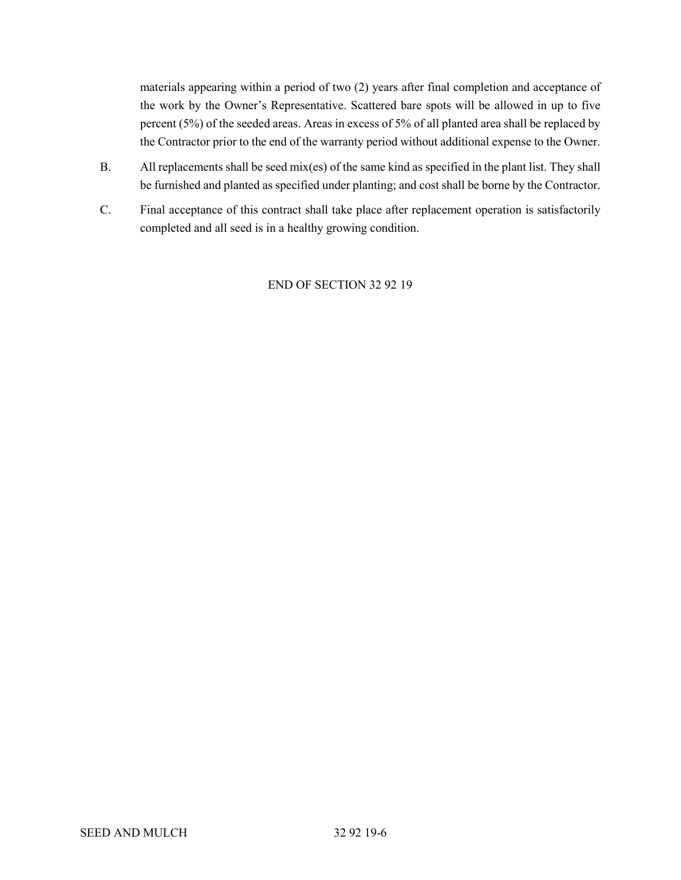materials appearing within a period of two (2) years after final completion and acceptance of the work by the Owner's Representative. Scattered bare spots will be allowed in up to five percent (5%) of the seeded areas. Areas in excess of 5% of all planted area shall be replaced by the Contractor prior to the end of the warranty period without additional expense to the Owner.

- B. All replacements shall be seed mix(es) of the same kind as specified in the plant list. They shall be furnished and planted as specified under planting; and cost shall be borne by the Contractor.
- C. Final acceptance of this contract shall take place after replacement operation is satisfactorily completed and all seed is in a healthy growing condition.

## END OF SECTION 32 92 19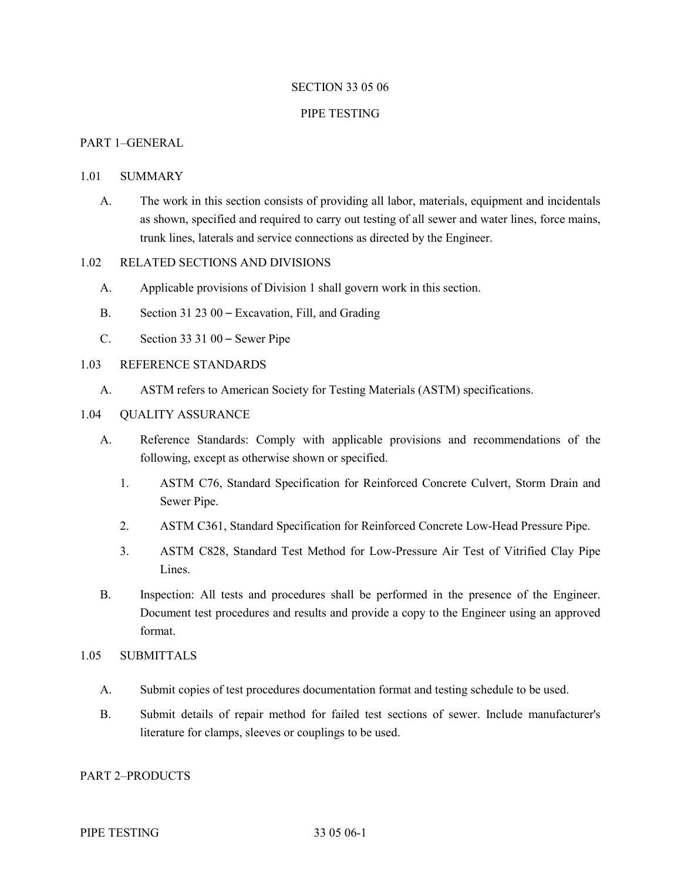#### SECTION 33 05 06

#### PIPE TESTING

## PART 1–GENERAL

#### 1.01 SUMMARY

A. The work in this section consists of providing all labor, materials, equipment and incidentals as shown, specified and required to carry out testing of all sewer and water lines, force mains, trunk lines, laterals and service connections as directed by the Engineer.

## 1.02 RELATED SECTIONS AND DIVISIONS

- A. Applicable provisions of Division 1 shall govern work in this section.
- B. Section 31 23 00 Excavation, Fill, and Grading
- C. Section 33 31 00 Sewer Pipe

#### 1.03 REFERENCE STANDARDS

A. ASTM refers to American Society for Testing Materials (ASTM) specifications.

#### 1.04 QUALITY ASSURANCE

- A. Reference Standards: Comply with applicable provisions and recommendations of the following, except as otherwise shown or specified.
	- 1. ASTM C76, Standard Specification for Reinforced Concrete Culvert, Storm Drain and Sewer Pipe.
	- 2. ASTM C361, Standard Specification for Reinforced Concrete Low-Head Pressure Pipe.
	- 3. ASTM C828, Standard Test Method for Low-Pressure Air Test of Vitrified Clay Pipe Lines.
- B. Inspection: All tests and procedures shall be performed in the presence of the Engineer. Document test procedures and results and provide a copy to the Engineer using an approved format.

### 1.05 SUBMITTALS

- A. Submit copies of test procedures documentation format and testing schedule to be used.
- B. Submit details of repair method for failed test sections of sewer. Include manufacturer's literature for clamps, sleeves or couplings to be used.

### PART 2–PRODUCTS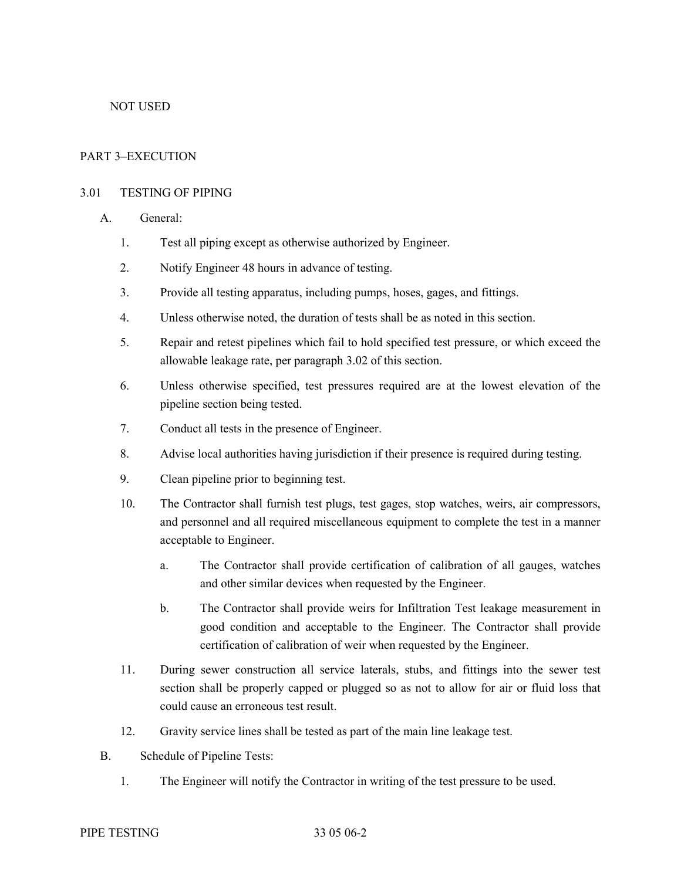## NOT USED

## PART 3–EXECUTION

## 3.01 TESTING OF PIPING

- A. General:
	- 1. Test all piping except as otherwise authorized by Engineer.
	- 2. Notify Engineer 48 hours in advance of testing.
	- 3. Provide all testing apparatus, including pumps, hoses, gages, and fittings.
	- 4. Unless otherwise noted, the duration of tests shall be as noted in this section.
	- 5. Repair and retest pipelines which fail to hold specified test pressure, or which exceed the allowable leakage rate, per paragraph 3.02 of this section.
	- 6. Unless otherwise specified, test pressures required are at the lowest elevation of the pipeline section being tested.
	- 7. Conduct all tests in the presence of Engineer.
	- 8. Advise local authorities having jurisdiction if their presence is required during testing.
	- 9. Clean pipeline prior to beginning test.
	- 10. The Contractor shall furnish test plugs, test gages, stop watches, weirs, air compressors, and personnel and all required miscellaneous equipment to complete the test in a manner acceptable to Engineer.
		- a. The Contractor shall provide certification of calibration of all gauges, watches and other similar devices when requested by the Engineer.
		- b. The Contractor shall provide weirs for Infiltration Test leakage measurement in good condition and acceptable to the Engineer. The Contractor shall provide certification of calibration of weir when requested by the Engineer.
	- 11. During sewer construction all service laterals, stubs, and fittings into the sewer test section shall be properly capped or plugged so as not to allow for air or fluid loss that could cause an erroneous test result.
	- 12. Gravity service lines shall be tested as part of the main line leakage test.
- B. Schedule of Pipeline Tests:
	- 1. The Engineer will notify the Contractor in writing of the test pressure to be used.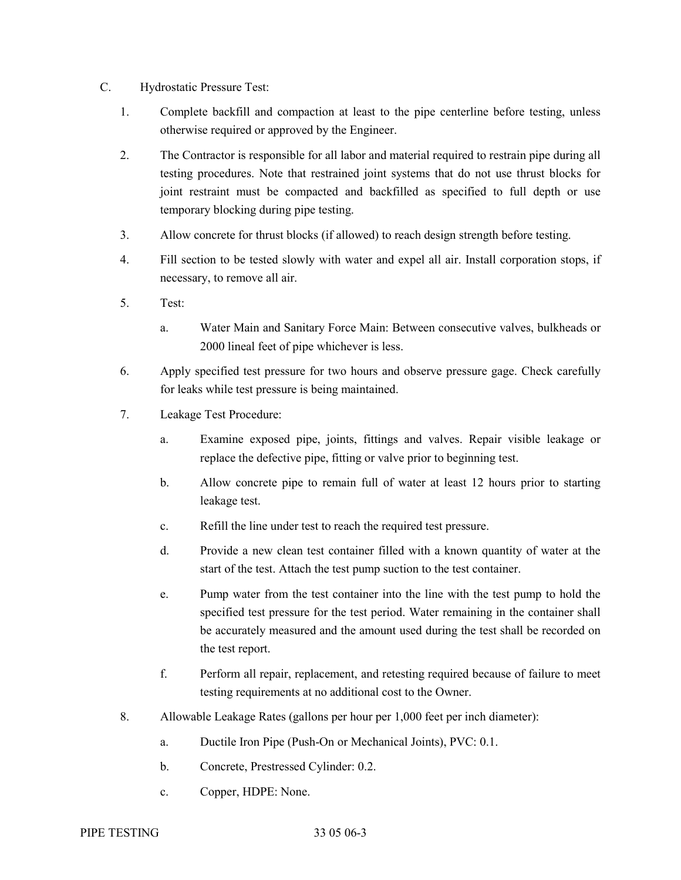- C. Hydrostatic Pressure Test:
	- 1. Complete backfill and compaction at least to the pipe centerline before testing, unless otherwise required or approved by the Engineer.
	- 2. The Contractor is responsible for all labor and material required to restrain pipe during all testing procedures. Note that restrained joint systems that do not use thrust blocks for joint restraint must be compacted and backfilled as specified to full depth or use temporary blocking during pipe testing.
	- 3. Allow concrete for thrust blocks (if allowed) to reach design strength before testing.
	- 4. Fill section to be tested slowly with water and expel all air. Install corporation stops, if necessary, to remove all air.
	- 5. Test:
		- a. Water Main and Sanitary Force Main: Between consecutive valves, bulkheads or 2000 lineal feet of pipe whichever is less.
	- 6. Apply specified test pressure for two hours and observe pressure gage. Check carefully for leaks while test pressure is being maintained.
	- 7. Leakage Test Procedure:
		- a. Examine exposed pipe, joints, fittings and valves. Repair visible leakage or replace the defective pipe, fitting or valve prior to beginning test.
		- b. Allow concrete pipe to remain full of water at least 12 hours prior to starting leakage test.
		- c. Refill the line under test to reach the required test pressure.
		- d. Provide a new clean test container filled with a known quantity of water at the start of the test. Attach the test pump suction to the test container.
		- e. Pump water from the test container into the line with the test pump to hold the specified test pressure for the test period. Water remaining in the container shall be accurately measured and the amount used during the test shall be recorded on the test report.
		- f. Perform all repair, replacement, and retesting required because of failure to meet testing requirements at no additional cost to the Owner.
	- 8. Allowable Leakage Rates (gallons per hour per 1,000 feet per inch diameter):
		- a. Ductile Iron Pipe (Push-On or Mechanical Joints), PVC: 0.1.
		- b. Concrete, Prestressed Cylinder: 0.2.
		- c. Copper, HDPE: None.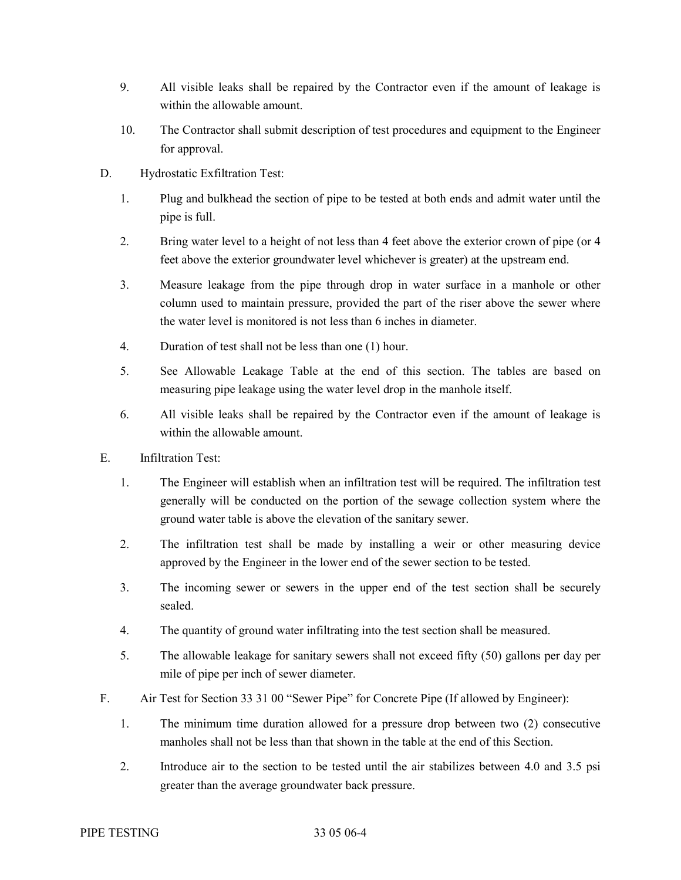- 9. All visible leaks shall be repaired by the Contractor even if the amount of leakage is within the allowable amount.
- 10. The Contractor shall submit description of test procedures and equipment to the Engineer for approval.
- D. Hydrostatic Exfiltration Test:
	- 1. Plug and bulkhead the section of pipe to be tested at both ends and admit water until the pipe is full.
	- 2. Bring water level to a height of not less than 4 feet above the exterior crown of pipe (or 4 feet above the exterior groundwater level whichever is greater) at the upstream end.
	- 3. Measure leakage from the pipe through drop in water surface in a manhole or other column used to maintain pressure, provided the part of the riser above the sewer where the water level is monitored is not less than 6 inches in diameter.
	- 4. Duration of test shall not be less than one (1) hour.
	- 5. See Allowable Leakage Table at the end of this section. The tables are based on measuring pipe leakage using the water level drop in the manhole itself.
	- 6. All visible leaks shall be repaired by the Contractor even if the amount of leakage is within the allowable amount.
- E. Infiltration Test:
	- 1. The Engineer will establish when an infiltration test will be required. The infiltration test generally will be conducted on the portion of the sewage collection system where the ground water table is above the elevation of the sanitary sewer.
	- 2. The infiltration test shall be made by installing a weir or other measuring device approved by the Engineer in the lower end of the sewer section to be tested.
	- 3. The incoming sewer or sewers in the upper end of the test section shall be securely sealed.
	- 4. The quantity of ground water infiltrating into the test section shall be measured.
	- 5. The allowable leakage for sanitary sewers shall not exceed fifty (50) gallons per day per mile of pipe per inch of sewer diameter.
- F. Air Test for Section 33 31 00 "Sewer Pipe" for Concrete Pipe (If allowed by Engineer):
	- 1. The minimum time duration allowed for a pressure drop between two (2) consecutive manholes shall not be less than that shown in the table at the end of this Section.
	- 2. Introduce air to the section to be tested until the air stabilizes between 4.0 and 3.5 psi greater than the average groundwater back pressure.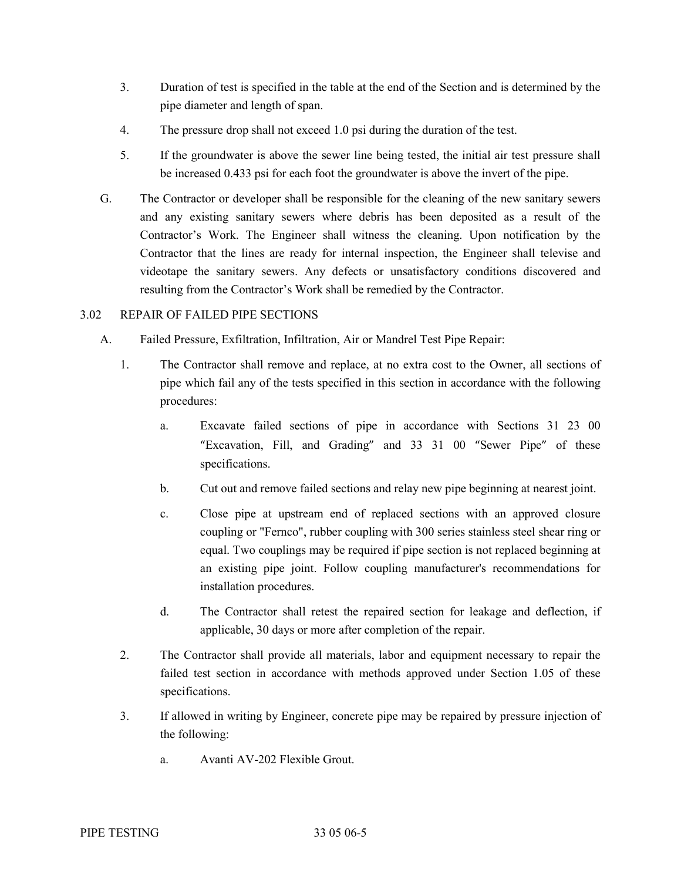- 3. Duration of test is specified in the table at the end of the Section and is determined by the pipe diameter and length of span.
- 4. The pressure drop shall not exceed 1.0 psi during the duration of the test.
- 5. If the groundwater is above the sewer line being tested, the initial air test pressure shall be increased 0.433 psi for each foot the groundwater is above the invert of the pipe.
- G. The Contractor or developer shall be responsible for the cleaning of the new sanitary sewers and any existing sanitary sewers where debris has been deposited as a result of the Contractor's Work. The Engineer shall witness the cleaning. Upon notification by the Contractor that the lines are ready for internal inspection, the Engineer shall televise and videotape the sanitary sewers. Any defects or unsatisfactory conditions discovered and resulting from the Contractor's Work shall be remedied by the Contractor.

## 3.02 REPAIR OF FAILED PIPE SECTIONS

- A. Failed Pressure, Exfiltration, Infiltration, Air or Mandrel Test Pipe Repair:
	- 1. The Contractor shall remove and replace, at no extra cost to the Owner, all sections of pipe which fail any of the tests specified in this section in accordance with the following procedures:
		- a. Excavate failed sections of pipe in accordance with Sections 31 23 00 "Excavation, Fill, and Grading" and 33 31 00 "Sewer Pipe" of these specifications.
		- b. Cut out and remove failed sections and relay new pipe beginning at nearest joint.
		- c. Close pipe at upstream end of replaced sections with an approved closure coupling or "Fernco", rubber coupling with 300 series stainless steel shear ring or equal. Two couplings may be required if pipe section is not replaced beginning at an existing pipe joint. Follow coupling manufacturer's recommendations for installation procedures.
		- d. The Contractor shall retest the repaired section for leakage and deflection, if applicable, 30 days or more after completion of the repair.
	- 2. The Contractor shall provide all materials, labor and equipment necessary to repair the failed test section in accordance with methods approved under Section 1.05 of these specifications.
	- 3. If allowed in writing by Engineer, concrete pipe may be repaired by pressure injection of the following:
		- a. Avanti AV-202 Flexible Grout.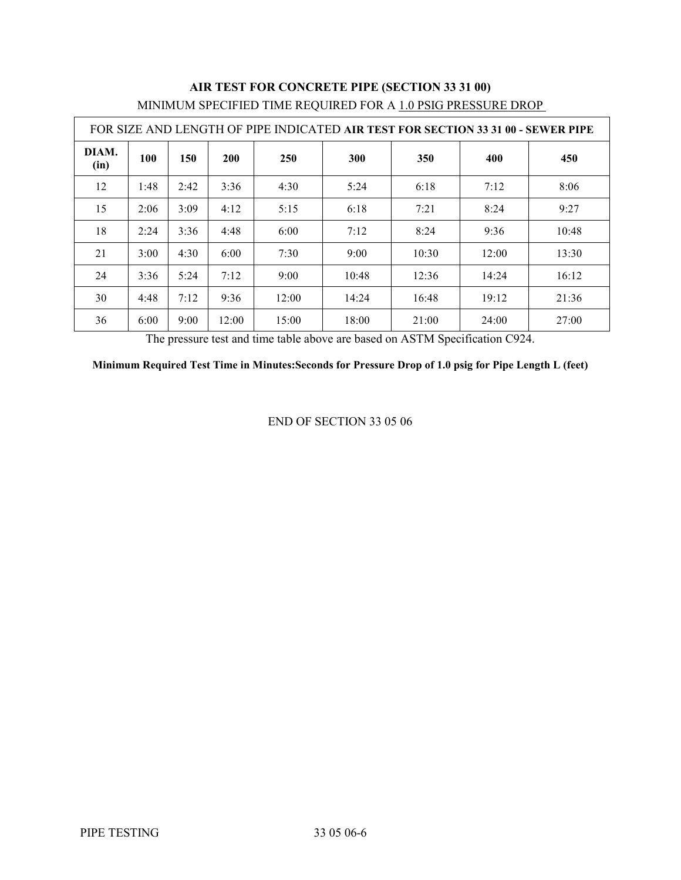| FOR SIZE AND LENGTH OF PIPE INDICATED AIR TEST FOR SECTION 33 31 00 - SEWER PIPE |      |      |            |            |       |       |       |       |
|----------------------------------------------------------------------------------|------|------|------------|------------|-------|-------|-------|-------|
| DIAM.<br>(in)                                                                    | 100  | 150  | <b>200</b> | <b>250</b> | 300   | 350   | 400   | 450   |
| 12                                                                               | 1:48 | 2:42 | 3:36       | 4:30       | 5:24  | 6:18  | 7:12  | 8:06  |
| 15                                                                               | 2:06 | 3:09 | 4:12       | 5:15       | 6:18  | 7:21  | 8:24  | 9:27  |
| 18                                                                               | 2:24 | 3:36 | 4:48       | 6:00       | 7:12  | 8:24  | 9:36  | 10:48 |
| 21                                                                               | 3:00 | 4:30 | 6:00       | 7:30       | 9:00  | 10:30 | 12:00 | 13:30 |
| 24                                                                               | 3:36 | 5:24 | 7:12       | 9:00       | 10:48 | 12:36 | 14:24 | 16:12 |
| 30                                                                               | 4:48 | 7:12 | 9:36       | 12:00      | 14:24 | 16:48 | 19:12 | 21:36 |
| 36                                                                               | 6:00 | 9:00 | 12:00      | 15:00      | 18:00 | 21:00 | 24:00 | 27:00 |

# **AIR TEST FOR CONCRETE PIPE (SECTION 33 31 00)** MINIMUM SPECIFIED TIME REQUIRED FOR A 1.0 PSIG PRESSURE DROP

The pressure test and time table above are based on ASTM Specification C924.

**Minimum Required Test Time in Minutes:Seconds for Pressure Drop of 1.0 psig for Pipe Length L (feet)**

END OF SECTION 33 05 06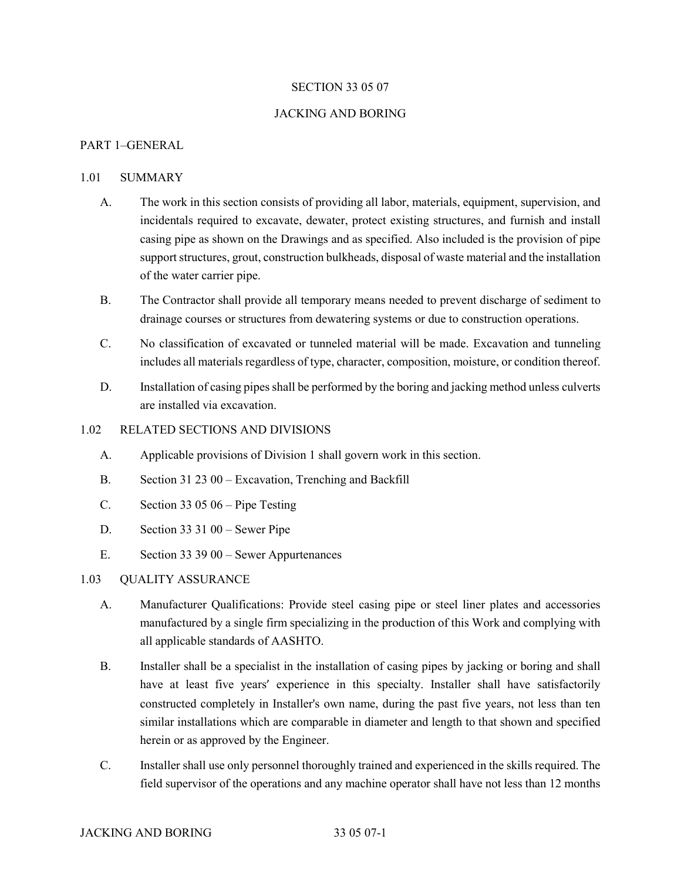### SECTION 33 05 07

#### JACKING AND BORING

#### PART 1–GENERAL

#### 1.01 SUMMARY

- A. The work in this section consists of providing all labor, materials, equipment, supervision, and incidentals required to excavate, dewater, protect existing structures, and furnish and install casing pipe as shown on the Drawings and as specified. Also included is the provision of pipe support structures, grout, construction bulkheads, disposal of waste material and the installation of the water carrier pipe.
- B. The Contractor shall provide all temporary means needed to prevent discharge of sediment to drainage courses or structures from dewatering systems or due to construction operations.
- C. No classification of excavated or tunneled material will be made. Excavation and tunneling includes all materials regardless of type, character, composition, moisture, or condition thereof.
- D. Installation of casing pipes shall be performed by the boring and jacking method unless culverts are installed via excavation.

### 1.02 RELATED SECTIONS AND DIVISIONS

- A. Applicable provisions of Division 1 shall govern work in this section.
- B. Section 31 23 00 Excavation, Trenching and Backfill
- C. Section 33 05 06 Pipe Testing
- D. Section 33 31 00 Sewer Pipe
- E. Section 33 39 00 Sewer Appurtenances

#### 1.03 QUALITY ASSURANCE

- A. Manufacturer Qualifications: Provide steel casing pipe or steel liner plates and accessories manufactured by a single firm specializing in the production of this Work and complying with all applicable standards of AASHTO.
- B. Installer shall be a specialist in the installation of casing pipes by jacking or boring and shall have at least five years' experience in this specialty. Installer shall have satisfactorily constructed completely in Installer's own name, during the past five years, not less than ten similar installations which are comparable in diameter and length to that shown and specified herein or as approved by the Engineer.
- C. Installer shall use only personnel thoroughly trained and experienced in the skills required. The field supervisor of the operations and any machine operator shall have not less than 12 months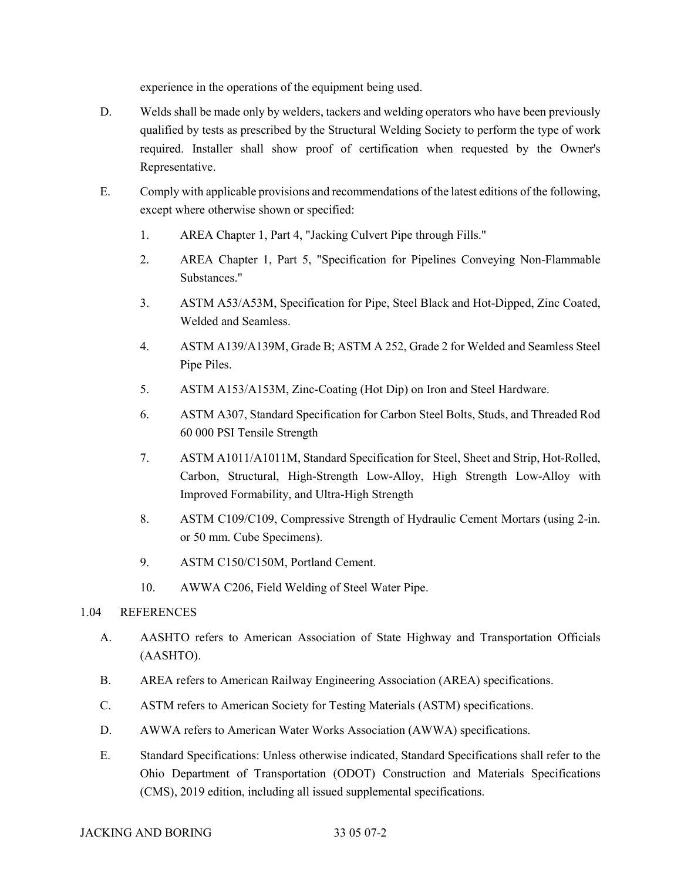experience in the operations of the equipment being used.

- D. Welds shall be made only by welders, tackers and welding operators who have been previously qualified by tests as prescribed by the Structural Welding Society to perform the type of work required. Installer shall show proof of certification when requested by the Owner's Representative.
- E. Comply with applicable provisions and recommendations of the latest editions of the following, except where otherwise shown or specified:
	- 1. AREA Chapter 1, Part 4, "Jacking Culvert Pipe through Fills."
	- 2. AREA Chapter 1, Part 5, "Specification for Pipelines Conveying Non-Flammable Substances."
	- 3. ASTM A53/A53M, Specification for Pipe, Steel Black and Hot-Dipped, Zinc Coated, Welded and Seamless.
	- 4. ASTM A139/A139M, Grade B; ASTM A 252, Grade 2 for Welded and Seamless Steel Pipe Piles.
	- 5. ASTM A153/A153M, Zinc-Coating (Hot Dip) on Iron and Steel Hardware.
	- 6. ASTM A307, Standard Specification for Carbon Steel Bolts, Studs, and Threaded Rod 60 000 PSI Tensile Strength
	- 7. ASTM A1011/A1011M, Standard Specification for Steel, Sheet and Strip, Hot-Rolled, Carbon, Structural, High-Strength Low-Alloy, High Strength Low-Alloy with Improved Formability, and Ultra-High Strength
	- 8. ASTM C109/C109, Compressive Strength of Hydraulic Cement Mortars (using 2-in. or 50 mm. Cube Specimens).
	- 9. ASTM C150/C150M, Portland Cement.
	- 10. AWWA C206, Field Welding of Steel Water Pipe.

## 1.04 REFERENCES

- A. AASHTO refers to American Association of State Highway and Transportation Officials (AASHTO).
- B. AREA refers to American Railway Engineering Association (AREA) specifications.
- C. ASTM refers to American Society for Testing Materials (ASTM) specifications.
- D. AWWA refers to American Water Works Association (AWWA) specifications.
- E. Standard Specifications: Unless otherwise indicated, Standard Specifications shall refer to the Ohio Department of Transportation (ODOT) Construction and Materials Specifications (CMS), 2019 edition, including all issued supplemental specifications.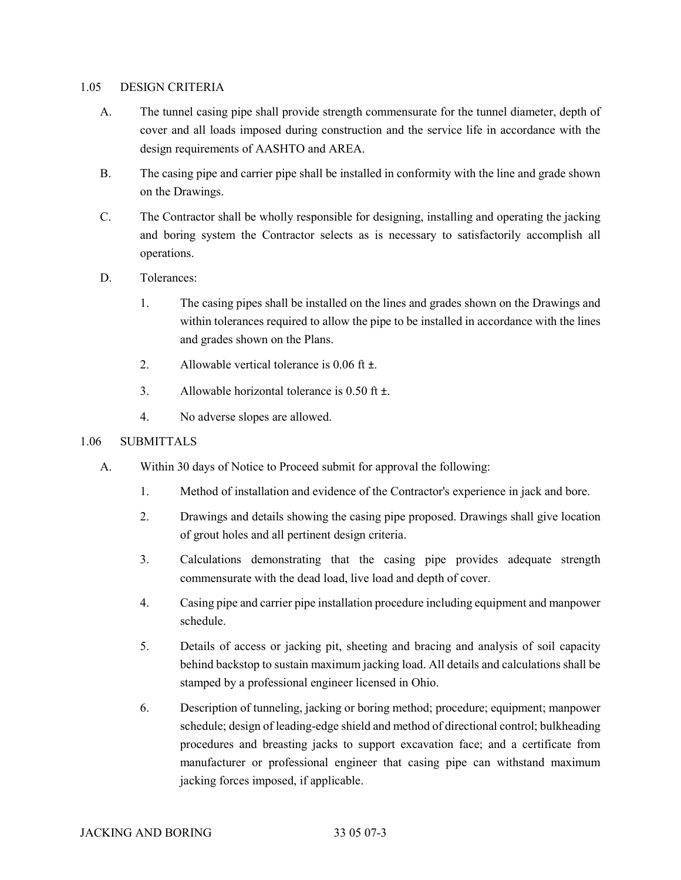#### 1.05 DESIGN CRITERIA

- A. The tunnel casing pipe shall provide strength commensurate for the tunnel diameter, depth of cover and all loads imposed during construction and the service life in accordance with the design requirements of AASHTO and AREA.
- B. The casing pipe and carrier pipe shall be installed in conformity with the line and grade shown on the Drawings.
- C. The Contractor shall be wholly responsible for designing, installing and operating the jacking and boring system the Contractor selects as is necessary to satisfactorily accomplish all operations.
- D. Tolerances:
	- 1. The casing pipes shall be installed on the lines and grades shown on the Drawings and within tolerances required to allow the pipe to be installed in accordance with the lines and grades shown on the Plans.
	- 2. Allowable vertical tolerance is 0.06 ft  $\pm$ .
	- 3. Allowable horizontal tolerance is 0.50 ft ±.
	- 4. No adverse slopes are allowed.

## 1.06 SUBMITTALS

- A. Within 30 days of Notice to Proceed submit for approval the following:
	- 1. Method of installation and evidence of the Contractor's experience in jack and bore.
	- 2. Drawings and details showing the casing pipe proposed. Drawings shall give location of grout holes and all pertinent design criteria.
	- 3. Calculations demonstrating that the casing pipe provides adequate strength commensurate with the dead load, live load and depth of cover.
	- 4. Casing pipe and carrier pipe installation procedure including equipment and manpower schedule.
	- 5. Details of access or jacking pit, sheeting and bracing and analysis of soil capacity behind backstop to sustain maximum jacking load. All details and calculations shall be stamped by a professional engineer licensed in Ohio.
	- 6. Description of tunneling, jacking or boring method; procedure; equipment; manpower schedule; design of leading-edge shield and method of directional control; bulkheading procedures and breasting jacks to support excavation face; and a certificate from manufacturer or professional engineer that casing pipe can withstand maximum jacking forces imposed, if applicable.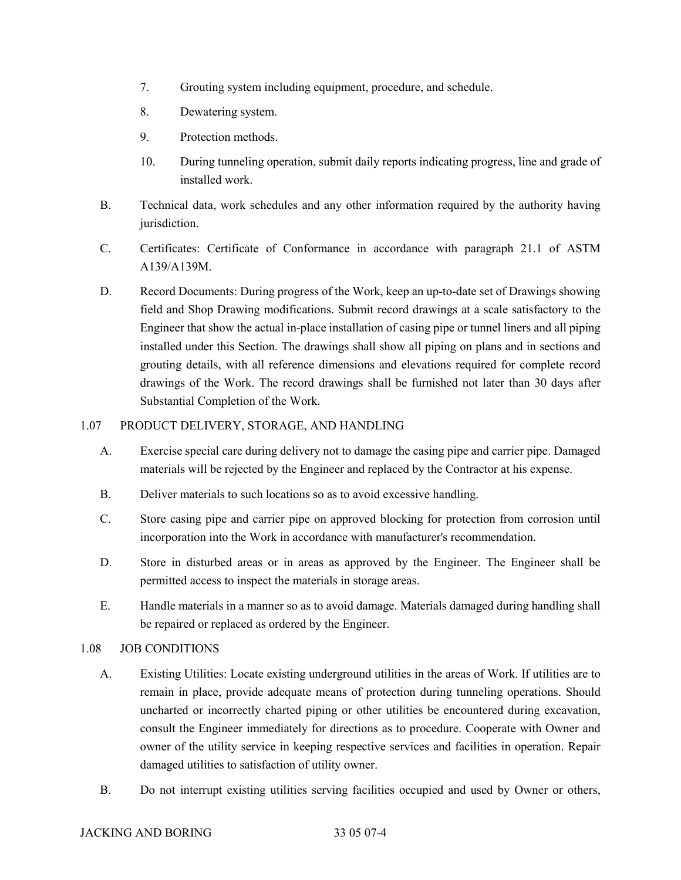- 7. Grouting system including equipment, procedure, and schedule.
- 8. Dewatering system.
- 9. Protection methods.
- 10. During tunneling operation, submit daily reports indicating progress, line and grade of installed work.
- B. Technical data, work schedules and any other information required by the authority having jurisdiction.
- C. Certificates: Certificate of Conformance in accordance with paragraph 21.1 of ASTM A139/A139M.
- D. Record Documents: During progress of the Work, keep an up-to-date set of Drawings showing field and Shop Drawing modifications. Submit record drawings at a scale satisfactory to the Engineer that show the actual in-place installation of casing pipe or tunnel liners and all piping installed under this Section. The drawings shall show all piping on plans and in sections and grouting details, with all reference dimensions and elevations required for complete record drawings of the Work. The record drawings shall be furnished not later than 30 days after Substantial Completion of the Work.

## 1.07 PRODUCT DELIVERY, STORAGE, AND HANDLING

- A. Exercise special care during delivery not to damage the casing pipe and carrier pipe. Damaged materials will be rejected by the Engineer and replaced by the Contractor at his expense.
- B. Deliver materials to such locations so as to avoid excessive handling.
- C. Store casing pipe and carrier pipe on approved blocking for protection from corrosion until incorporation into the Work in accordance with manufacturer's recommendation.
- D. Store in disturbed areas or in areas as approved by the Engineer. The Engineer shall be permitted access to inspect the materials in storage areas.
- E. Handle materials in a manner so as to avoid damage. Materials damaged during handling shall be repaired or replaced as ordered by the Engineer.

## 1.08 JOB CONDITIONS

- A. Existing Utilities: Locate existing underground utilities in the areas of Work. If utilities are to remain in place, provide adequate means of protection during tunneling operations. Should uncharted or incorrectly charted piping or other utilities be encountered during excavation, consult the Engineer immediately for directions as to procedure. Cooperate with Owner and owner of the utility service in keeping respective services and facilities in operation. Repair damaged utilities to satisfaction of utility owner.
- B. Do not interrupt existing utilities serving facilities occupied and used by Owner or others,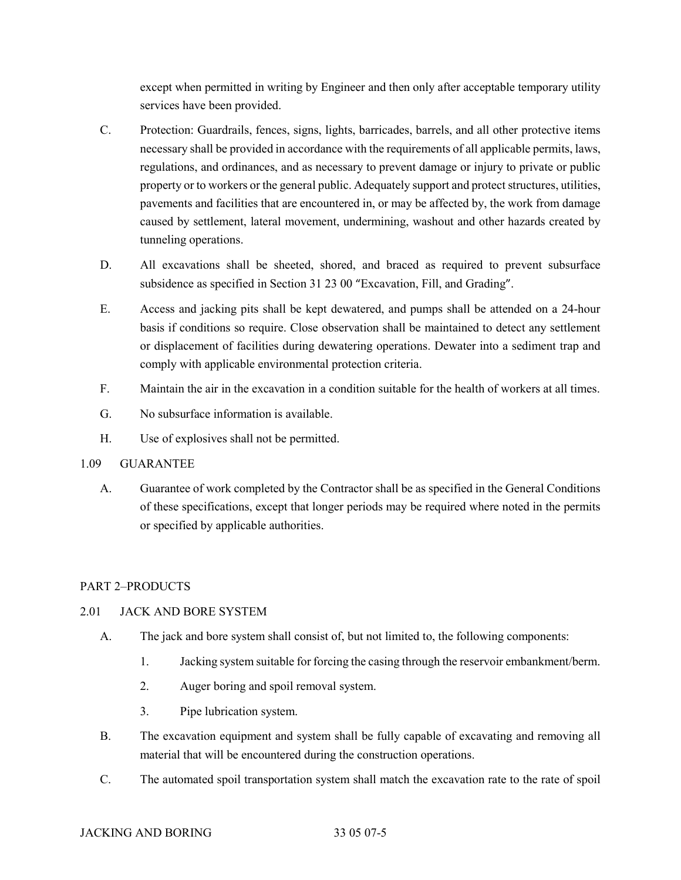except when permitted in writing by Engineer and then only after acceptable temporary utility services have been provided.

- C. Protection: Guardrails, fences, signs, lights, barricades, barrels, and all other protective items necessary shall be provided in accordance with the requirements of all applicable permits, laws, regulations, and ordinances, and as necessary to prevent damage or injury to private or public property or to workers or the general public. Adequately support and protect structures, utilities, pavements and facilities that are encountered in, or may be affected by, the work from damage caused by settlement, lateral movement, undermining, washout and other hazards created by tunneling operations.
- D. All excavations shall be sheeted, shored, and braced as required to prevent subsurface subsidence as specified in Section 31 23 00 "Excavation, Fill, and Grading".
- E. Access and jacking pits shall be kept dewatered, and pumps shall be attended on a 24-hour basis if conditions so require. Close observation shall be maintained to detect any settlement or displacement of facilities during dewatering operations. Dewater into a sediment trap and comply with applicable environmental protection criteria.
- F. Maintain the air in the excavation in a condition suitable for the health of workers at all times.
- G. No subsurface information is available.
- H. Use of explosives shall not be permitted.

# 1.09 GUARANTEE

A. Guarantee of work completed by the Contractor shall be as specified in the General Conditions of these specifications, except that longer periods may be required where noted in the permits or specified by applicable authorities.

# PART 2–PRODUCTS

# 2.01 JACK AND BORE SYSTEM

- A. The jack and bore system shall consist of, but not limited to, the following components:
	- 1. Jacking system suitable for forcing the casing through the reservoir embankment/berm.
	- 2. Auger boring and spoil removal system.
	- 3. Pipe lubrication system.
- B. The excavation equipment and system shall be fully capable of excavating and removing all material that will be encountered during the construction operations.
- C. The automated spoil transportation system shall match the excavation rate to the rate of spoil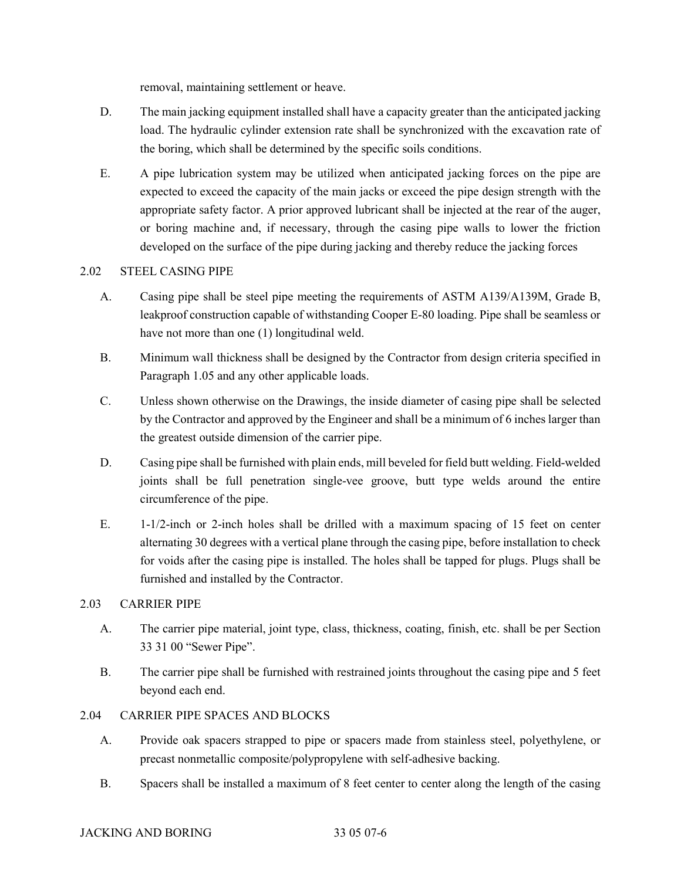removal, maintaining settlement or heave.

- D. The main jacking equipment installed shall have a capacity greater than the anticipated jacking load. The hydraulic cylinder extension rate shall be synchronized with the excavation rate of the boring, which shall be determined by the specific soils conditions.
- E. A pipe lubrication system may be utilized when anticipated jacking forces on the pipe are expected to exceed the capacity of the main jacks or exceed the pipe design strength with the appropriate safety factor. A prior approved lubricant shall be injected at the rear of the auger, or boring machine and, if necessary, through the casing pipe walls to lower the friction developed on the surface of the pipe during jacking and thereby reduce the jacking forces

# 2.02 STEEL CASING PIPE

- A. Casing pipe shall be steel pipe meeting the requirements of ASTM A139/A139M, Grade B, leakproof construction capable of withstanding Cooper E-80 loading. Pipe shall be seamless or have not more than one (1) longitudinal weld.
- B. Minimum wall thickness shall be designed by the Contractor from design criteria specified in Paragraph 1.05 and any other applicable loads.
- C. Unless shown otherwise on the Drawings, the inside diameter of casing pipe shall be selected by the Contractor and approved by the Engineer and shall be a minimum of 6 inches larger than the greatest outside dimension of the carrier pipe.
- D. Casing pipe shall be furnished with plain ends, mill beveled for field butt welding. Field-welded joints shall be full penetration single-vee groove, butt type welds around the entire circumference of the pipe.
- E. 1-1/2-inch or 2-inch holes shall be drilled with a maximum spacing of 15 feet on center alternating 30 degrees with a vertical plane through the casing pipe, before installation to check for voids after the casing pipe is installed. The holes shall be tapped for plugs. Plugs shall be furnished and installed by the Contractor.

## 2.03 CARRIER PIPE

- A. The carrier pipe material, joint type, class, thickness, coating, finish, etc. shall be per Section 33 31 00 "Sewer Pipe".
- B. The carrier pipe shall be furnished with restrained joints throughout the casing pipe and 5 feet beyond each end.

# 2.04 CARRIER PIPE SPACES AND BLOCKS

- A. Provide oak spacers strapped to pipe or spacers made from stainless steel, polyethylene, or precast nonmetallic composite/polypropylene with self-adhesive backing.
- B. Spacers shall be installed a maximum of 8 feet center to center along the length of the casing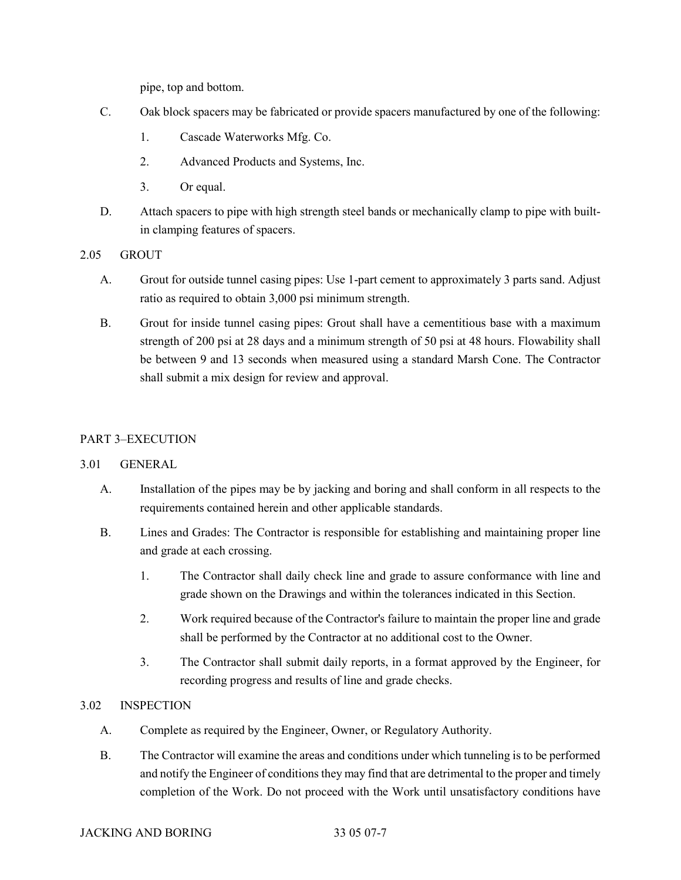pipe, top and bottom.

- C. Oak block spacers may be fabricated or provide spacers manufactured by one of the following:
	- 1. Cascade Waterworks Mfg. Co.
	- 2. Advanced Products and Systems, Inc.
	- 3. Or equal.
- D. Attach spacers to pipe with high strength steel bands or mechanically clamp to pipe with builtin clamping features of spacers.
- 2.05 GROUT
	- A. Grout for outside tunnel casing pipes: Use 1-part cement to approximately 3 parts sand. Adjust ratio as required to obtain 3,000 psi minimum strength.
	- B. Grout for inside tunnel casing pipes: Grout shall have a cementitious base with a maximum strength of 200 psi at 28 days and a minimum strength of 50 psi at 48 hours. Flowability shall be between 9 and 13 seconds when measured using a standard Marsh Cone. The Contractor shall submit a mix design for review and approval.

## PART 3–EXECUTION

## 3.01 GENERAL

- A. Installation of the pipes may be by jacking and boring and shall conform in all respects to the requirements contained herein and other applicable standards.
- B. Lines and Grades: The Contractor is responsible for establishing and maintaining proper line and grade at each crossing.
	- 1. The Contractor shall daily check line and grade to assure conformance with line and grade shown on the Drawings and within the tolerances indicated in this Section.
	- 2. Work required because of the Contractor's failure to maintain the proper line and grade shall be performed by the Contractor at no additional cost to the Owner.
	- 3. The Contractor shall submit daily reports, in a format approved by the Engineer, for recording progress and results of line and grade checks.

# 3.02 INSPECTION

- A. Complete as required by the Engineer, Owner, or Regulatory Authority.
- B. The Contractor will examine the areas and conditions under which tunneling is to be performed and notify the Engineer of conditions they may find that are detrimental to the proper and timely completion of the Work. Do not proceed with the Work until unsatisfactory conditions have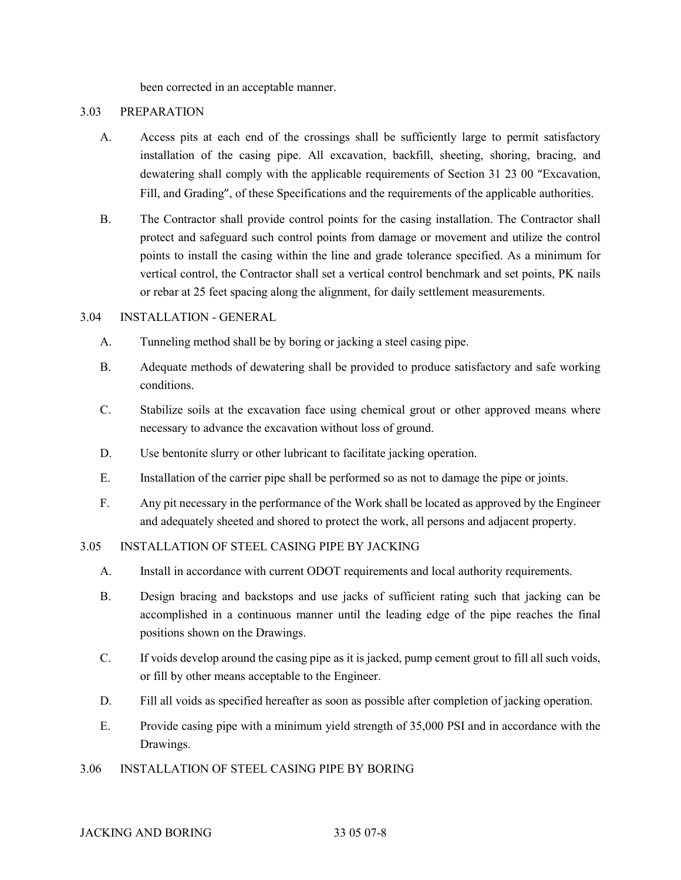been corrected in an acceptable manner.

#### 3.03 PREPARATION

- A. Access pits at each end of the crossings shall be sufficiently large to permit satisfactory installation of the casing pipe. All excavation, backfill, sheeting, shoring, bracing, and dewatering shall comply with the applicable requirements of Section 31 23 00 "Excavation, Fill, and Grading", of these Specifications and the requirements of the applicable authorities.
- B. The Contractor shall provide control points for the casing installation. The Contractor shall protect and safeguard such control points from damage or movement and utilize the control points to install the casing within the line and grade tolerance specified. As a minimum for vertical control, the Contractor shall set a vertical control benchmark and set points, PK nails or rebar at 25 feet spacing along the alignment, for daily settlement measurements.

#### 3.04 INSTALLATION - GENERAL

- A. Tunneling method shall be by boring or jacking a steel casing pipe.
- B. Adequate methods of dewatering shall be provided to produce satisfactory and safe working conditions.
- C. Stabilize soils at the excavation face using chemical grout or other approved means where necessary to advance the excavation without loss of ground.
- D. Use bentonite slurry or other lubricant to facilitate jacking operation.
- E. Installation of the carrier pipe shall be performed so as not to damage the pipe or joints.
- F. Any pit necessary in the performance of the Work shall be located as approved by the Engineer and adequately sheeted and shored to protect the work, all persons and adjacent property.

## 3.05 INSTALLATION OF STEEL CASING PIPE BY JACKING

- A. Install in accordance with current ODOT requirements and local authority requirements.
- B. Design bracing and backstops and use jacks of sufficient rating such that jacking can be accomplished in a continuous manner until the leading edge of the pipe reaches the final positions shown on the Drawings.
- C. If voids develop around the casing pipe as it is jacked, pump cement grout to fill all such voids, or fill by other means acceptable to the Engineer.
- D. Fill all voids as specified hereafter as soon as possible after completion of jacking operation.
- E. Provide casing pipe with a minimum yield strength of 35,000 PSI and in accordance with the Drawings.
- 3.06 INSTALLATION OF STEEL CASING PIPE BY BORING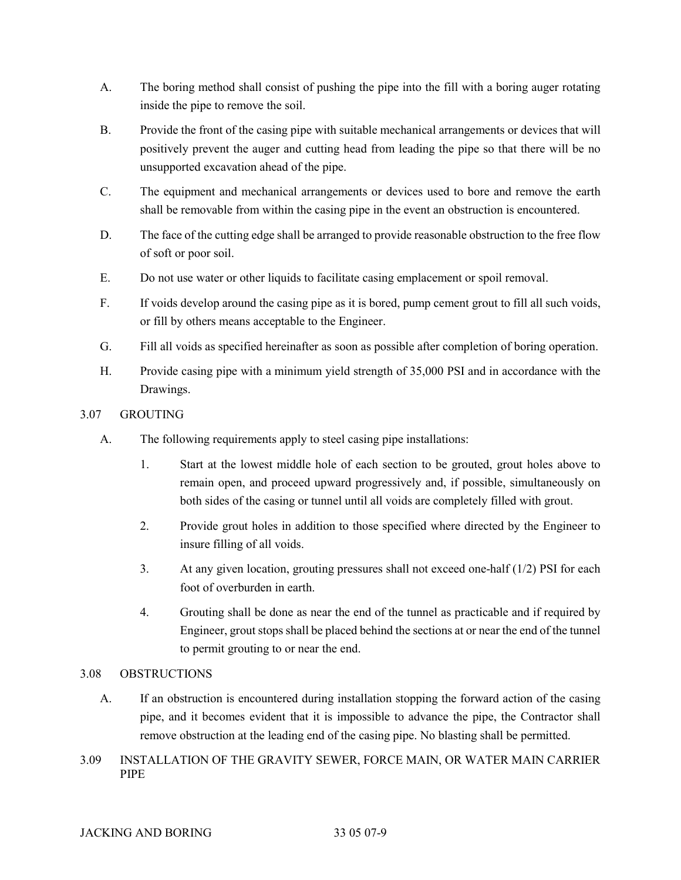- A. The boring method shall consist of pushing the pipe into the fill with a boring auger rotating inside the pipe to remove the soil.
- B. Provide the front of the casing pipe with suitable mechanical arrangements or devices that will positively prevent the auger and cutting head from leading the pipe so that there will be no unsupported excavation ahead of the pipe.
- C. The equipment and mechanical arrangements or devices used to bore and remove the earth shall be removable from within the casing pipe in the event an obstruction is encountered.
- D. The face of the cutting edge shall be arranged to provide reasonable obstruction to the free flow of soft or poor soil.
- E. Do not use water or other liquids to facilitate casing emplacement or spoil removal.
- F. If voids develop around the casing pipe as it is bored, pump cement grout to fill all such voids, or fill by others means acceptable to the Engineer.
- G. Fill all voids as specified hereinafter as soon as possible after completion of boring operation.
- H. Provide casing pipe with a minimum yield strength of 35,000 PSI and in accordance with the Drawings.

## 3.07 GROUTING

- A. The following requirements apply to steel casing pipe installations:
	- 1. Start at the lowest middle hole of each section to be grouted, grout holes above to remain open, and proceed upward progressively and, if possible, simultaneously on both sides of the casing or tunnel until all voids are completely filled with grout.
	- 2. Provide grout holes in addition to those specified where directed by the Engineer to insure filling of all voids.
	- 3. At any given location, grouting pressures shall not exceed one-half (1/2) PSI for each foot of overburden in earth.
	- 4. Grouting shall be done as near the end of the tunnel as practicable and if required by Engineer, grout stops shall be placed behind the sections at or near the end of the tunnel to permit grouting to or near the end.

## 3.08 OBSTRUCTIONS

- A. If an obstruction is encountered during installation stopping the forward action of the casing pipe, and it becomes evident that it is impossible to advance the pipe, the Contractor shall remove obstruction at the leading end of the casing pipe. No blasting shall be permitted.
- 3.09 INSTALLATION OF THE GRAVITY SEWER, FORCE MAIN, OR WATER MAIN CARRIER PIPE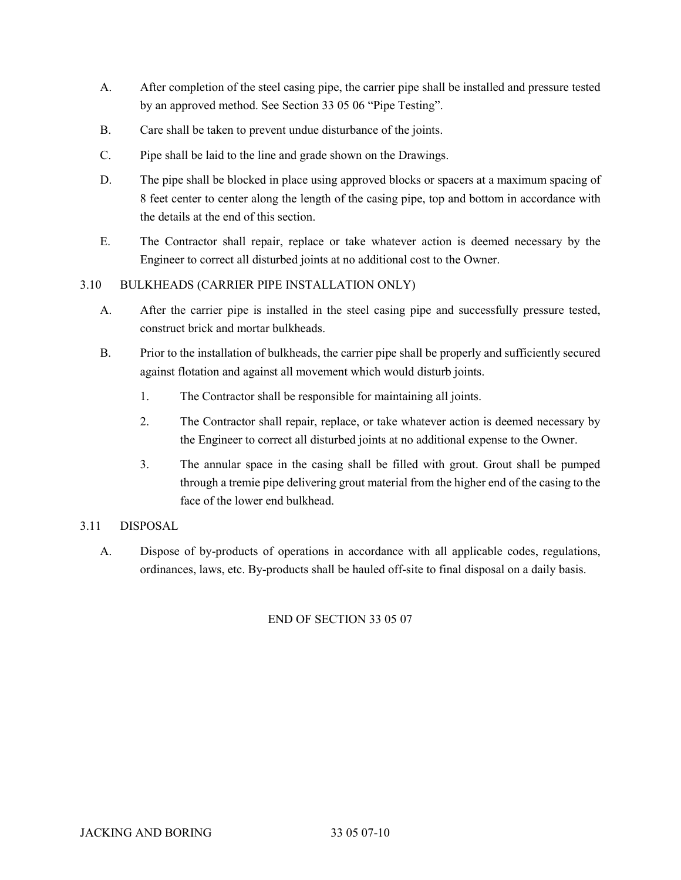- A. After completion of the steel casing pipe, the carrier pipe shall be installed and pressure tested by an approved method. See Section 33 05 06 "Pipe Testing".
- B. Care shall be taken to prevent undue disturbance of the joints.
- C. Pipe shall be laid to the line and grade shown on the Drawings.
- D. The pipe shall be blocked in place using approved blocks or spacers at a maximum spacing of 8 feet center to center along the length of the casing pipe, top and bottom in accordance with the details at the end of this section.
- E. The Contractor shall repair, replace or take whatever action is deemed necessary by the Engineer to correct all disturbed joints at no additional cost to the Owner.

# 3.10 BULKHEADS (CARRIER PIPE INSTALLATION ONLY)

- A. After the carrier pipe is installed in the steel casing pipe and successfully pressure tested, construct brick and mortar bulkheads.
- B. Prior to the installation of bulkheads, the carrier pipe shall be properly and sufficiently secured against flotation and against all movement which would disturb joints.
	- 1. The Contractor shall be responsible for maintaining all joints.
	- 2. The Contractor shall repair, replace, or take whatever action is deemed necessary by the Engineer to correct all disturbed joints at no additional expense to the Owner.
	- 3. The annular space in the casing shall be filled with grout. Grout shall be pumped through a tremie pipe delivering grout material from the higher end of the casing to the face of the lower end bulkhead.

# 3.11 DISPOSAL

A. Dispose of by-products of operations in accordance with all applicable codes, regulations, ordinances, laws, etc. By-products shall be hauled off-site to final disposal on a daily basis.

# END OF SECTION 33 05 07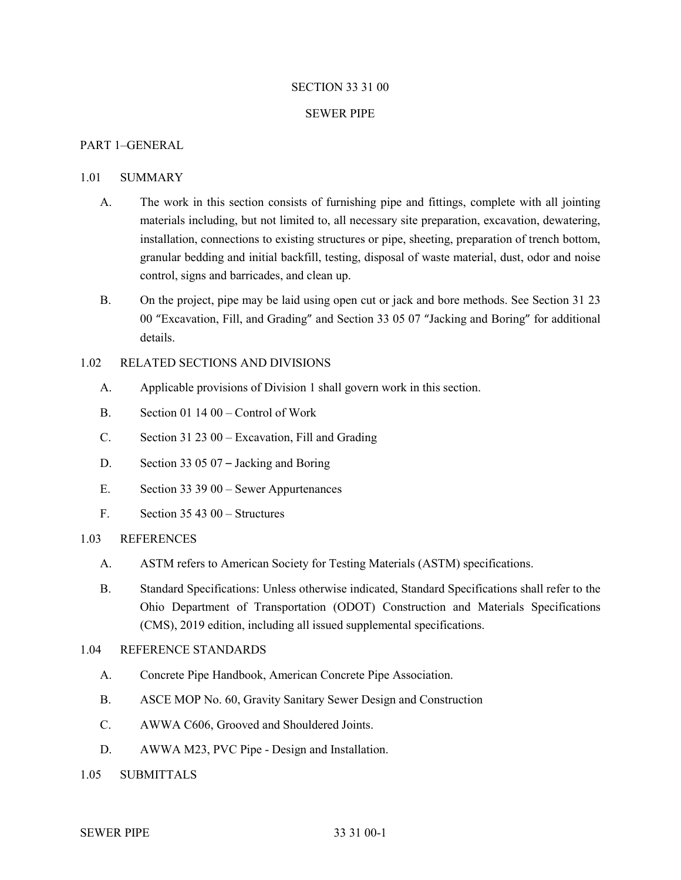#### SECTION 33 31 00

#### SEWER PIPE

#### PART 1–GENERAL

#### 1.01 SUMMARY

- A. The work in this section consists of furnishing pipe and fittings, complete with all jointing materials including, but not limited to, all necessary site preparation, excavation, dewatering, installation, connections to existing structures or pipe, sheeting, preparation of trench bottom, granular bedding and initial backfill, testing, disposal of waste material, dust, odor and noise control, signs and barricades, and clean up.
- B. On the project, pipe may be laid using open cut or jack and bore methods. See Section 31 23 00 "Excavation, Fill, and Grading" and Section 33 05 07 "Jacking and Boring" for additional details.

# 1.02 RELATED SECTIONS AND DIVISIONS

- A. Applicable provisions of Division 1 shall govern work in this section.
- B. Section 01 14 00 Control of Work
- C. Section 31 23 00 Excavation, Fill and Grading
- D. Section 33 05 07 Jacking and Boring
- E. Section 33 39 00 Sewer Appurtenances
- F. Section 35 43 00 Structures

### 1.03 REFERENCES

- A. ASTM refers to American Society for Testing Materials (ASTM) specifications.
- B. Standard Specifications: Unless otherwise indicated, Standard Specifications shall refer to the Ohio Department of Transportation (ODOT) Construction and Materials Specifications (CMS), 2019 edition, including all issued supplemental specifications.

#### 1.04 REFERENCE STANDARDS

- A. Concrete Pipe Handbook, American Concrete Pipe Association.
- B. ASCE MOP No. 60, Gravity Sanitary Sewer Design and Construction
- C. AWWA C606, Grooved and Shouldered Joints.
- D. AWWA M23, PVC Pipe Design and Installation.
- 1.05 SUBMITTALS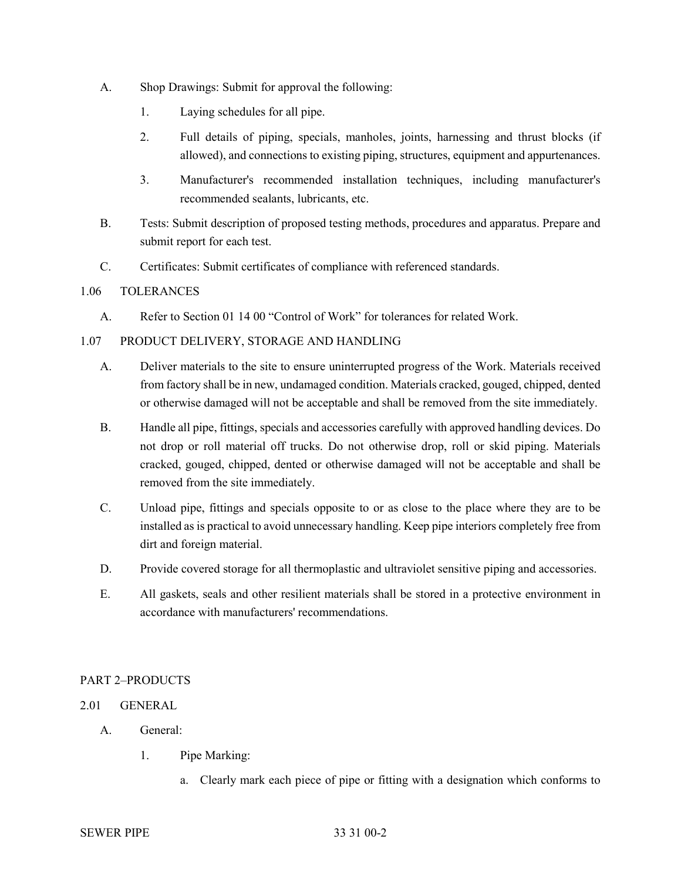- A. Shop Drawings: Submit for approval the following:
	- 1. Laying schedules for all pipe.
	- 2. Full details of piping, specials, manholes, joints, harnessing and thrust blocks (if allowed), and connections to existing piping, structures, equipment and appurtenances.
	- 3. Manufacturer's recommended installation techniques, including manufacturer's recommended sealants, lubricants, etc.
- B. Tests: Submit description of proposed testing methods, procedures and apparatus. Prepare and submit report for each test.
- C. Certificates: Submit certificates of compliance with referenced standards.

## 1.06 TOLERANCES

A. Refer to Section 01 14 00 "Control of Work" for tolerances for related Work.

## 1.07 PRODUCT DELIVERY, STORAGE AND HANDLING

- A. Deliver materials to the site to ensure uninterrupted progress of the Work. Materials received from factory shall be in new, undamaged condition. Materials cracked, gouged, chipped, dented or otherwise damaged will not be acceptable and shall be removed from the site immediately.
- B. Handle all pipe, fittings, specials and accessories carefully with approved handling devices. Do not drop or roll material off trucks. Do not otherwise drop, roll or skid piping. Materials cracked, gouged, chipped, dented or otherwise damaged will not be acceptable and shall be removed from the site immediately.
- C. Unload pipe, fittings and specials opposite to or as close to the place where they are to be installed as is practical to avoid unnecessary handling. Keep pipe interiors completely free from dirt and foreign material.
- D. Provide covered storage for all thermoplastic and ultraviolet sensitive piping and accessories.
- E. All gaskets, seals and other resilient materials shall be stored in a protective environment in accordance with manufacturers' recommendations.

## PART 2–PRODUCTS

## 2.01 GENERAL

- A. General:
	- 1. Pipe Marking:
		- a. Clearly mark each piece of pipe or fitting with a designation which conforms to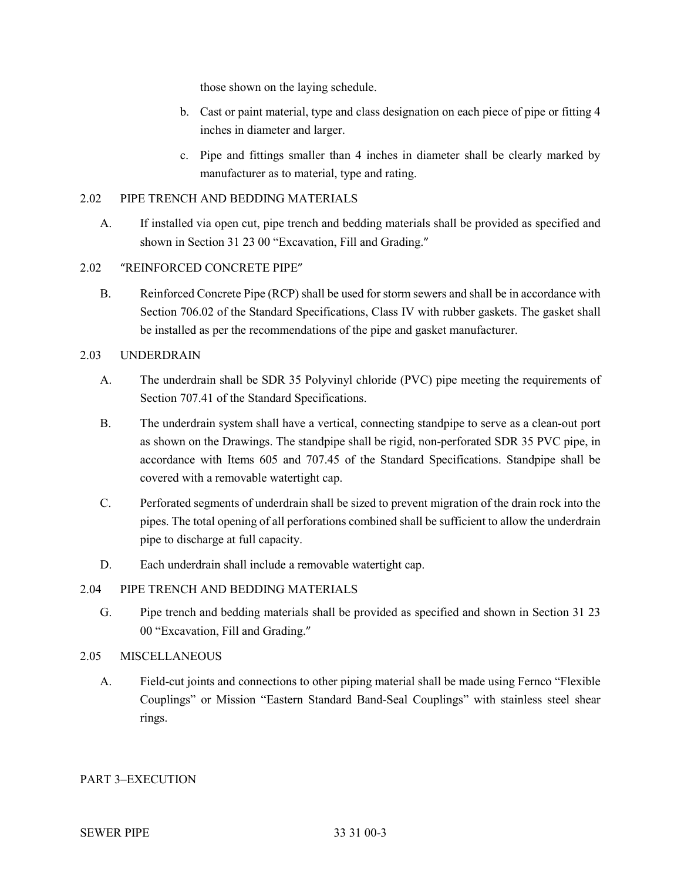those shown on the laying schedule.

- b. Cast or paint material, type and class designation on each piece of pipe or fitting 4 inches in diameter and larger.
- c. Pipe and fittings smaller than 4 inches in diameter shall be clearly marked by manufacturer as to material, type and rating.

## 2.02 PIPE TRENCH AND BEDDING MATERIALS

A. If installed via open cut, pipe trench and bedding materials shall be provided as specified and shown in Section 31 23 00 "Excavation, Fill and Grading."

## 2.02 "REINFORCED CONCRETE PIPE"

B. Reinforced Concrete Pipe (RCP) shall be used for storm sewers and shall be in accordance with Section 706.02 of the Standard Specifications, Class IV with rubber gaskets. The gasket shall be installed as per the recommendations of the pipe and gasket manufacturer.

## 2.03 UNDERDRAIN

- A. The underdrain shall be SDR 35 Polyvinyl chloride (PVC) pipe meeting the requirements of Section 707.41 of the Standard Specifications.
- B. The underdrain system shall have a vertical, connecting standpipe to serve as a clean-out port as shown on the Drawings. The standpipe shall be rigid, non-perforated SDR 35 PVC pipe, in accordance with Items 605 and 707.45 of the Standard Specifications. Standpipe shall be covered with a removable watertight cap.
- C. Perforated segments of underdrain shall be sized to prevent migration of the drain rock into the pipes. The total opening of all perforations combined shall be sufficient to allow the underdrain pipe to discharge at full capacity.
- D. Each underdrain shall include a removable watertight cap.

## 2.04 PIPE TRENCH AND BEDDING MATERIALS

G. Pipe trench and bedding materials shall be provided as specified and shown in Section 31 23 00 "Excavation, Fill and Grading."

## 2.05 MISCELLANEOUS

A. Field-cut joints and connections to other piping material shall be made using Fernco "Flexible Couplings" or Mission "Eastern Standard Band-Seal Couplings" with stainless steel shear rings.

# PART 3–EXECUTION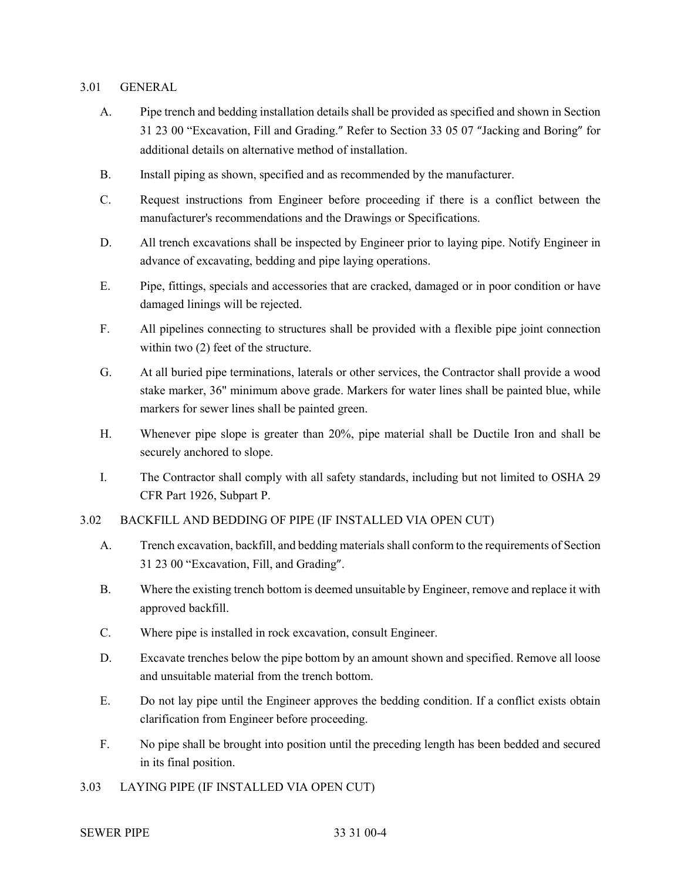### 3.01 GENERAL

- A. Pipe trench and bedding installation details shall be provided as specified and shown in Section 31 23 00 "Excavation, Fill and Grading." Refer to Section 33 05 07 "Jacking and Boring" for additional details on alternative method of installation.
- B. Install piping as shown, specified and as recommended by the manufacturer.
- C. Request instructions from Engineer before proceeding if there is a conflict between the manufacturer's recommendations and the Drawings or Specifications.
- D. All trench excavations shall be inspected by Engineer prior to laying pipe. Notify Engineer in advance of excavating, bedding and pipe laying operations.
- E. Pipe, fittings, specials and accessories that are cracked, damaged or in poor condition or have damaged linings will be rejected.
- F. All pipelines connecting to structures shall be provided with a flexible pipe joint connection within two (2) feet of the structure.
- G. At all buried pipe terminations, laterals or other services, the Contractor shall provide a wood stake marker, 36" minimum above grade. Markers for water lines shall be painted blue, while markers for sewer lines shall be painted green.
- H. Whenever pipe slope is greater than 20%, pipe material shall be Ductile Iron and shall be securely anchored to slope.
- I. The Contractor shall comply with all safety standards, including but not limited to OSHA 29 CFR Part 1926, Subpart P.
- 3.02 BACKFILL AND BEDDING OF PIPE (IF INSTALLED VIA OPEN CUT)
	- A. Trench excavation, backfill, and bedding materials shall conform to the requirements of Section 31 23 00 "Excavation, Fill, and Grading".
	- B. Where the existing trench bottom is deemed unsuitable by Engineer, remove and replace it with approved backfill.
	- C. Where pipe is installed in rock excavation, consult Engineer.
	- D. Excavate trenches below the pipe bottom by an amount shown and specified. Remove all loose and unsuitable material from the trench bottom.
	- E. Do not lay pipe until the Engineer approves the bedding condition. If a conflict exists obtain clarification from Engineer before proceeding.
	- F. No pipe shall be brought into position until the preceding length has been bedded and secured in its final position.
- 3.03 LAYING PIPE (IF INSTALLED VIA OPEN CUT)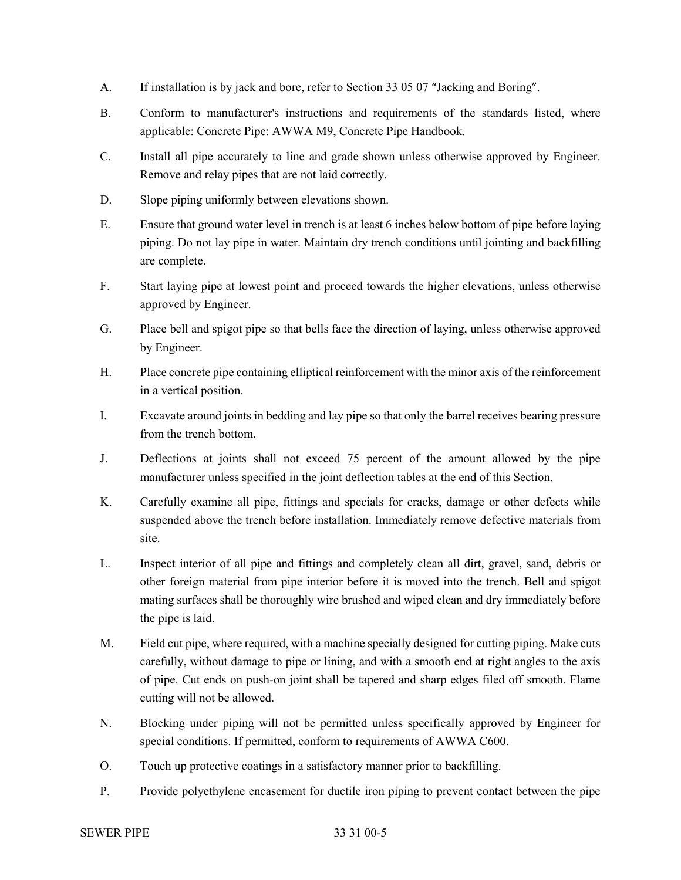- A. If installation is by jack and bore, refer to Section 33 05 07 "Jacking and Boring".
- B. Conform to manufacturer's instructions and requirements of the standards listed, where applicable: Concrete Pipe: AWWA M9, Concrete Pipe Handbook.
- C. Install all pipe accurately to line and grade shown unless otherwise approved by Engineer. Remove and relay pipes that are not laid correctly.
- D. Slope piping uniformly between elevations shown.
- E. Ensure that ground water level in trench is at least 6 inches below bottom of pipe before laying piping. Do not lay pipe in water. Maintain dry trench conditions until jointing and backfilling are complete.
- F. Start laying pipe at lowest point and proceed towards the higher elevations, unless otherwise approved by Engineer.
- G. Place bell and spigot pipe so that bells face the direction of laying, unless otherwise approved by Engineer.
- H. Place concrete pipe containing elliptical reinforcement with the minor axis of the reinforcement in a vertical position.
- I. Excavate around joints in bedding and lay pipe so that only the barrel receives bearing pressure from the trench bottom.
- J. Deflections at joints shall not exceed 75 percent of the amount allowed by the pipe manufacturer unless specified in the joint deflection tables at the end of this Section.
- K. Carefully examine all pipe, fittings and specials for cracks, damage or other defects while suspended above the trench before installation. Immediately remove defective materials from site.
- L. Inspect interior of all pipe and fittings and completely clean all dirt, gravel, sand, debris or other foreign material from pipe interior before it is moved into the trench. Bell and spigot mating surfaces shall be thoroughly wire brushed and wiped clean and dry immediately before the pipe is laid.
- M. Field cut pipe, where required, with a machine specially designed for cutting piping. Make cuts carefully, without damage to pipe or lining, and with a smooth end at right angles to the axis of pipe. Cut ends on push-on joint shall be tapered and sharp edges filed off smooth. Flame cutting will not be allowed.
- N. Blocking under piping will not be permitted unless specifically approved by Engineer for special conditions. If permitted, conform to requirements of AWWA C600.
- O. Touch up protective coatings in a satisfactory manner prior to backfilling.
- P. Provide polyethylene encasement for ductile iron piping to prevent contact between the pipe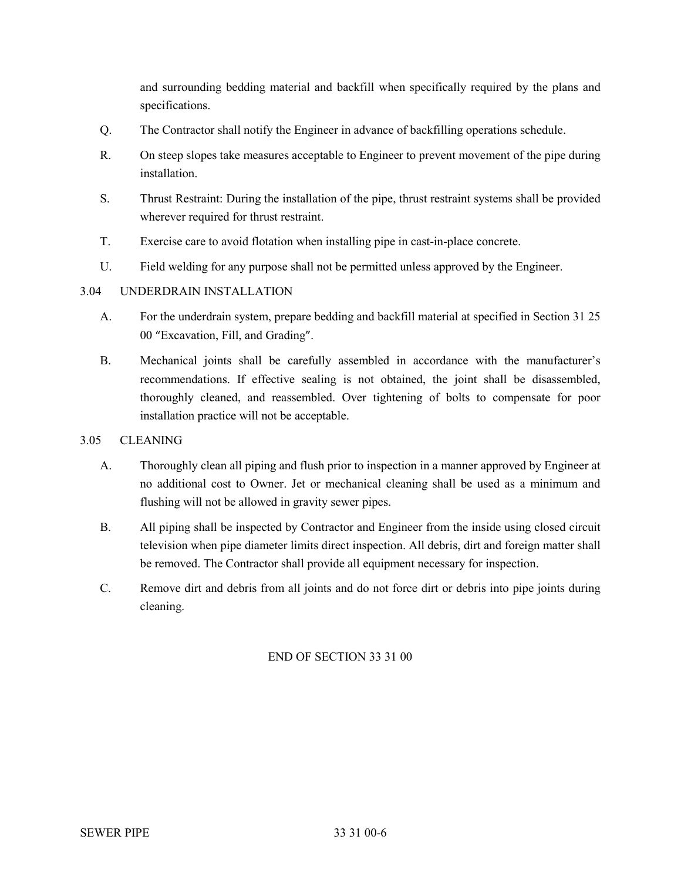and surrounding bedding material and backfill when specifically required by the plans and specifications.

- Q. The Contractor shall notify the Engineer in advance of backfilling operations schedule.
- R. On steep slopes take measures acceptable to Engineer to prevent movement of the pipe during installation.
- S. Thrust Restraint: During the installation of the pipe, thrust restraint systems shall be provided wherever required for thrust restraint.
- T. Exercise care to avoid flotation when installing pipe in cast-in-place concrete.
- U. Field welding for any purpose shall not be permitted unless approved by the Engineer.

# 3.04 UNDERDRAIN INSTALLATION

- A. For the underdrain system, prepare bedding and backfill material at specified in Section 31 25 00 "Excavation, Fill, and Grading".
- B. Mechanical joints shall be carefully assembled in accordance with the manufacturer's recommendations. If effective sealing is not obtained, the joint shall be disassembled, thoroughly cleaned, and reassembled. Over tightening of bolts to compensate for poor installation practice will not be acceptable.

## 3.05 CLEANING

- A. Thoroughly clean all piping and flush prior to inspection in a manner approved by Engineer at no additional cost to Owner. Jet or mechanical cleaning shall be used as a minimum and flushing will not be allowed in gravity sewer pipes.
- B. All piping shall be inspected by Contractor and Engineer from the inside using closed circuit television when pipe diameter limits direct inspection. All debris, dirt and foreign matter shall be removed. The Contractor shall provide all equipment necessary for inspection.
- C. Remove dirt and debris from all joints and do not force dirt or debris into pipe joints during cleaning.

# END OF SECTION 33 31 00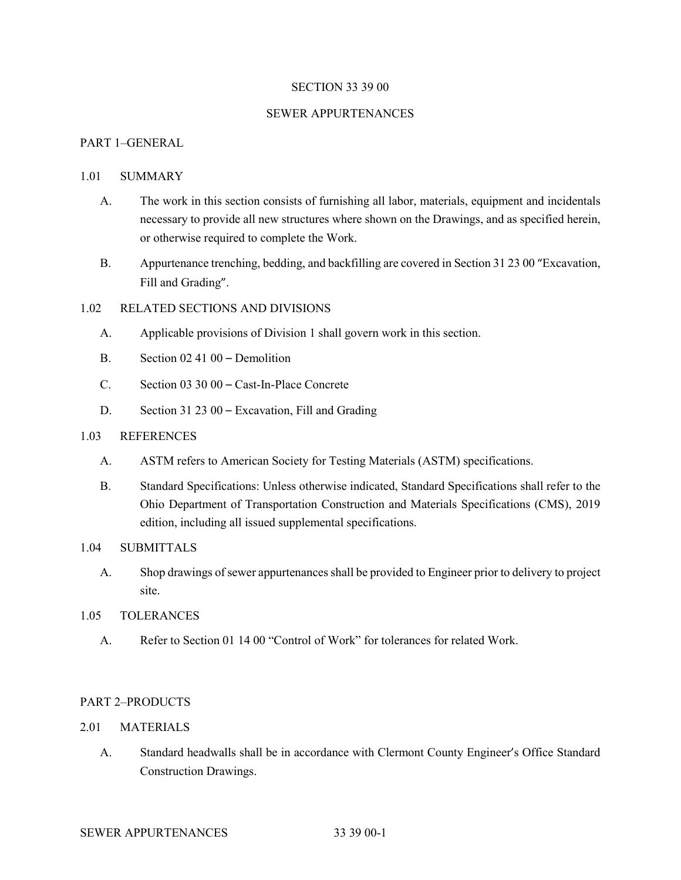#### SECTION 33 39 00

#### SEWER APPURTENANCES

## PART 1–GENERAL

#### 1.01 SUMMARY

- A. The work in this section consists of furnishing all labor, materials, equipment and incidentals necessary to provide all new structures where shown on the Drawings, and as specified herein, or otherwise required to complete the Work.
- B. Appurtenance trenching, bedding, and backfilling are covered in Section 31 23 00 "Excavation, Fill and Grading".

## 1.02 RELATED SECTIONS AND DIVISIONS

- A. Applicable provisions of Division 1 shall govern work in this section.
- B. Section 02 41 00 Demolition
- C. Section 03 30 00 Cast-In-Place Concrete
- D. Section 31 23 00 Excavation, Fill and Grading

#### 1.03 REFERENCES

- A. ASTM refers to American Society for Testing Materials (ASTM) specifications.
- B. Standard Specifications: Unless otherwise indicated, Standard Specifications shall refer to the Ohio Department of Transportation Construction and Materials Specifications (CMS), 2019 edition, including all issued supplemental specifications.

## 1.04 SUBMITTALS

A. Shop drawings of sewer appurtenancesshall be provided to Engineer prior to delivery to project site.

#### 1.05 TOLERANCES

A. Refer to Section 01 14 00 "Control of Work" for tolerances for related Work.

## PART 2–PRODUCTS

## 2.01 MATERIALS

A. Standard headwalls shall be in accordance with Clermont County Engineer's Office Standard Construction Drawings.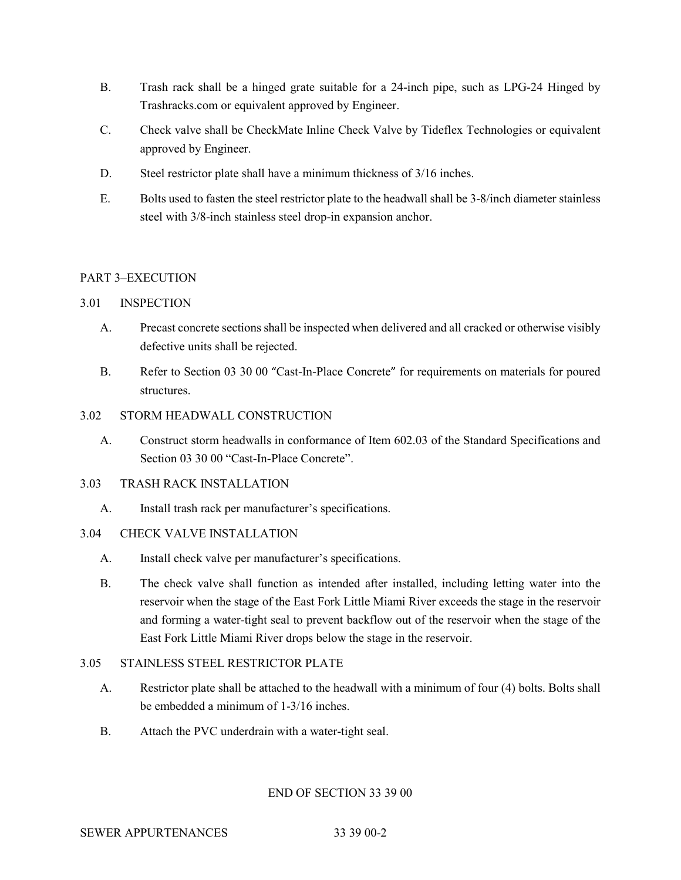- B. Trash rack shall be a hinged grate suitable for a 24-inch pipe, such as LPG-24 Hinged by Trashracks.com or equivalent approved by Engineer.
- C. Check valve shall be CheckMate Inline Check Valve by Tideflex Technologies or equivalent approved by Engineer.
- D. Steel restrictor plate shall have a minimum thickness of 3/16 inches.
- E. Bolts used to fasten the steel restrictor plate to the headwall shall be 3-8/inch diameter stainless steel with 3/8-inch stainless steel drop-in expansion anchor.

# PART 3–EXECUTION

## 3.01 INSPECTION

- A. Precast concrete sections shall be inspected when delivered and all cracked or otherwise visibly defective units shall be rejected.
- B. Refer to Section 03 30 00 "Cast-In-Place Concrete" for requirements on materials for poured structures.

## 3.02 STORM HEADWALL CONSTRUCTION

A. Construct storm headwalls in conformance of Item 602.03 of the Standard Specifications and Section 03 30 00 "Cast-In-Place Concrete".

## 3.03 TRASH RACK INSTALLATION

A. Install trash rack per manufacturer's specifications.

## 3.04 CHECK VALVE INSTALLATION

- A. Install check valve per manufacturer's specifications.
- B. The check valve shall function as intended after installed, including letting water into the reservoir when the stage of the East Fork Little Miami River exceeds the stage in the reservoir and forming a water-tight seal to prevent backflow out of the reservoir when the stage of the East Fork Little Miami River drops below the stage in the reservoir.

## 3.05 STAINLESS STEEL RESTRICTOR PLATE

- A. Restrictor plate shall be attached to the headwall with a minimum of four (4) bolts. Bolts shall be embedded a minimum of 1-3/16 inches.
- B. Attach the PVC underdrain with a water-tight seal.

## END OF SECTION 33 39 00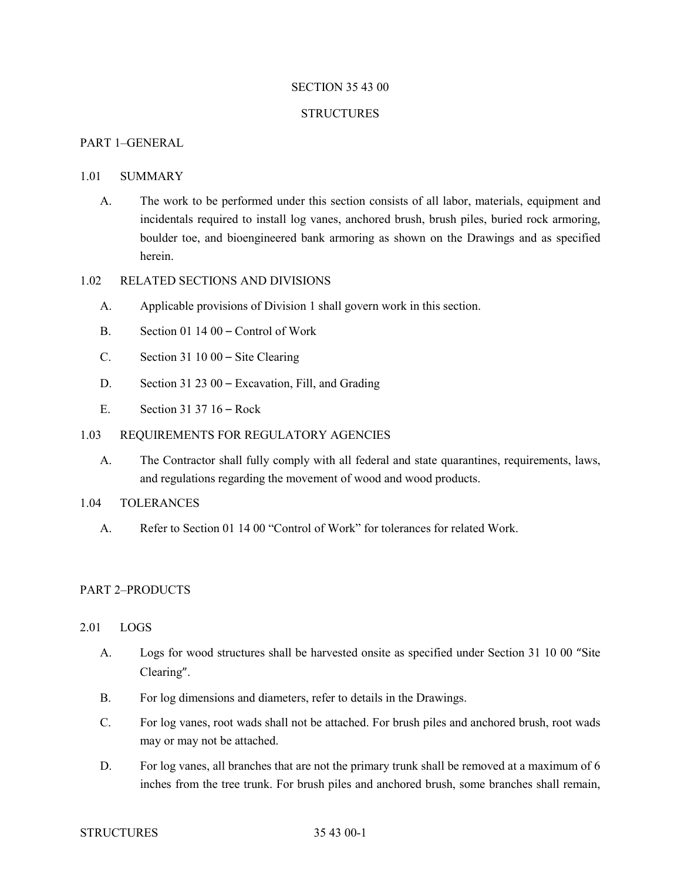### SECTION 35 43 00

#### **STRUCTURES**

## PART 1–GENERAL

#### 1.01 SUMMARY

A. The work to be performed under this section consists of all labor, materials, equipment and incidentals required to install log vanes, anchored brush, brush piles, buried rock armoring, boulder toe, and bioengineered bank armoring as shown on the Drawings and as specified herein.

### 1.02 RELATED SECTIONS AND DIVISIONS

- A. Applicable provisions of Division 1 shall govern work in this section.
- B. Section 01 14 00 Control of Work
- C. Section 31 10 00 Site Clearing
- D. Section 31 23 00 Excavation, Fill, and Grading
- E. Section 31 37 16 Rock

### 1.03 REQUIREMENTS FOR REGULATORY AGENCIES

A. The Contractor shall fully comply with all federal and state quarantines, requirements, laws, and regulations regarding the movement of wood and wood products.

# 1.04 TOLERANCES

A. Refer to Section 01 14 00 "Control of Work" for tolerances for related Work.

## PART 2–PRODUCTS

#### 2.01 LOGS

- A. Logs for wood structures shall be harvested onsite as specified under Section 31 10 00 "Site Clearing".
- B. For log dimensions and diameters, refer to details in the Drawings.
- C. For log vanes, root wads shall not be attached. For brush piles and anchored brush, root wads may or may not be attached.
- D. For log vanes, all branches that are not the primary trunk shall be removed at a maximum of 6 inches from the tree trunk. For brush piles and anchored brush, some branches shall remain,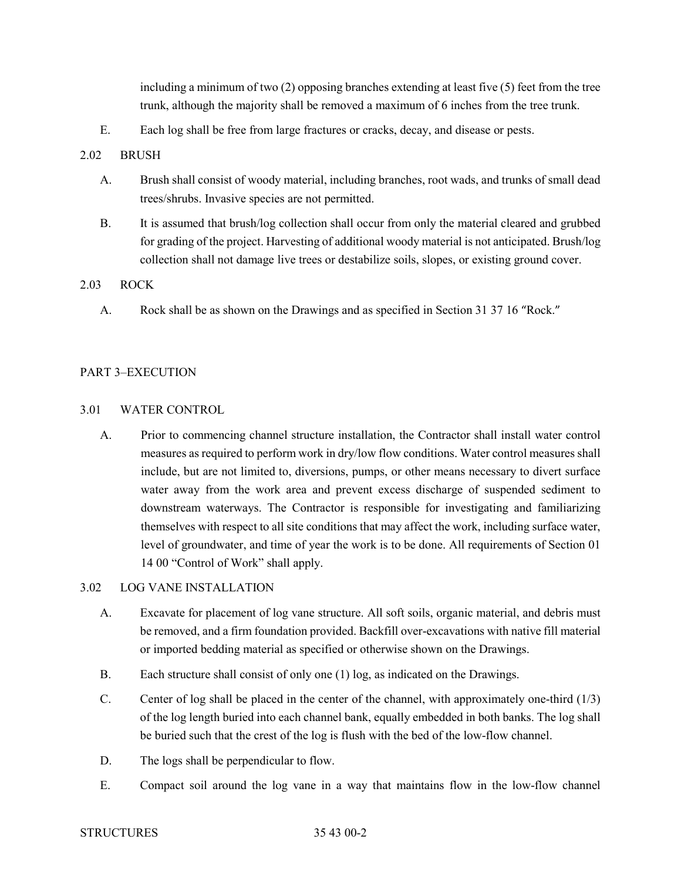including a minimum of two (2) opposing branches extending at least five (5) feet from the tree trunk, although the majority shall be removed a maximum of 6 inches from the tree trunk.

E. Each log shall be free from large fractures or cracks, decay, and disease or pests.

## 2.02 BRUSH

- A. Brush shall consist of woody material, including branches, root wads, and trunks of small dead trees/shrubs. Invasive species are not permitted.
- B. It is assumed that brush/log collection shall occur from only the material cleared and grubbed for grading of the project. Harvesting of additional woody material is not anticipated. Brush/log collection shall not damage live trees or destabilize soils, slopes, or existing ground cover.

## 2.03 ROCK

A. Rock shall be as shown on the Drawings and as specified in Section 31 37 16 "Rock."

## PART 3–EXECUTION

## 3.01 WATER CONTROL

A. Prior to commencing channel structure installation, the Contractor shall install water control measures as required to perform work in dry/low flow conditions. Water control measures shall include, but are not limited to, diversions, pumps, or other means necessary to divert surface water away from the work area and prevent excess discharge of suspended sediment to downstream waterways. The Contractor is responsible for investigating and familiarizing themselves with respect to all site conditions that may affect the work, including surface water, level of groundwater, and time of year the work is to be done. All requirements of Section 01 14 00 "Control of Work" shall apply.

## 3.02 LOG VANE INSTALLATION

- A. Excavate for placement of log vane structure. All soft soils, organic material, and debris must be removed, and a firm foundation provided. Backfill over-excavations with native fill material or imported bedding material as specified or otherwise shown on the Drawings.
- B. Each structure shall consist of only one (1) log, as indicated on the Drawings.
- C. Center of log shall be placed in the center of the channel, with approximately one-third (1/3) of the log length buried into each channel bank, equally embedded in both banks. The log shall be buried such that the crest of the log is flush with the bed of the low-flow channel.
- D. The logs shall be perpendicular to flow.
- E. Compact soil around the log vane in a way that maintains flow in the low-flow channel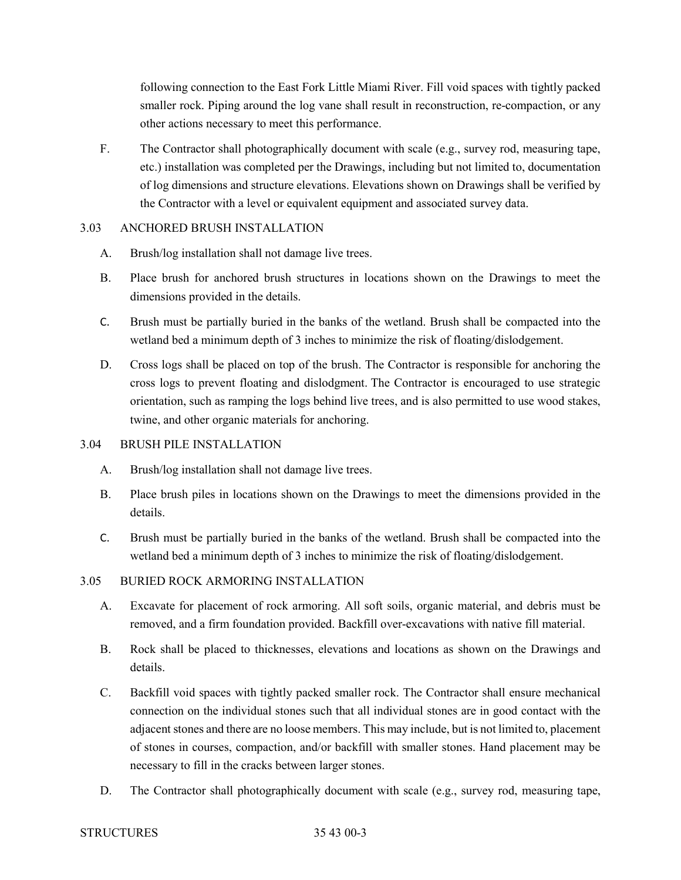following connection to the East Fork Little Miami River. Fill void spaces with tightly packed smaller rock. Piping around the log vane shall result in reconstruction, re-compaction, or any other actions necessary to meet this performance.

F. The Contractor shall photographically document with scale (e.g., survey rod, measuring tape, etc.) installation was completed per the Drawings, including but not limited to, documentation of log dimensions and structure elevations. Elevations shown on Drawings shall be verified by the Contractor with a level or equivalent equipment and associated survey data.

## 3.03 ANCHORED BRUSH INSTALLATION

- A. Brush/log installation shall not damage live trees.
- B. Place brush for anchored brush structures in locations shown on the Drawings to meet the dimensions provided in the details.
- C. Brush must be partially buried in the banks of the wetland. Brush shall be compacted into the wetland bed a minimum depth of 3 inches to minimize the risk of floating/dislodgement.
- D. Cross logs shall be placed on top of the brush. The Contractor is responsible for anchoring the cross logs to prevent floating and dislodgment. The Contractor is encouraged to use strategic orientation, such as ramping the logs behind live trees, and is also permitted to use wood stakes, twine, and other organic materials for anchoring.

## 3.04 BRUSH PILE INSTALLATION

- A. Brush/log installation shall not damage live trees.
- B. Place brush piles in locations shown on the Drawings to meet the dimensions provided in the details.
- C. Brush must be partially buried in the banks of the wetland. Brush shall be compacted into the wetland bed a minimum depth of 3 inches to minimize the risk of floating/dislodgement.

# 3.05 BURIED ROCK ARMORING INSTALLATION

- A. Excavate for placement of rock armoring. All soft soils, organic material, and debris must be removed, and a firm foundation provided. Backfill over-excavations with native fill material.
- B. Rock shall be placed to thicknesses, elevations and locations as shown on the Drawings and details.
- C. Backfill void spaces with tightly packed smaller rock. The Contractor shall ensure mechanical connection on the individual stones such that all individual stones are in good contact with the adjacent stones and there are no loose members. This may include, but is not limited to, placement of stones in courses, compaction, and/or backfill with smaller stones. Hand placement may be necessary to fill in the cracks between larger stones.
- D. The Contractor shall photographically document with scale (e.g., survey rod, measuring tape,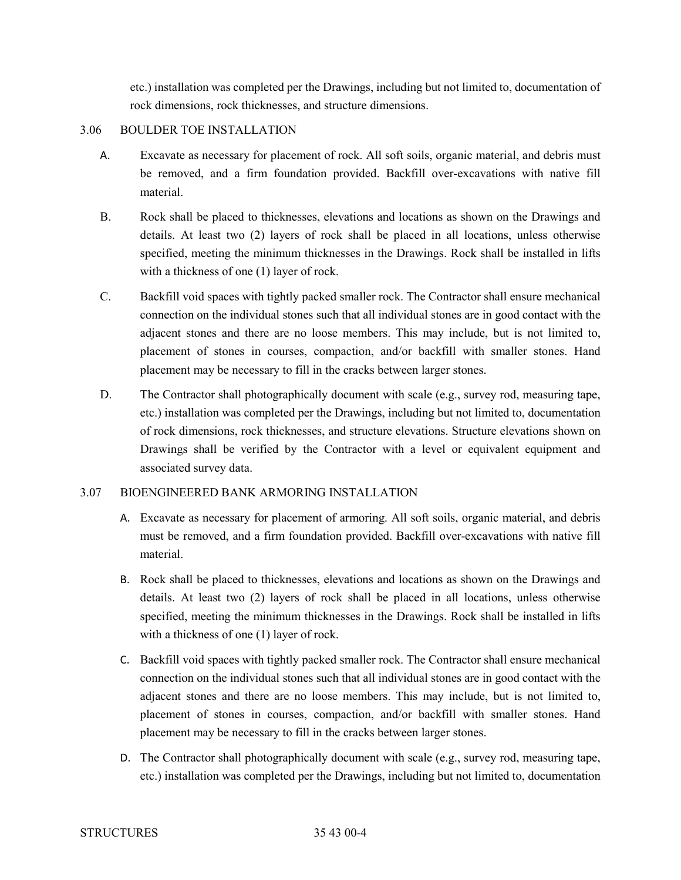etc.) installation was completed per the Drawings, including but not limited to, documentation of rock dimensions, rock thicknesses, and structure dimensions.

## 3.06 BOULDER TOE INSTALLATION

- A. Excavate as necessary for placement of rock. All soft soils, organic material, and debris must be removed, and a firm foundation provided. Backfill over-excavations with native fill material.
- B. Rock shall be placed to thicknesses, elevations and locations as shown on the Drawings and details. At least two (2) layers of rock shall be placed in all locations, unless otherwise specified, meeting the minimum thicknesses in the Drawings. Rock shall be installed in lifts with a thickness of one (1) layer of rock.
- C. Backfill void spaces with tightly packed smaller rock. The Contractor shall ensure mechanical connection on the individual stones such that all individual stones are in good contact with the adjacent stones and there are no loose members. This may include, but is not limited to, placement of stones in courses, compaction, and/or backfill with smaller stones. Hand placement may be necessary to fill in the cracks between larger stones.
- D. The Contractor shall photographically document with scale (e.g., survey rod, measuring tape, etc.) installation was completed per the Drawings, including but not limited to, documentation of rock dimensions, rock thicknesses, and structure elevations. Structure elevations shown on Drawings shall be verified by the Contractor with a level or equivalent equipment and associated survey data.

## 3.07 BIOENGINEERED BANK ARMORING INSTALLATION

- A. Excavate as necessary for placement of armoring. All soft soils, organic material, and debris must be removed, and a firm foundation provided. Backfill over-excavations with native fill material.
- B. Rock shall be placed to thicknesses, elevations and locations as shown on the Drawings and details. At least two (2) layers of rock shall be placed in all locations, unless otherwise specified, meeting the minimum thicknesses in the Drawings. Rock shall be installed in lifts with a thickness of one (1) layer of rock.
- C. Backfill void spaces with tightly packed smaller rock. The Contractor shall ensure mechanical connection on the individual stones such that all individual stones are in good contact with the adjacent stones and there are no loose members. This may include, but is not limited to, placement of stones in courses, compaction, and/or backfill with smaller stones. Hand placement may be necessary to fill in the cracks between larger stones.
- D. The Contractor shall photographically document with scale (e.g., survey rod, measuring tape, etc.) installation was completed per the Drawings, including but not limited to, documentation